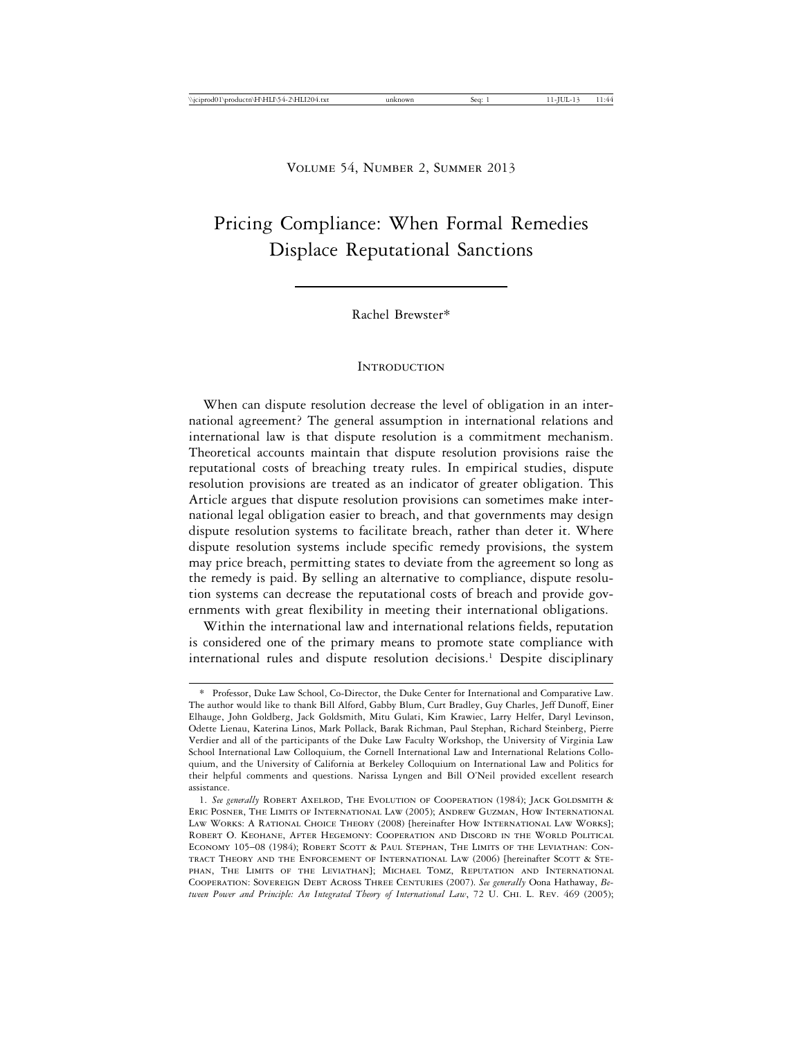# Pricing Compliance: When Formal Remedies Displace Reputational Sanctions

Rachel Brewster\*

#### **INTRODUCTION**

When can dispute resolution decrease the level of obligation in an international agreement? The general assumption in international relations and international law is that dispute resolution is a commitment mechanism. Theoretical accounts maintain that dispute resolution provisions raise the reputational costs of breaching treaty rules. In empirical studies, dispute resolution provisions are treated as an indicator of greater obligation. This Article argues that dispute resolution provisions can sometimes make international legal obligation easier to breach, and that governments may design dispute resolution systems to facilitate breach, rather than deter it. Where dispute resolution systems include specific remedy provisions, the system may price breach, permitting states to deviate from the agreement so long as the remedy is paid. By selling an alternative to compliance, dispute resolution systems can decrease the reputational costs of breach and provide governments with great flexibility in meeting their international obligations.

Within the international law and international relations fields, reputation is considered one of the primary means to promote state compliance with international rules and dispute resolution decisions.<sup>1</sup> Despite disciplinary

<sup>\*</sup> Professor, Duke Law School, Co-Director, the Duke Center for International and Comparative Law. The author would like to thank Bill Alford, Gabby Blum, Curt Bradley, Guy Charles, Jeff Dunoff, Einer Elhauge, John Goldberg, Jack Goldsmith, Mitu Gulati, Kim Krawiec, Larry Helfer, Daryl Levinson, Odette Lienau, Katerina Linos, Mark Pollack, Barak Richman, Paul Stephan, Richard Steinberg, Pierre Verdier and all of the participants of the Duke Law Faculty Workshop, the University of Virginia Law School International Law Colloquium, the Cornell International Law and International Relations Colloquium, and the University of California at Berkeley Colloquium on International Law and Politics for their helpful comments and questions. Narissa Lyngen and Bill O'Neil provided excellent research assistance.

<sup>1.</sup> *See generally* Robert Axelrod, The Evolution of Cooperation (1984); Jack Goldsmith & Eric Posner, The Limits of International Law (2005); Andrew Guzman, How International Law Works: A Rational Choice Theory (2008) [hereinafter How International Law Works]; Robert O. Keohane, After Hegemony: Cooperation and Discord in the World Political Economy 105–08 (1984); Robert Scott & Paul Stephan, The Limits of the Leviathan: Contract Theory and the Enforcement of International Law (2006) [hereinafter Scott & Stephan, The Limits of the Leviathan]; Michael Tomz, Reputation and International Cooperation: Sovereign Debt Across Three Centuries (2007). *See generally* Oona Hathaway, *Between Power and Principle: An Integrated Theory of International Law*, 72 U. Chi. L. Rev. 469 (2005);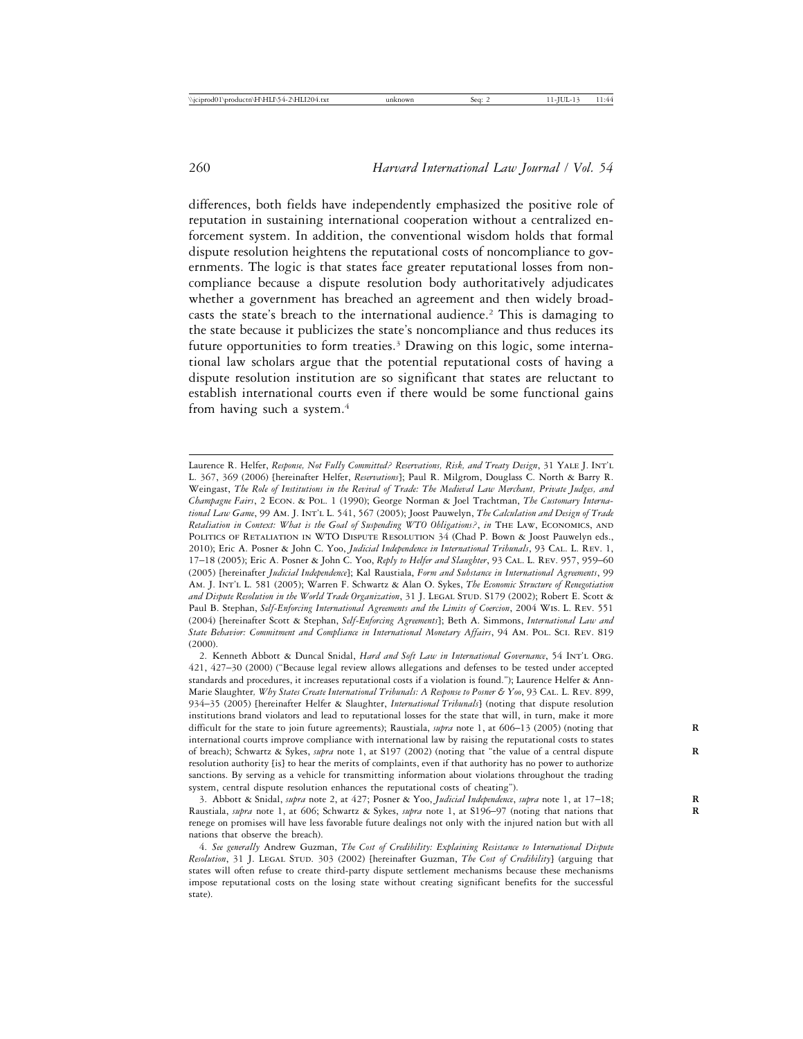differences, both fields have independently emphasized the positive role of reputation in sustaining international cooperation without a centralized enforcement system. In addition, the conventional wisdom holds that formal dispute resolution heightens the reputational costs of noncompliance to governments. The logic is that states face greater reputational losses from noncompliance because a dispute resolution body authoritatively adjudicates whether a government has breached an agreement and then widely broadcasts the state's breach to the international audience.<sup>2</sup> This is damaging to the state because it publicizes the state's noncompliance and thus reduces its future opportunities to form treaties.<sup>3</sup> Drawing on this logic, some international law scholars argue that the potential reputational costs of having a dispute resolution institution are so significant that states are reluctant to establish international courts even if there would be some functional gains from having such a system.4

Laurence R. Helfer, *Response, Not Fully Committed? Reservations, Risk, and Treaty Design*, 31 Yale J. Int'l L. 367, 369 (2006) [hereinafter Helfer, *Reservations*]; Paul R. Milgrom, Douglass C. North & Barry R. Weingast, *The Role of Institutions in the Revival of Trade: The Medieval Law Merchant, Private Judges, and Champagne Fairs*, 2 Econ. & Pol. 1 (1990); George Norman & Joel Trachtman, *The Customary International Law Game*, 99 Am. J. Int'l L. 541, 567 (2005); Joost Pauwelyn, *The Calculation and Design of Trade Retaliation in Context: What is the Goal of Suspending WTO Obligations?*, *in* The Law, Economics, and POLITICS OF RETALIATION IN WTO DISPUTE RESOLUTION 34 (Chad P. Bown & Joost Pauwelyn eds., 2010); Eric A. Posner & John C. Yoo, *Judicial Independence in International Tribunals*, 93 Cal. L. Rev. 1, 17–18 (2005); Eric A. Posner & John C. Yoo, *Reply to Helfer and Slaughter*, 93 Cal. L. Rev. 957, 959–60 (2005) [hereinafter *Judicial Independence*]; Kal Raustiala, *Form and Substance in International Agreements*, 99 Am. J. Int'l L. 581 (2005); Warren F. Schwartz & Alan O. Sykes, *The Economic Structure of Renegotiation* and Dispute Resolution in the World Trade Organization, 31 J. LEGAL STUD. S179 (2002); Robert E. Scott & Paul B. Stephan, *Self-Enforcing International Agreements and the Limits of Coercion*, 2004 Wis. L. Rev. 551 (2004) [hereinafter Scott & Stephan, *Self-Enforcing Agreements*]; Beth A. Simmons, *International Law and State Behavior: Commitment and Compliance in International Monetary Affairs*, 94 Am. Pol. Sci. Rev. 819 (2000).

<sup>2.</sup> Kenneth Abbott & Duncal Snidal, *Hard and Soft Law in International Governance*, 54 Int'l Org. 421, 427–30 (2000) ("Because legal review allows allegations and defenses to be tested under accepted standards and procedures, it increases reputational costs if a violation is found."); Laurence Helfer & Ann-Marie Slaughter*, Why States Create International Tribunals: A Response to Posner & Yoo*, 93 Cal. L. Rev. 899, 934–35 (2005) [hereinafter Helfer & Slaughter, *International Tribunals*] (noting that dispute resolution institutions brand violators and lead to reputational losses for the state that will, in turn, make it more difficult for the state to join future agreements); Raustiala, *supra* note 1, at 606–13 (2005) (noting that international courts improve compliance with international law by raising the reputational costs to states of breach); Schwartz & Sykes, *supra* note 1, at S197 (2002) (noting that "the value of a central dispute **R** resolution authority [is] to hear the merits of complaints, even if that authority has no power to authorize sanctions. By serving as a vehicle for transmitting information about violations throughout the trading system, central dispute resolution enhances the reputational costs of cheating").

<sup>3.</sup> Abbott & Snidal, *supra* note 2, at 427; Posner & Yoo, *Judicial Independence*, *supra* note 1, at 17–18; **R** Raustiala, *supra* note 1, at 606; Schwartz & Sykes, *supra* note 1, at S196–97 (noting that nations that **R** renege on promises will have less favorable future dealings not only with the injured nation but with all nations that observe the breach).

<sup>4.</sup> *See generally* Andrew Guzman, *The Cost of Credibility: Explaining Resistance to International Dispute* Resolution, 31 J. LEGAL STUD. 303 (2002) [hereinafter Guzman, *The Cost of Credibility*] (arguing that states will often refuse to create third-party dispute settlement mechanisms because these mechanisms impose reputational costs on the losing state without creating significant benefits for the successful state).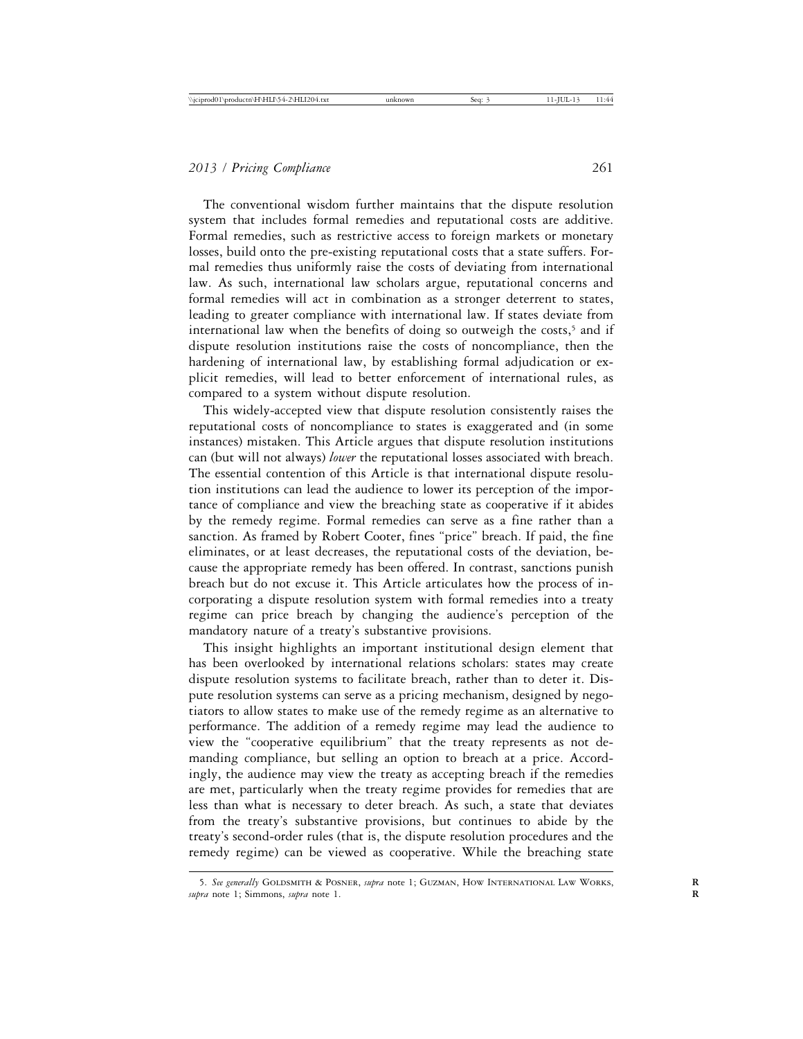The conventional wisdom further maintains that the dispute resolution system that includes formal remedies and reputational costs are additive. Formal remedies, such as restrictive access to foreign markets or monetary losses, build onto the pre-existing reputational costs that a state suffers. Formal remedies thus uniformly raise the costs of deviating from international law. As such, international law scholars argue, reputational concerns and formal remedies will act in combination as a stronger deterrent to states, leading to greater compliance with international law. If states deviate from international law when the benefits of doing so outweigh the costs,<sup>5</sup> and if dispute resolution institutions raise the costs of noncompliance, then the hardening of international law, by establishing formal adjudication or explicit remedies, will lead to better enforcement of international rules, as compared to a system without dispute resolution.

This widely-accepted view that dispute resolution consistently raises the reputational costs of noncompliance to states is exaggerated and (in some instances) mistaken. This Article argues that dispute resolution institutions can (but will not always) *lower* the reputational losses associated with breach. The essential contention of this Article is that international dispute resolution institutions can lead the audience to lower its perception of the importance of compliance and view the breaching state as cooperative if it abides by the remedy regime. Formal remedies can serve as a fine rather than a sanction. As framed by Robert Cooter, fines "price" breach. If paid, the fine eliminates, or at least decreases, the reputational costs of the deviation, because the appropriate remedy has been offered. In contrast, sanctions punish breach but do not excuse it. This Article articulates how the process of incorporating a dispute resolution system with formal remedies into a treaty regime can price breach by changing the audience's perception of the mandatory nature of a treaty's substantive provisions.

This insight highlights an important institutional design element that has been overlooked by international relations scholars: states may create dispute resolution systems to facilitate breach, rather than to deter it. Dispute resolution systems can serve as a pricing mechanism, designed by negotiators to allow states to make use of the remedy regime as an alternative to performance. The addition of a remedy regime may lead the audience to view the "cooperative equilibrium" that the treaty represents as not demanding compliance, but selling an option to breach at a price. Accordingly, the audience may view the treaty as accepting breach if the remedies are met, particularly when the treaty regime provides for remedies that are less than what is necessary to deter breach. As such, a state that deviates from the treaty's substantive provisions, but continues to abide by the treaty's second-order rules (that is, the dispute resolution procedures and the remedy regime) can be viewed as cooperative. While the breaching state

<sup>5.</sup> See generally GOLDSMITH & POSNER, *supra* note 1; GUZMAN, HOW INTERNATIONAL LAW WORKS, *supra* note 1; Simmons, *supra* note 1. **R**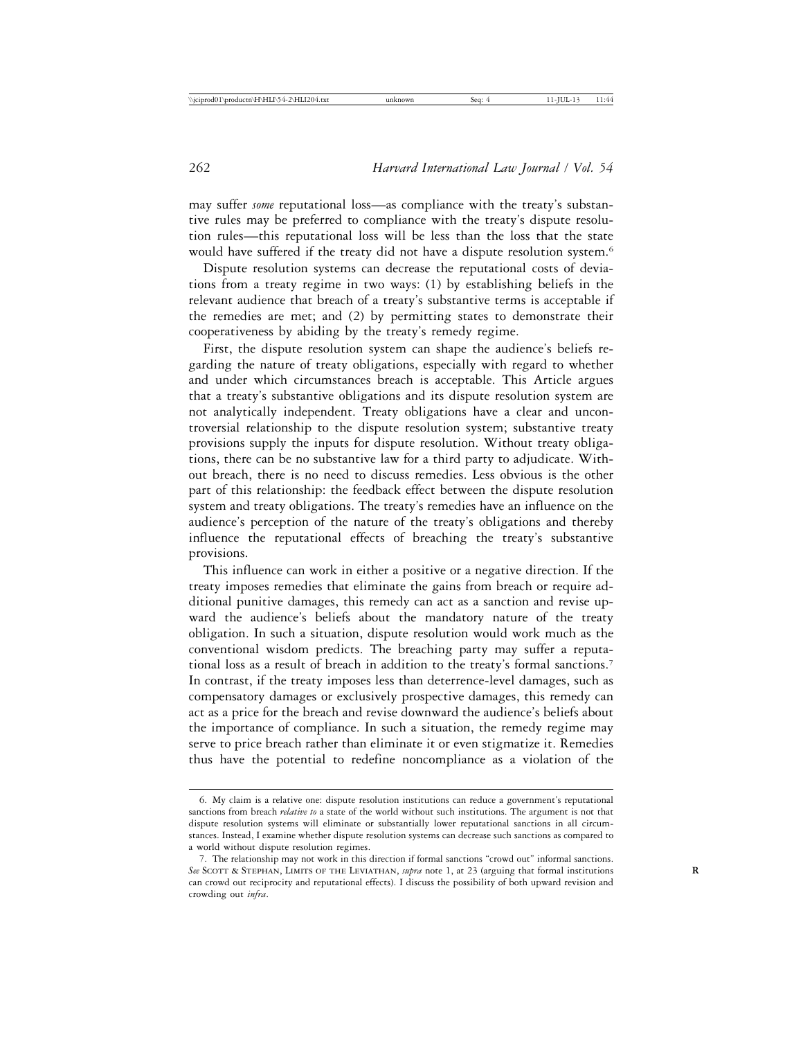may suffer *some* reputational loss—as compliance with the treaty's substantive rules may be preferred to compliance with the treaty's dispute resolution rules—this reputational loss will be less than the loss that the state would have suffered if the treaty did not have a dispute resolution system.<sup>6</sup>

Dispute resolution systems can decrease the reputational costs of deviations from a treaty regime in two ways: (1) by establishing beliefs in the relevant audience that breach of a treaty's substantive terms is acceptable if the remedies are met; and (2) by permitting states to demonstrate their cooperativeness by abiding by the treaty's remedy regime.

First, the dispute resolution system can shape the audience's beliefs regarding the nature of treaty obligations, especially with regard to whether and under which circumstances breach is acceptable. This Article argues that a treaty's substantive obligations and its dispute resolution system are not analytically independent. Treaty obligations have a clear and uncontroversial relationship to the dispute resolution system; substantive treaty provisions supply the inputs for dispute resolution. Without treaty obligations, there can be no substantive law for a third party to adjudicate. Without breach, there is no need to discuss remedies. Less obvious is the other part of this relationship: the feedback effect between the dispute resolution system and treaty obligations. The treaty's remedies have an influence on the audience's perception of the nature of the treaty's obligations and thereby influence the reputational effects of breaching the treaty's substantive provisions.

This influence can work in either a positive or a negative direction. If the treaty imposes remedies that eliminate the gains from breach or require additional punitive damages, this remedy can act as a sanction and revise upward the audience's beliefs about the mandatory nature of the treaty obligation. In such a situation, dispute resolution would work much as the conventional wisdom predicts. The breaching party may suffer a reputational loss as a result of breach in addition to the treaty's formal sanctions.7 In contrast, if the treaty imposes less than deterrence-level damages, such as compensatory damages or exclusively prospective damages, this remedy can act as a price for the breach and revise downward the audience's beliefs about the importance of compliance. In such a situation, the remedy regime may serve to price breach rather than eliminate it or even stigmatize it. Remedies thus have the potential to redefine noncompliance as a violation of the

<sup>6.</sup> My claim is a relative one: dispute resolution institutions can reduce a government's reputational sanctions from breach *relative to* a state of the world without such institutions. The argument is not that dispute resolution systems will eliminate or substantially lower reputational sanctions in all circumstances. Instead, I examine whether dispute resolution systems can decrease such sanctions as compared to a world without dispute resolution regimes.

<sup>7.</sup> The relationship may not work in this direction if formal sanctions "crowd out" informal sanctions. See SCOTT & STEPHAN, LIMITS OF THE LEVIATHAN, *supra* note 1, at 23 (arguing that formal institutions can crowd out reciprocity and reputational effects). I discuss the possibility of both upward revision and crowding out *infra*.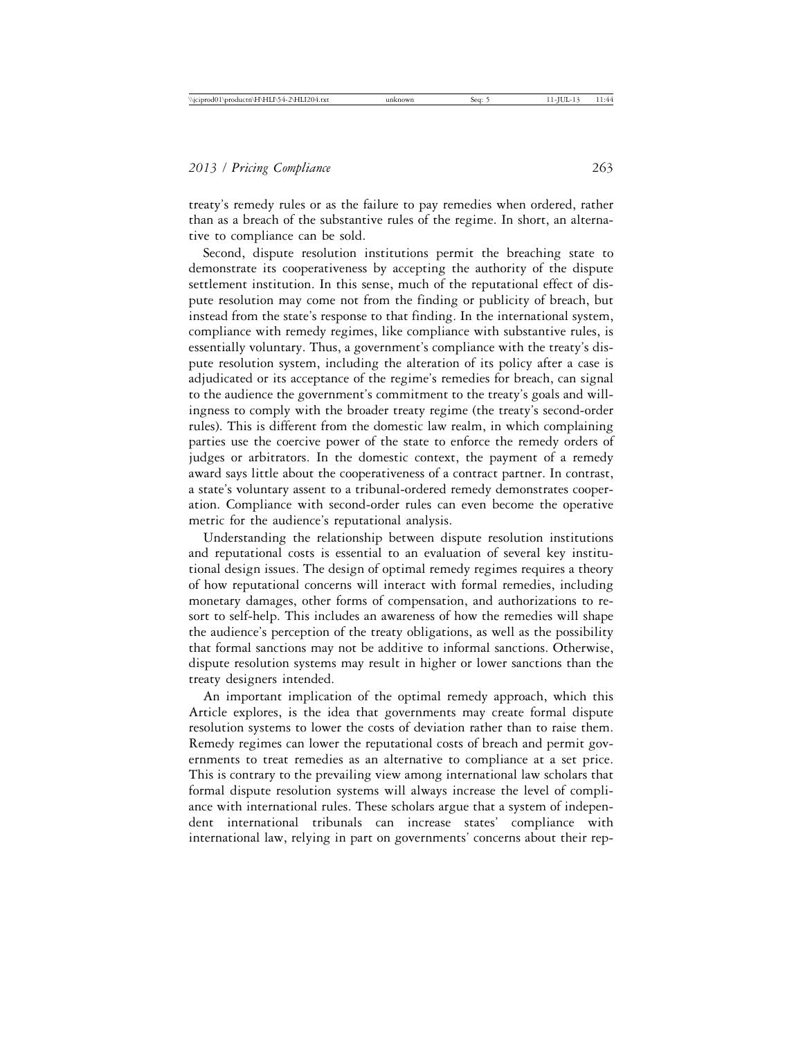treaty's remedy rules or as the failure to pay remedies when ordered, rather than as a breach of the substantive rules of the regime. In short, an alternative to compliance can be sold.

Second, dispute resolution institutions permit the breaching state to demonstrate its cooperativeness by accepting the authority of the dispute settlement institution. In this sense, much of the reputational effect of dispute resolution may come not from the finding or publicity of breach, but instead from the state's response to that finding. In the international system, compliance with remedy regimes, like compliance with substantive rules, is essentially voluntary. Thus, a government's compliance with the treaty's dispute resolution system, including the alteration of its policy after a case is adjudicated or its acceptance of the regime's remedies for breach, can signal to the audience the government's commitment to the treaty's goals and willingness to comply with the broader treaty regime (the treaty's second-order rules). This is different from the domestic law realm, in which complaining parties use the coercive power of the state to enforce the remedy orders of judges or arbitrators. In the domestic context, the payment of a remedy award says little about the cooperativeness of a contract partner. In contrast, a state's voluntary assent to a tribunal-ordered remedy demonstrates cooperation. Compliance with second-order rules can even become the operative metric for the audience's reputational analysis.

Understanding the relationship between dispute resolution institutions and reputational costs is essential to an evaluation of several key institutional design issues. The design of optimal remedy regimes requires a theory of how reputational concerns will interact with formal remedies, including monetary damages, other forms of compensation, and authorizations to resort to self-help. This includes an awareness of how the remedies will shape the audience's perception of the treaty obligations, as well as the possibility that formal sanctions may not be additive to informal sanctions. Otherwise, dispute resolution systems may result in higher or lower sanctions than the treaty designers intended.

An important implication of the optimal remedy approach, which this Article explores, is the idea that governments may create formal dispute resolution systems to lower the costs of deviation rather than to raise them. Remedy regimes can lower the reputational costs of breach and permit governments to treat remedies as an alternative to compliance at a set price. This is contrary to the prevailing view among international law scholars that formal dispute resolution systems will always increase the level of compliance with international rules. These scholars argue that a system of independent international tribunals can increase states' compliance with international law, relying in part on governments' concerns about their rep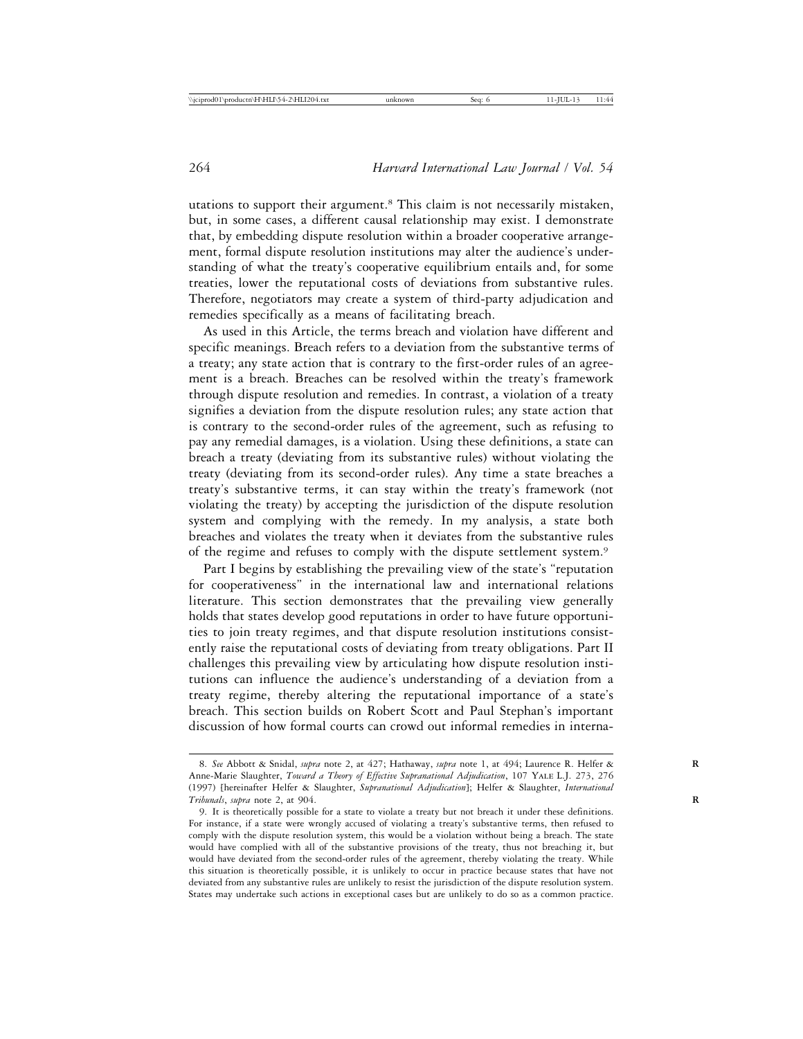utations to support their argument.8 This claim is not necessarily mistaken, but, in some cases, a different causal relationship may exist. I demonstrate that, by embedding dispute resolution within a broader cooperative arrangement, formal dispute resolution institutions may alter the audience's understanding of what the treaty's cooperative equilibrium entails and, for some treaties, lower the reputational costs of deviations from substantive rules. Therefore, negotiators may create a system of third-party adjudication and remedies specifically as a means of facilitating breach.

As used in this Article, the terms breach and violation have different and specific meanings. Breach refers to a deviation from the substantive terms of a treaty; any state action that is contrary to the first-order rules of an agreement is a breach. Breaches can be resolved within the treaty's framework through dispute resolution and remedies. In contrast, a violation of a treaty signifies a deviation from the dispute resolution rules; any state action that is contrary to the second-order rules of the agreement, such as refusing to pay any remedial damages, is a violation. Using these definitions, a state can breach a treaty (deviating from its substantive rules) without violating the treaty (deviating from its second-order rules). Any time a state breaches a treaty's substantive terms, it can stay within the treaty's framework (not violating the treaty) by accepting the jurisdiction of the dispute resolution system and complying with the remedy. In my analysis, a state both breaches and violates the treaty when it deviates from the substantive rules of the regime and refuses to comply with the dispute settlement system.9

Part I begins by establishing the prevailing view of the state's "reputation for cooperativeness" in the international law and international relations literature. This section demonstrates that the prevailing view generally holds that states develop good reputations in order to have future opportunities to join treaty regimes, and that dispute resolution institutions consistently raise the reputational costs of deviating from treaty obligations. Part II challenges this prevailing view by articulating how dispute resolution institutions can influence the audience's understanding of a deviation from a treaty regime, thereby altering the reputational importance of a state's breach. This section builds on Robert Scott and Paul Stephan's important discussion of how formal courts can crowd out informal remedies in interna-

<sup>8.</sup> *See* Abbott & Snidal, *supra* note 2, at 427; Hathaway, *supra* note 1, at 494; Laurence R. Helfer & **R** Anne-Marie Slaughter, *Toward a Theory of Effective Supranational Adjudication*, 107 Yale L.J. 273, 276 (1997) [hereinafter Helfer & Slaughter, *Supranational Adjudication*]; Helfer & Slaughter, *International Tribunals*, *supra* note 2, at 904. **R**

<sup>9.</sup> It is theoretically possible for a state to violate a treaty but not breach it under these definitions. For instance, if a state were wrongly accused of violating a treaty's substantive terms, then refused to comply with the dispute resolution system, this would be a violation without being a breach. The state would have complied with all of the substantive provisions of the treaty, thus not breaching it, but would have deviated from the second-order rules of the agreement, thereby violating the treaty. While this situation is theoretically possible, it is unlikely to occur in practice because states that have not deviated from any substantive rules are unlikely to resist the jurisdiction of the dispute resolution system. States may undertake such actions in exceptional cases but are unlikely to do so as a common practice.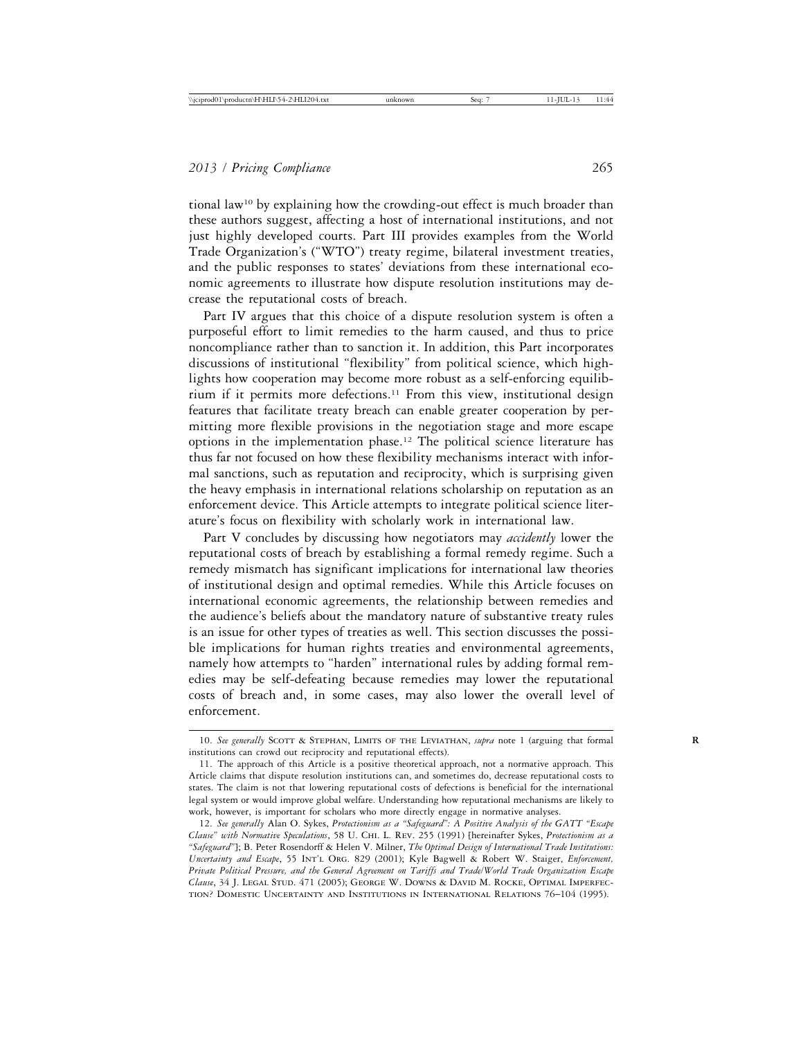tional law10 by explaining how the crowding-out effect is much broader than these authors suggest, affecting a host of international institutions, and not just highly developed courts. Part III provides examples from the World Trade Organization's ("WTO") treaty regime, bilateral investment treaties, and the public responses to states' deviations from these international economic agreements to illustrate how dispute resolution institutions may decrease the reputational costs of breach.

Part IV argues that this choice of a dispute resolution system is often a purposeful effort to limit remedies to the harm caused, and thus to price noncompliance rather than to sanction it. In addition, this Part incorporates discussions of institutional "flexibility" from political science, which highlights how cooperation may become more robust as a self-enforcing equilibrium if it permits more defections.<sup>11</sup> From this view, institutional design features that facilitate treaty breach can enable greater cooperation by permitting more flexible provisions in the negotiation stage and more escape options in the implementation phase.12 The political science literature has thus far not focused on how these flexibility mechanisms interact with informal sanctions, such as reputation and reciprocity, which is surprising given the heavy emphasis in international relations scholarship on reputation as an enforcement device. This Article attempts to integrate political science literature's focus on flexibility with scholarly work in international law.

Part V concludes by discussing how negotiators may *accidently* lower the reputational costs of breach by establishing a formal remedy regime. Such a remedy mismatch has significant implications for international law theories of institutional design and optimal remedies. While this Article focuses on international economic agreements, the relationship between remedies and the audience's beliefs about the mandatory nature of substantive treaty rules is an issue for other types of treaties as well. This section discusses the possible implications for human rights treaties and environmental agreements, namely how attempts to "harden" international rules by adding formal remedies may be self-defeating because remedies may lower the reputational costs of breach and, in some cases, may also lower the overall level of enforcement.

<sup>10.</sup> See generally SCOTT & STEPHAN, LIMITS OF THE LEVIATHAN, *supra* note 1 (arguing that formal institutions can crowd out reciprocity and reputational effects).

<sup>11.</sup> The approach of this Article is a positive theoretical approach, not a normative approach. This Article claims that dispute resolution institutions can, and sometimes do, decrease reputational costs to states. The claim is not that lowering reputational costs of defections is beneficial for the international legal system or would improve global welfare. Understanding how reputational mechanisms are likely to work, however, is important for scholars who more directly engage in normative analyses.

<sup>12.</sup> *See generally* Alan O. Sykes, *Protectionism as a "Safeguard": A Positive Analysis of the GATT "Escape Clause" with Normative Speculations*, 58 U. Chi. L. Rev. 255 (1991) [hereinafter Sykes, *Protectionism as a "Safeguard"*]; B. Peter Rosendorff & Helen V. Milner, *The Optimal Design of International Trade Institutions: Uncertainty and Escape*, 55 Int'l Org. 829 (2001); Kyle Bagwell & Robert W. Staiger, *Enforcement, Private Political Pressure, and the General Agreement on Tariffs and Trade/World Trade Organization Escape Clause*, 34 J. Legal Stud. 471 (2005); George W. Downs & David M. Rocke, Optimal Imperfection? Domestic Uncertainty and Institutions in International Relations 76–104 (1995).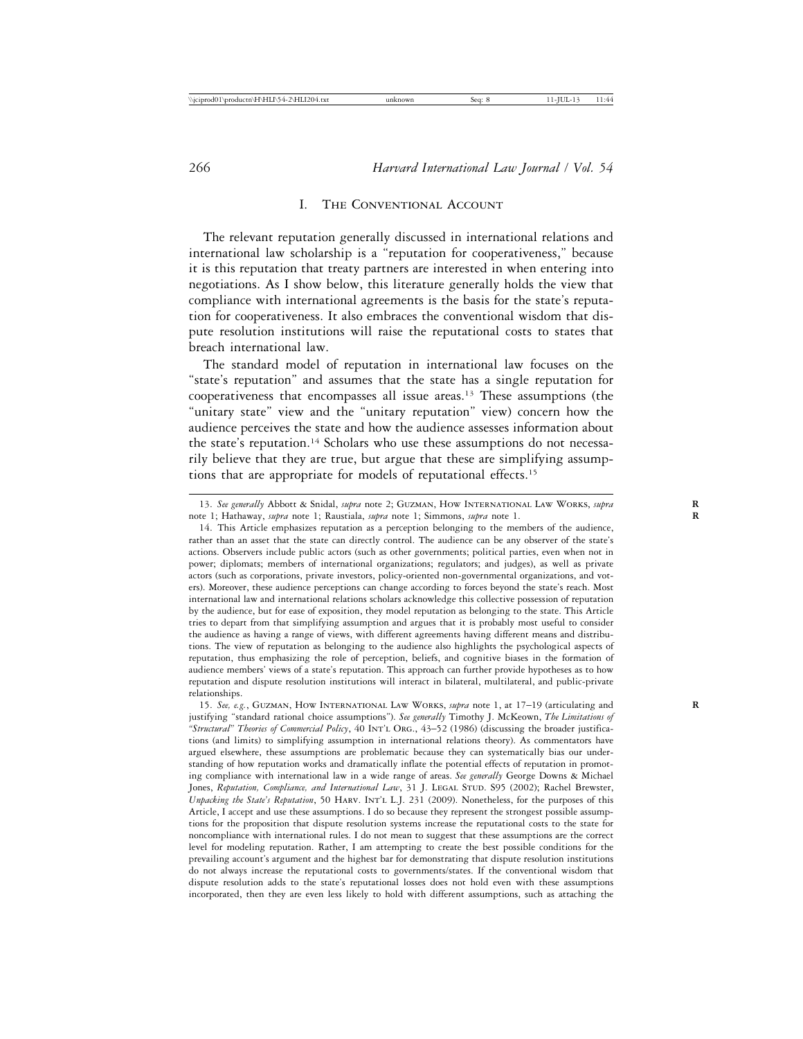#### I. The Conventional Account

The relevant reputation generally discussed in international relations and international law scholarship is a "reputation for cooperativeness," because it is this reputation that treaty partners are interested in when entering into negotiations. As I show below, this literature generally holds the view that compliance with international agreements is the basis for the state's reputation for cooperativeness. It also embraces the conventional wisdom that dispute resolution institutions will raise the reputational costs to states that breach international law.

The standard model of reputation in international law focuses on the "state's reputation" and assumes that the state has a single reputation for cooperativeness that encompasses all issue areas.13 These assumptions (the "unitary state" view and the "unitary reputation" view) concern how the audience perceives the state and how the audience assesses information about the state's reputation.14 Scholars who use these assumptions do not necessarily believe that they are true, but argue that these are simplifying assumptions that are appropriate for models of reputational effects.15

15. *See, e.g.*, Guzman, How International Law Works, *supra* note 1, at 17–19 (articulating and **R** justifying "standard rational choice assumptions"). *See generally* Timothy J. McKeown, *The Limitations of "Structural" Theories of Commercial Policy*, 40 Int'l Org., 43–52 (1986) (discussing the broader justifications (and limits) to simplifying assumption in international relations theory). As commentators have argued elsewhere, these assumptions are problematic because they can systematically bias our understanding of how reputation works and dramatically inflate the potential effects of reputation in promoting compliance with international law in a wide range of areas. *See generally* George Downs & Michael Jones, Reputation, Compliance, and International Law, 31 J. LEGAL STUD. S95 (2002); Rachel Brewster, *Unpacking the State's Reputation*, 50 HARV. INT'L L.J. 231 (2009). Nonetheless, for the purposes of this Article, I accept and use these assumptions. I do so because they represent the strongest possible assumptions for the proposition that dispute resolution systems increase the reputational costs to the state for noncompliance with international rules. I do not mean to suggest that these assumptions are the correct level for modeling reputation. Rather, I am attempting to create the best possible conditions for the prevailing account's argument and the highest bar for demonstrating that dispute resolution institutions do not always increase the reputational costs to governments/states. If the conventional wisdom that dispute resolution adds to the state's reputational losses does not hold even with these assumptions incorporated, then they are even less likely to hold with different assumptions, such as attaching the

<sup>13.</sup> *See generally* Abbott & Snidal, *supra* note 2; Guzman, How International Law Works, *supra* **R** note 1; Hathaway, *supra* note 1; Raustiala, *supra* note 1; Simmons, *supra* note 1. **R**

<sup>14.</sup> This Article emphasizes reputation as a perception belonging to the members of the audience, rather than an asset that the state can directly control. The audience can be any observer of the state's actions. Observers include public actors (such as other governments; political parties, even when not in power; diplomats; members of international organizations; regulators; and judges), as well as private actors (such as corporations, private investors, policy-oriented non-governmental organizations, and voters). Moreover, these audience perceptions can change according to forces beyond the state's reach. Most international law and international relations scholars acknowledge this collective possession of reputation by the audience, but for ease of exposition, they model reputation as belonging to the state. This Article tries to depart from that simplifying assumption and argues that it is probably most useful to consider the audience as having a range of views, with different agreements having different means and distributions. The view of reputation as belonging to the audience also highlights the psychological aspects of reputation, thus emphasizing the role of perception, beliefs, and cognitive biases in the formation of audience members' views of a state's reputation. This approach can further provide hypotheses as to how reputation and dispute resolution institutions will interact in bilateral, multilateral, and public-private relationships.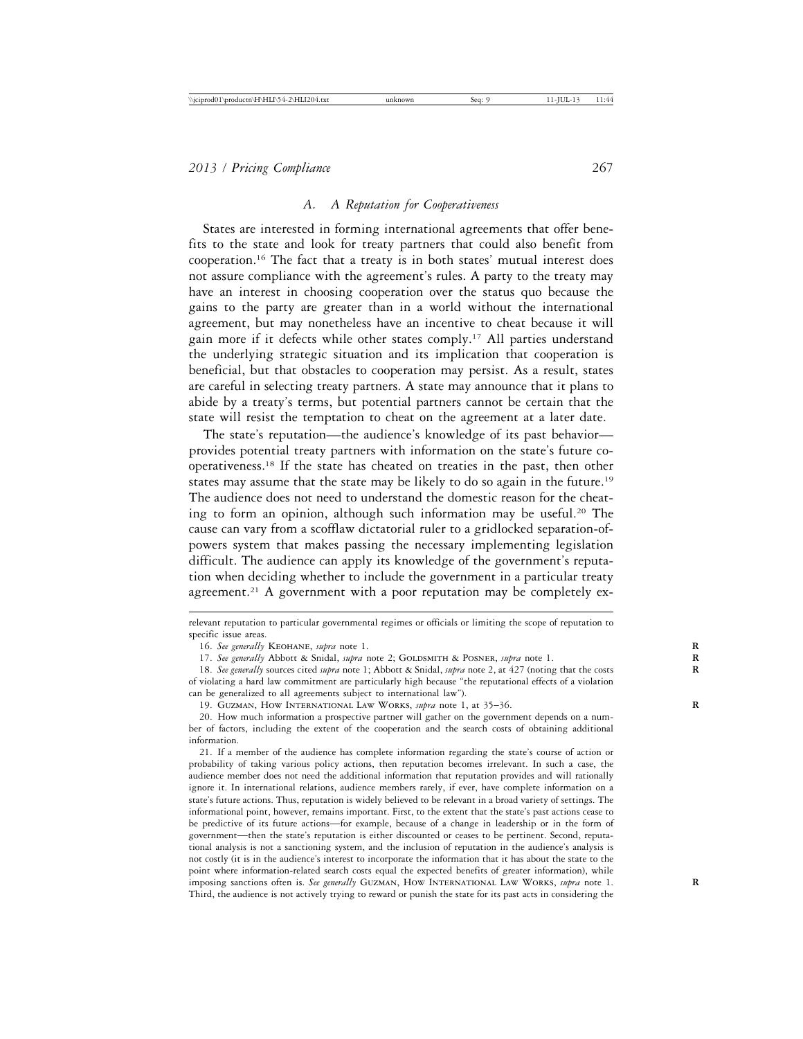#### *A. A Reputation for Cooperativeness*

States are interested in forming international agreements that offer benefits to the state and look for treaty partners that could also benefit from cooperation.16 The fact that a treaty is in both states' mutual interest does not assure compliance with the agreement's rules. A party to the treaty may have an interest in choosing cooperation over the status quo because the gains to the party are greater than in a world without the international agreement, but may nonetheless have an incentive to cheat because it will gain more if it defects while other states comply.<sup>17</sup> All parties understand the underlying strategic situation and its implication that cooperation is beneficial, but that obstacles to cooperation may persist. As a result, states are careful in selecting treaty partners. A state may announce that it plans to abide by a treaty's terms, but potential partners cannot be certain that the state will resist the temptation to cheat on the agreement at a later date.

The state's reputation—the audience's knowledge of its past behavior provides potential treaty partners with information on the state's future cooperativeness.18 If the state has cheated on treaties in the past, then other states may assume that the state may be likely to do so again in the future.19 The audience does not need to understand the domestic reason for the cheating to form an opinion, although such information may be useful.20 The cause can vary from a scofflaw dictatorial ruler to a gridlocked separation-ofpowers system that makes passing the necessary implementing legislation difficult. The audience can apply its knowledge of the government's reputation when deciding whether to include the government in a particular treaty agreement.<sup>21</sup> A government with a poor reputation may be completely ex-

19. Guzman, How International Law Works, *supra* note 1, at 35–36. **R**

relevant reputation to particular governmental regimes or officials or limiting the scope of reputation to specific issue areas.

<sup>16.</sup> See generally KEOHANE, supra note 1.

<sup>17.</sup> See generally Abbott & Snidal, *supra* note 2; GOLDSMITH & POSNER, *supra* note 1.

<sup>18.</sup> *See generally* sources cited *supra* note 1; Abbott & Snidal, *supra* note 2, at 427 (noting that the costs **R** of violating a hard law commitment are particularly high because "the reputational effects of a violation can be generalized to all agreements subject to international law").

<sup>20.</sup> How much information a prospective partner will gather on the government depends on a number of factors, including the extent of the cooperation and the search costs of obtaining additional information.

<sup>21.</sup> If a member of the audience has complete information regarding the state's course of action or probability of taking various policy actions, then reputation becomes irrelevant. In such a case, the audience member does not need the additional information that reputation provides and will rationally ignore it. In international relations, audience members rarely, if ever, have complete information on a state's future actions. Thus, reputation is widely believed to be relevant in a broad variety of settings. The informational point, however, remains important. First, to the extent that the state's past actions cease to be predictive of its future actions—for example, because of a change in leadership or in the form of government—then the state's reputation is either discounted or ceases to be pertinent. Second, reputational analysis is not a sanctioning system, and the inclusion of reputation in the audience's analysis is not costly (it is in the audience's interest to incorporate the information that it has about the state to the point where information-related search costs equal the expected benefits of greater information), while imposing sanctions often is. *See generally* Guzman, How International Law Works, *supra* note 1. **R** Third, the audience is not actively trying to reward or punish the state for its past acts in considering the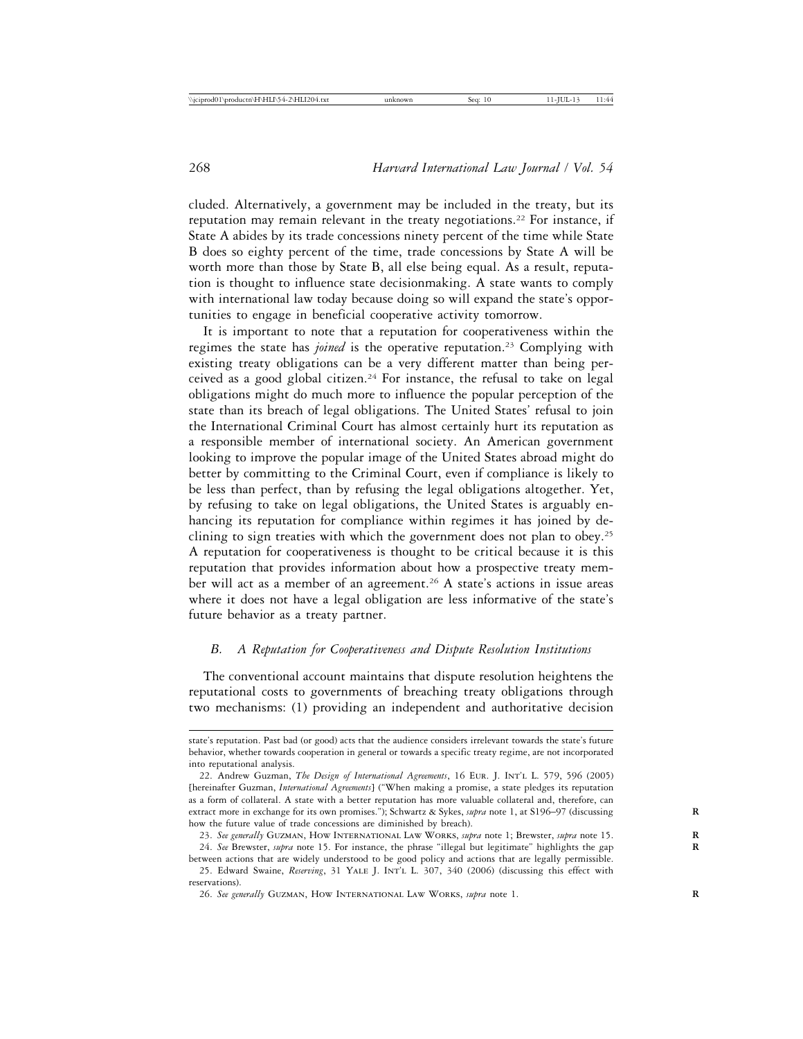cluded. Alternatively, a government may be included in the treaty, but its reputation may remain relevant in the treaty negotiations.<sup>22</sup> For instance, if State A abides by its trade concessions ninety percent of the time while State B does so eighty percent of the time, trade concessions by State A will be worth more than those by State B, all else being equal. As a result, reputation is thought to influence state decisionmaking. A state wants to comply with international law today because doing so will expand the state's opportunities to engage in beneficial cooperative activity tomorrow.

It is important to note that a reputation for cooperativeness within the regimes the state has *joined* is the operative reputation.<sup>23</sup> Complying with existing treaty obligations can be a very different matter than being perceived as a good global citizen.24 For instance, the refusal to take on legal obligations might do much more to influence the popular perception of the state than its breach of legal obligations. The United States' refusal to join the International Criminal Court has almost certainly hurt its reputation as a responsible member of international society. An American government looking to improve the popular image of the United States abroad might do better by committing to the Criminal Court, even if compliance is likely to be less than perfect, than by refusing the legal obligations altogether. Yet, by refusing to take on legal obligations, the United States is arguably enhancing its reputation for compliance within regimes it has joined by declining to sign treaties with which the government does not plan to obey.25 A reputation for cooperativeness is thought to be critical because it is this reputation that provides information about how a prospective treaty member will act as a member of an agreement.<sup>26</sup> A state's actions in issue areas where it does not have a legal obligation are less informative of the state's future behavior as a treaty partner.

# *B. A Reputation for Cooperativeness and Dispute Resolution Institutions*

The conventional account maintains that dispute resolution heightens the reputational costs to governments of breaching treaty obligations through two mechanisms: (1) providing an independent and authoritative decision

state's reputation. Past bad (or good) acts that the audience considers irrelevant towards the state's future behavior, whether towards cooperation in general or towards a specific treaty regime, are not incorporated into reputational analysis.

<sup>22.</sup> Andrew Guzman, *The Design of International Agreements*, 16 Eur. J. Int'l L. 579, 596 (2005) [hereinafter Guzman, *International Agreements*] ("When making a promise, a state pledges its reputation as a form of collateral. A state with a better reputation has more valuable collateral and, therefore, can extract more in exchange for its own promises."); Schwartz & Sykes, *supra* note 1, at S196–97 (discussing how the future value of trade concessions are diminished by breach).

<sup>23.</sup> *See generally* Guzman, How International Law Works, *supra* note 1; Brewster, *supra* note 15. **R**

<sup>24.</sup> *See* Brewster, *supra* note 15. For instance, the phrase "illegal but legitimate" highlights the gap **R** between actions that are widely understood to be good policy and actions that are legally permissible.

<sup>25.</sup> Edward Swaine, *Reserving*, 31 Yale J. Int'l L. 307, 340 (2006) (discussing this effect with reservations).

<sup>26.</sup> *See generally* Guzman, How International Law Works, *supra* note 1. **R**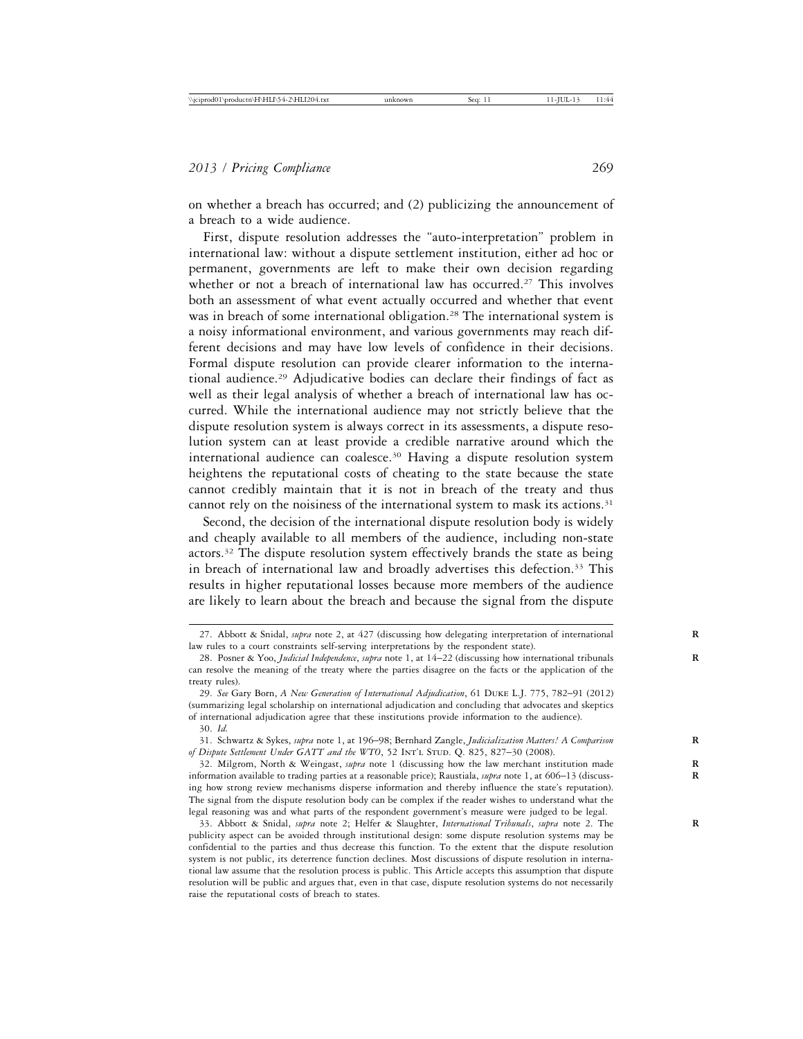on whether a breach has occurred; and (2) publicizing the announcement of a breach to a wide audience.

First, dispute resolution addresses the "auto-interpretation" problem in international law: without a dispute settlement institution, either ad hoc or permanent, governments are left to make their own decision regarding whether or not a breach of international law has occurred.<sup>27</sup> This involves both an assessment of what event actually occurred and whether that event was in breach of some international obligation.<sup>28</sup> The international system is a noisy informational environment, and various governments may reach different decisions and may have low levels of confidence in their decisions. Formal dispute resolution can provide clearer information to the international audience.29 Adjudicative bodies can declare their findings of fact as well as their legal analysis of whether a breach of international law has occurred. While the international audience may not strictly believe that the dispute resolution system is always correct in its assessments, a dispute resolution system can at least provide a credible narrative around which the international audience can coalesce.30 Having a dispute resolution system heightens the reputational costs of cheating to the state because the state cannot credibly maintain that it is not in breach of the treaty and thus cannot rely on the noisiness of the international system to mask its actions.<sup>31</sup>

Second, the decision of the international dispute resolution body is widely and cheaply available to all members of the audience, including non-state actors.32 The dispute resolution system effectively brands the state as being in breach of international law and broadly advertises this defection.<sup>33</sup> This results in higher reputational losses because more members of the audience are likely to learn about the breach and because the signal from the dispute

31. Schwartz & Sykes, *supra* note 1, at 196–98; Bernhard Zangle, *Judicialization Matters! A Comparison* **R** *of Dispute Settlement Under GATT and the WTO*, 52 INT'L STUD. Q. 825, 827-30 (2008).

32. Milgrom, North & Weingast, *supra* note 1 (discussing how the law merchant institution made **R** information available to trading parties at a reasonable price); Raustiala, *supra* note 1, at 606–13 (discuss- **R** ing how strong review mechanisms disperse information and thereby influence the state's reputation). The signal from the dispute resolution body can be complex if the reader wishes to understand what the legal reasoning was and what parts of the respondent government's measure were judged to be legal.

33. Abbott & Snidal, *supra* note 2; Helfer & Slaughter, *International Tribunals*, *supra* note 2. The **R** publicity aspect can be avoided through institutional design: some dispute resolution systems may be confidential to the parties and thus decrease this function. To the extent that the dispute resolution system is not public, its deterrence function declines. Most discussions of dispute resolution in international law assume that the resolution process is public. This Article accepts this assumption that dispute resolution will be public and argues that, even in that case, dispute resolution systems do not necessarily raise the reputational costs of breach to states.

<sup>27.</sup> Abbott & Snidal, *supra* note 2, at 427 (discussing how delegating interpretation of international **R** law rules to a court constraints self-serving interpretations by the respondent state).

<sup>28.</sup> Posner & Yoo, *Judicial Independence*, *supra* note 1, at 14–22 (discussing how international tribunals **R** can resolve the meaning of the treaty where the parties disagree on the facts or the application of the treaty rules).

<sup>29.</sup> *See* Gary Born, *A New Generation of International Adjudication*, 61 Duke L.J. 775, 782–91 (2012) (summarizing legal scholarship on international adjudication and concluding that advocates and skeptics of international adjudication agree that these institutions provide information to the audience).

<sup>30.</sup> *Id.*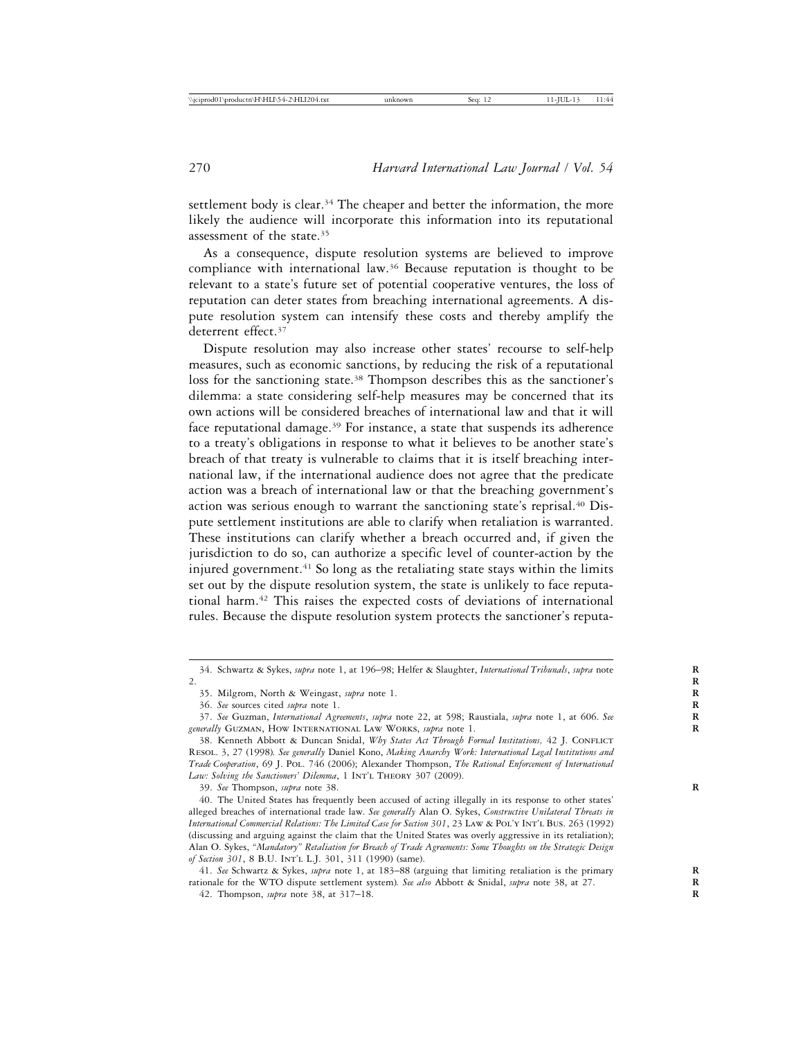settlement body is clear.<sup>34</sup> The cheaper and better the information, the more likely the audience will incorporate this information into its reputational assessment of the state.35

As a consequence, dispute resolution systems are believed to improve compliance with international law.36 Because reputation is thought to be relevant to a state's future set of potential cooperative ventures, the loss of reputation can deter states from breaching international agreements. A dispute resolution system can intensify these costs and thereby amplify the deterrent effect.<sup>37</sup>

Dispute resolution may also increase other states' recourse to self-help measures, such as economic sanctions, by reducing the risk of a reputational loss for the sanctioning state.<sup>38</sup> Thompson describes this as the sanctioner's dilemma: a state considering self-help measures may be concerned that its own actions will be considered breaches of international law and that it will face reputational damage.<sup>39</sup> For instance, a state that suspends its adherence to a treaty's obligations in response to what it believes to be another state's breach of that treaty is vulnerable to claims that it is itself breaching international law, if the international audience does not agree that the predicate action was a breach of international law or that the breaching government's action was serious enough to warrant the sanctioning state's reprisal.<sup>40</sup> Dispute settlement institutions are able to clarify when retaliation is warranted. These institutions can clarify whether a breach occurred and, if given the jurisdiction to do so, can authorize a specific level of counter-action by the injured government.<sup>41</sup> So long as the retaliating state stays within the limits set out by the dispute resolution system, the state is unlikely to face reputational harm.42 This raises the expected costs of deviations of international rules. Because the dispute resolution system protects the sanctioner's reputa-

39. See Thompson, supra note 38.

40. The United States has frequently been accused of acting illegally in its response to other states' alleged breaches of international trade law. *See generally* Alan O. Sykes, *Constructive Unilateral Threats in International Commercial Relations: The Limited Case for Section 301*, 23 Law & Pol'y Int'l Bus. 263 (1992) (discussing and arguing against the claim that the United States was overly aggressive in its retaliation); Alan O. Sykes, *"Mandatory" Retaliation for Breach of Trade Agreements: Some Thoughts on the Strategic Design of Section 301*, 8 B.U. Int'l L.J. 301, 311 (1990) (same).

41. *See* Schwartz & Sykes, *supra* note 1, at 183–88 (arguing that limiting retaliation is the primary **R** rationale for the WTO dispute settlement system)*. See also* Abbott & Snidal, *supra* note 38, at 27. **R**

42. Thompson, *supra* note 38, at 317–18. **R**

<sup>34.</sup> Schwartz & Sykes, *supra* note 1, at 196–98; Helfer & Slaughter, *International Tribunals*, *supra* note **R** 2. **R**

<sup>35.</sup> Milgrom, North & Weingast, *supra* note 1. **R**

<sup>36.</sup> *See* sources cited *supra* note 1. **R**

<sup>37.</sup> *See* Guzman, *International Agreements*, *supra* note 22, at 598; Raustiala, *supra* note 1, at 606. *See* **R** *generally* Guzman, How International Law Works, *supra* note 1. **R**

<sup>38.</sup> Kenneth Abbott & Duncan Snidal, *Why States Act Through Formal Institutions*, 42 J. CONFLICT Resol. 3, 27 (1998)*. See generally* Daniel Kono, *Making Anarchy Work: International Legal Institutions and Trade Cooperation*, 69 J. Pol. 746 (2006); Alexander Thompson, *The Rational Enforcement of International* Law: Solving the Sanctioners' Dilemma, 1 INT'L THEORY 307 (2009).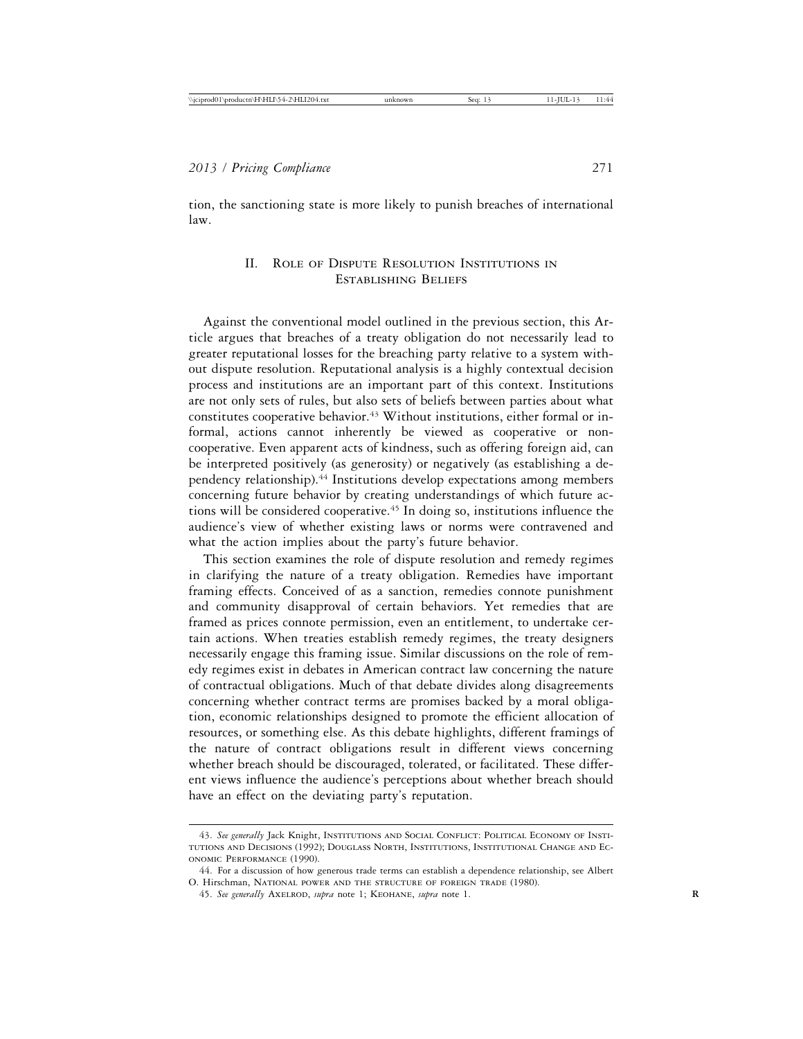tion, the sanctioning state is more likely to punish breaches of international law.

## II. Role of Dispute Resolution Institutions in Establishing Beliefs

Against the conventional model outlined in the previous section, this Article argues that breaches of a treaty obligation do not necessarily lead to greater reputational losses for the breaching party relative to a system without dispute resolution. Reputational analysis is a highly contextual decision process and institutions are an important part of this context. Institutions are not only sets of rules, but also sets of beliefs between parties about what constitutes cooperative behavior.43 Without institutions, either formal or informal, actions cannot inherently be viewed as cooperative or noncooperative. Even apparent acts of kindness, such as offering foreign aid, can be interpreted positively (as generosity) or negatively (as establishing a dependency relationship).44 Institutions develop expectations among members concerning future behavior by creating understandings of which future actions will be considered cooperative.45 In doing so, institutions influence the audience's view of whether existing laws or norms were contravened and what the action implies about the party's future behavior.

This section examines the role of dispute resolution and remedy regimes in clarifying the nature of a treaty obligation. Remedies have important framing effects. Conceived of as a sanction, remedies connote punishment and community disapproval of certain behaviors. Yet remedies that are framed as prices connote permission, even an entitlement, to undertake certain actions. When treaties establish remedy regimes, the treaty designers necessarily engage this framing issue. Similar discussions on the role of remedy regimes exist in debates in American contract law concerning the nature of contractual obligations. Much of that debate divides along disagreements concerning whether contract terms are promises backed by a moral obligation, economic relationships designed to promote the efficient allocation of resources, or something else. As this debate highlights, different framings of the nature of contract obligations result in different views concerning whether breach should be discouraged, tolerated, or facilitated. These different views influence the audience's perceptions about whether breach should have an effect on the deviating party's reputation.

<sup>43.</sup> *See generally* Jack Knight, Institutions and Social Conflict: Political Economy of Institutions and Decisions (1992); Douglass North, Institutions, Institutional Change and Economic Performance (1990).

<sup>44.</sup> For a discussion of how generous trade terms can establish a dependence relationship, see Albert O. Hirschman, National power and the structure of foreign trade (1980).

<sup>45.</sup> See generally AXELROD, supra note 1; KEOHANE, supra note 1.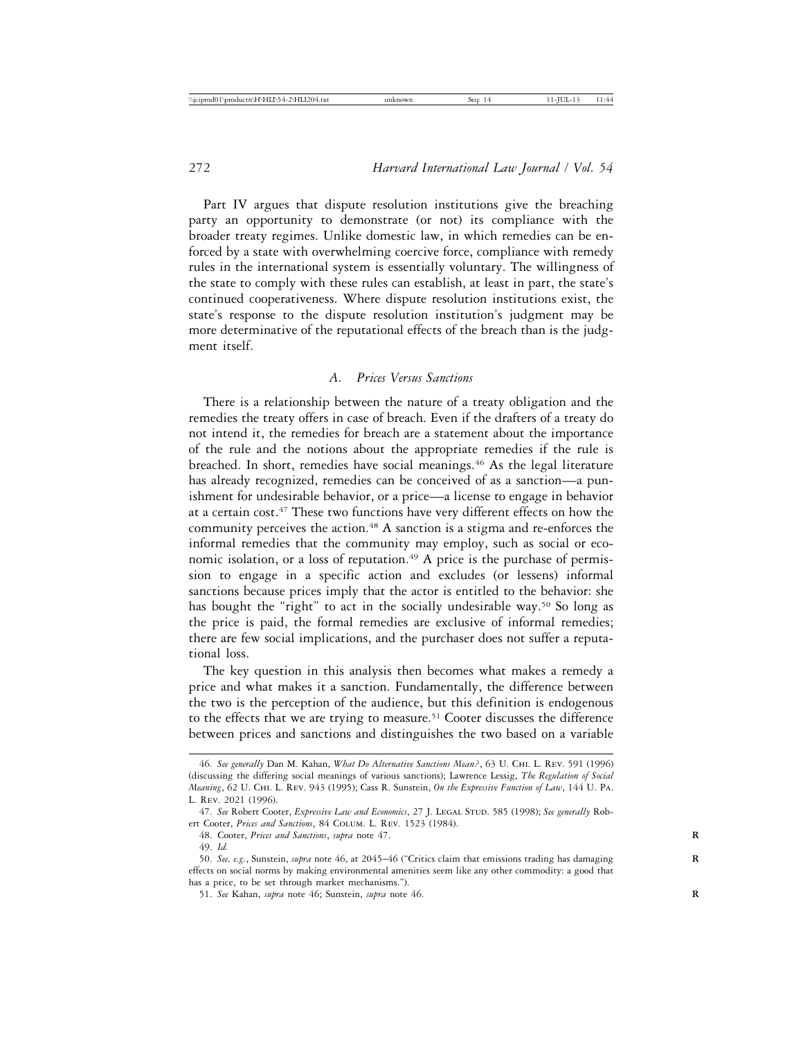Part IV argues that dispute resolution institutions give the breaching party an opportunity to demonstrate (or not) its compliance with the broader treaty regimes. Unlike domestic law, in which remedies can be enforced by a state with overwhelming coercive force, compliance with remedy rules in the international system is essentially voluntary. The willingness of the state to comply with these rules can establish, at least in part, the state's continued cooperativeness. Where dispute resolution institutions exist, the state's response to the dispute resolution institution's judgment may be more determinative of the reputational effects of the breach than is the judgment itself.

#### *A. Prices Versus Sanctions*

There is a relationship between the nature of a treaty obligation and the remedies the treaty offers in case of breach. Even if the drafters of a treaty do not intend it, the remedies for breach are a statement about the importance of the rule and the notions about the appropriate remedies if the rule is breached. In short, remedies have social meanings.46 As the legal literature has already recognized, remedies can be conceived of as a sanction—a punishment for undesirable behavior, or a price—a license to engage in behavior at a certain cost.47 These two functions have very different effects on how the community perceives the action.<sup>48</sup> A sanction is a stigma and re-enforces the informal remedies that the community may employ, such as social or economic isolation, or a loss of reputation.<sup>49</sup> A price is the purchase of permission to engage in a specific action and excludes (or lessens) informal sanctions because prices imply that the actor is entitled to the behavior: she has bought the "right" to act in the socially undesirable way.<sup>50</sup> So long as the price is paid, the formal remedies are exclusive of informal remedies; there are few social implications, and the purchaser does not suffer a reputational loss.

The key question in this analysis then becomes what makes a remedy a price and what makes it a sanction. Fundamentally, the difference between the two is the perception of the audience, but this definition is endogenous to the effects that we are trying to measure.<sup>51</sup> Cooter discusses the difference between prices and sanctions and distinguishes the two based on a variable

<sup>46.</sup> *See generally* Dan M. Kahan, *What Do Alternative Sanctions Mean?*, 63 U. Chi. L. Rev. 591 (1996) (discussing the differing social meanings of various sanctions); Lawrence Lessig, *The Regulation of Social Meaning*, 62 U. Chi. L. Rev. 943 (1995); Cass R. Sunstein, *On the Expressive Function of Law*, 144 U. Pa. L. Rev. 2021 (1996).

<sup>47.</sup> *See* Robert Cooter, *Expressive Law and Economics*, 27 J. Legal Stud. 585 (1998); *See generally* Robert Cooter, *Prices and Sanctions*, 84 Colum. L. Rev. 1523 (1984).

<sup>48.</sup> Cooter, *Prices and Sanctions*, *supra* note 47. **R**

<sup>49.</sup> *Id.*

<sup>50.</sup> *See, e.g.*, Sunstein, *supra* note 46, at 2045–46 ("Critics claim that emissions trading has damaging **R** effects on social norms by making environmental amenities seem like any other commodity: a good that has a price, to be set through market mechanisms.").

<sup>51.</sup> *See* Kahan, *supra* note 46; Sunstein, *supra* note 46. **R**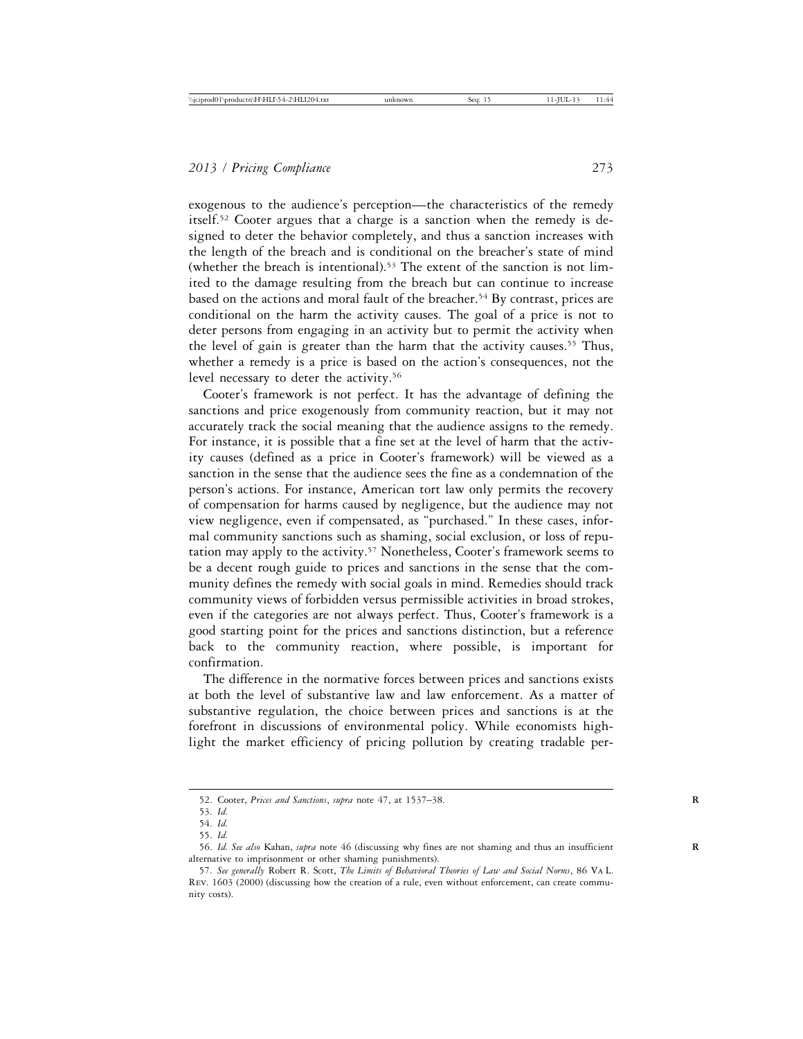exogenous to the audience's perception—the characteristics of the remedy itself.52 Cooter argues that a charge is a sanction when the remedy is designed to deter the behavior completely, and thus a sanction increases with the length of the breach and is conditional on the breacher's state of mind (whether the breach is intentional).53 The extent of the sanction is not limited to the damage resulting from the breach but can continue to increase based on the actions and moral fault of the breacher.<sup>54</sup> By contrast, prices are conditional on the harm the activity causes. The goal of a price is not to deter persons from engaging in an activity but to permit the activity when the level of gain is greater than the harm that the activity causes.55 Thus, whether a remedy is a price is based on the action's consequences, not the level necessary to deter the activity.<sup>56</sup>

Cooter's framework is not perfect. It has the advantage of defining the sanctions and price exogenously from community reaction, but it may not accurately track the social meaning that the audience assigns to the remedy. For instance, it is possible that a fine set at the level of harm that the activity causes (defined as a price in Cooter's framework) will be viewed as a sanction in the sense that the audience sees the fine as a condemnation of the person's actions. For instance, American tort law only permits the recovery of compensation for harms caused by negligence, but the audience may not view negligence, even if compensated, as "purchased." In these cases, informal community sanctions such as shaming, social exclusion, or loss of reputation may apply to the activity.<sup>57</sup> Nonetheless, Cooter's framework seems to be a decent rough guide to prices and sanctions in the sense that the community defines the remedy with social goals in mind. Remedies should track community views of forbidden versus permissible activities in broad strokes, even if the categories are not always perfect. Thus, Cooter's framework is a good starting point for the prices and sanctions distinction, but a reference back to the community reaction, where possible, is important for confirmation.

The difference in the normative forces between prices and sanctions exists at both the level of substantive law and law enforcement. As a matter of substantive regulation, the choice between prices and sanctions is at the forefront in discussions of environmental policy. While economists highlight the market efficiency of pricing pollution by creating tradable per-

<sup>52.</sup> Cooter, *Prices and Sanctions*, *supra* note 47, at 1537–38. **R**

<sup>53.</sup> *Id.*

<sup>54.</sup> *Id.*

<sup>55.</sup> *Id.*

<sup>56.</sup> *Id. See also* Kahan, *supra* note 46 (discussing why fines are not shaming and thus an insufficient **R** alternative to imprisonment or other shaming punishments).

<sup>57.</sup> *See generally* Robert R. Scott, *The Limits of Behavioral Theories of Law and Social Norms*, 86 Va L. Rev. 1603 (2000) (discussing how the creation of a rule, even without enforcement, can create community costs).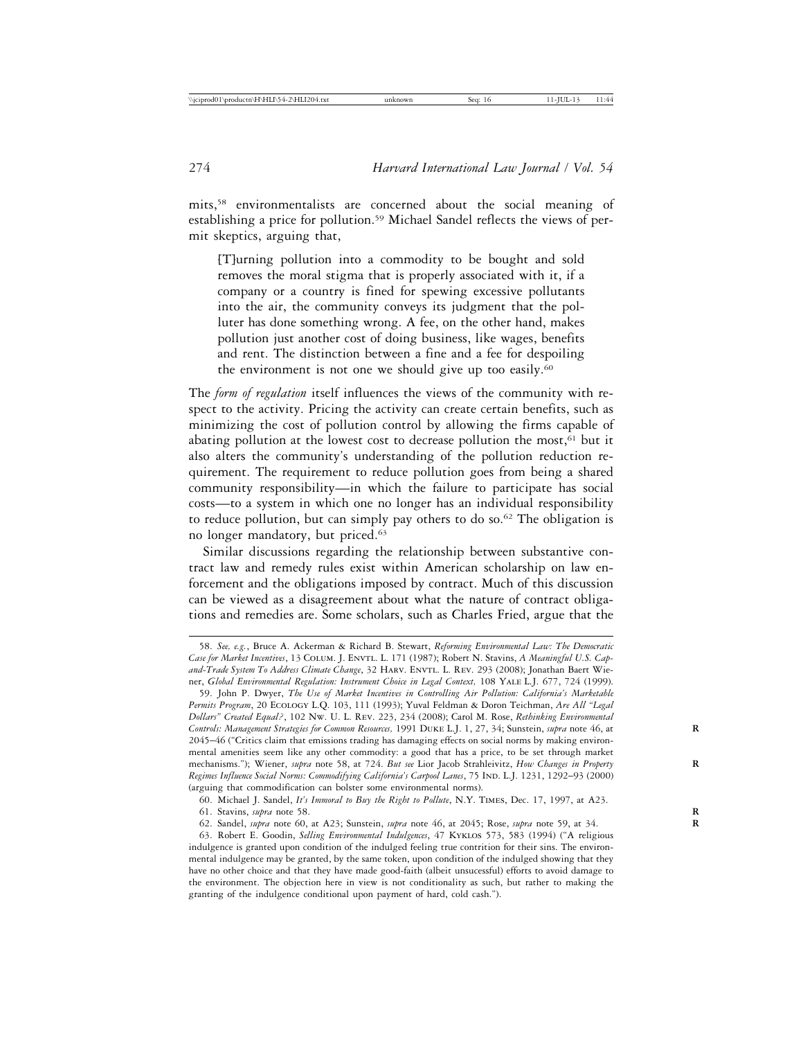mits,58 environmentalists are concerned about the social meaning of establishing a price for pollution.59 Michael Sandel reflects the views of permit skeptics, arguing that,

[T]urning pollution into a commodity to be bought and sold removes the moral stigma that is properly associated with it, if a company or a country is fined for spewing excessive pollutants into the air, the community conveys its judgment that the polluter has done something wrong. A fee, on the other hand, makes pollution just another cost of doing business, like wages, benefits and rent. The distinction between a fine and a fee for despoiling the environment is not one we should give up too easily.<sup>60</sup>

The *form of regulation* itself influences the views of the community with respect to the activity. Pricing the activity can create certain benefits, such as minimizing the cost of pollution control by allowing the firms capable of abating pollution at the lowest cost to decrease pollution the most, $61$  but it also alters the community's understanding of the pollution reduction requirement. The requirement to reduce pollution goes from being a shared community responsibility—in which the failure to participate has social costs—to a system in which one no longer has an individual responsibility to reduce pollution, but can simply pay others to do so.<sup>62</sup> The obligation is no longer mandatory, but priced.63

Similar discussions regarding the relationship between substantive contract law and remedy rules exist within American scholarship on law enforcement and the obligations imposed by contract. Much of this discussion can be viewed as a disagreement about what the nature of contract obligations and remedies are. Some scholars, such as Charles Fried, argue that the

60. Michael J. Sandel, *It's Immoral to Buy the Right to Pollute*, N.Y. Times, Dec. 17, 1997, at A23.

<sup>58.</sup> *See, e.g.*, Bruce A. Ackerman & Richard B. Stewart, *Reforming Environmental Law: The Democratic* Case for Market Incentives, 13 COLUM. J. ENVTL. L. 171 (1987); Robert N. Stavins, *A Meaningful U.S. Cap*and-Trade System To Address Climate Change, 32 HARV. ENVTL. L. REV. 293 (2008); Jonathan Baert Wiener, *Global Environmental Regulation: Instrument Choice in Legal Context,* 108 Yale L.J. 677, 724 (1999).

<sup>59.</sup> John P. Dwyer, *The Use of Market Incentives in Controlling Air Pollution: California's Marketable Permits Program*, 20 Ecology L.Q. 103, 111 (1993); Yuval Feldman & Doron Teichman, *Are All "Legal Dollars" Created Equal?*, 102 Nw. U. L. Rev. 223, 234 (2008); Carol M. Rose, *Rethinking Environmental Controls: Management Strategies for Common Resources,* 1991 Duke L.J. 1, 27, 34; Sunstein, *supra* note 46, at **R** 2045–46 ("Critics claim that emissions trading has damaging effects on social norms by making environmental amenities seem like any other commodity: a good that has a price, to be set through market mechanisms."); Wiener, *supra* note 58, at 724. *But see* Lior Jacob Strahleivitz, *How Changes in Property* **R** *Regimes Influence Social Norms: Commodifying California's Carpool Lanes*, 75 Ind. L.J. 1231, 1292–93 (2000) (arguing that commodification can bolster some environmental norms).

<sup>61.</sup> Stavins, *supra* note 58. **R**

<sup>62.</sup> Sandel, *supra* note 60, at A23; Sunstein, *supra* note 46, at 2045; Rose, *supra* note 59, at 34. **R**

<sup>63.</sup> Robert E. Goodin, *Selling Environmental Indulgences*, 47 Kyklos 573, 583 (1994) ("A religious indulgence is granted upon condition of the indulged feeling true contrition for their sins. The environmental indulgence may be granted, by the same token, upon condition of the indulged showing that they have no other choice and that they have made good-faith (albeit unsucessful) efforts to avoid damage to the environment. The objection here in view is not conditionality as such, but rather to making the granting of the indulgence conditional upon payment of hard, cold cash.").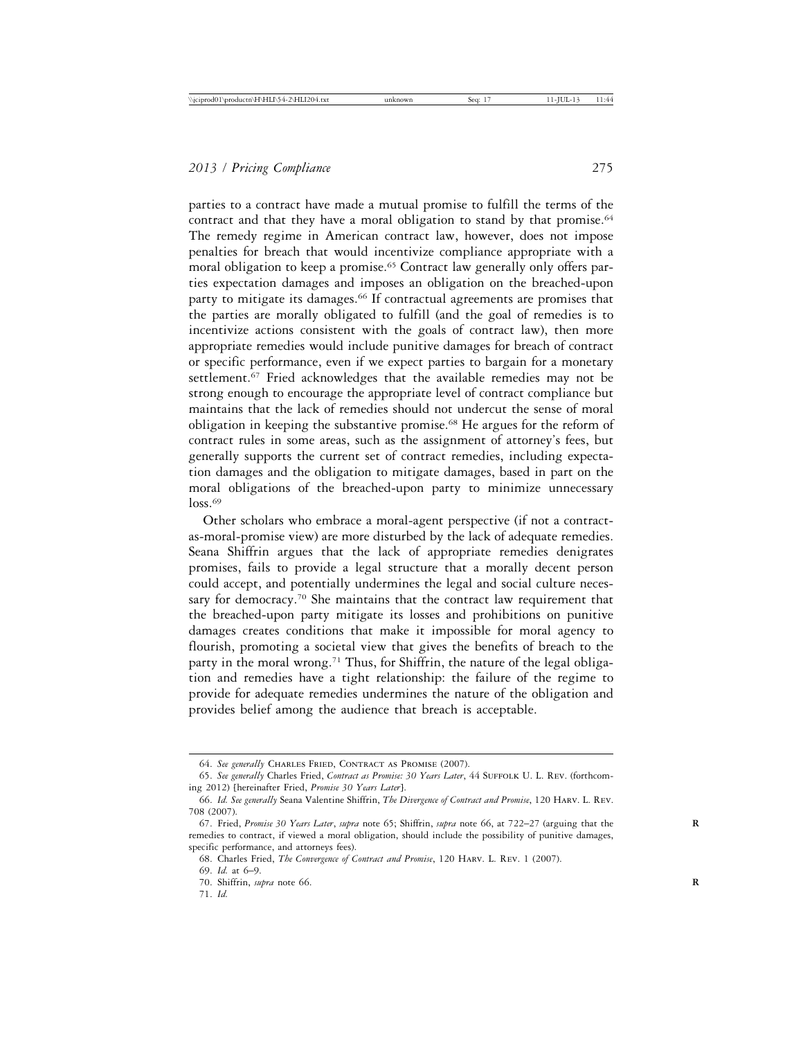parties to a contract have made a mutual promise to fulfill the terms of the contract and that they have a moral obligation to stand by that promise.<sup>64</sup> The remedy regime in American contract law, however, does not impose penalties for breach that would incentivize compliance appropriate with a moral obligation to keep a promise.<sup>65</sup> Contract law generally only offers parties expectation damages and imposes an obligation on the breached-upon party to mitigate its damages.<sup>66</sup> If contractual agreements are promises that the parties are morally obligated to fulfill (and the goal of remedies is to incentivize actions consistent with the goals of contract law), then more appropriate remedies would include punitive damages for breach of contract or specific performance, even if we expect parties to bargain for a monetary settlement.<sup>67</sup> Fried acknowledges that the available remedies may not be strong enough to encourage the appropriate level of contract compliance but maintains that the lack of remedies should not undercut the sense of moral obligation in keeping the substantive promise.68 He argues for the reform of contract rules in some areas, such as the assignment of attorney's fees, but generally supports the current set of contract remedies, including expectation damages and the obligation to mitigate damages, based in part on the moral obligations of the breached-upon party to minimize unnecessary  $\log 69$ 

Other scholars who embrace a moral-agent perspective (if not a contractas-moral-promise view) are more disturbed by the lack of adequate remedies. Seana Shiffrin argues that the lack of appropriate remedies denigrates promises, fails to provide a legal structure that a morally decent person could accept, and potentially undermines the legal and social culture necessary for democracy.<sup>70</sup> She maintains that the contract law requirement that the breached-upon party mitigate its losses and prohibitions on punitive damages creates conditions that make it impossible for moral agency to flourish, promoting a societal view that gives the benefits of breach to the party in the moral wrong.<sup>71</sup> Thus, for Shiffrin, the nature of the legal obligation and remedies have a tight relationship: the failure of the regime to provide for adequate remedies undermines the nature of the obligation and provides belief among the audience that breach is acceptable.

<sup>64.</sup> *See generally* Charles Fried, Contract as Promise (2007).

<sup>65.</sup> *See generally* Charles Fried, *Contract as Promise: 30 Years Later*, 44 Suffolk U. L. Rev. (forthcoming 2012) [hereinafter Fried, *Promise 30 Years Later*].

<sup>66.</sup> *Id. See generally* Seana Valentine Shiffrin, *The Divergence of Contract and Promise*, 120 Harv. L. Rev. 708 (2007).

<sup>67.</sup> Fried, *Promise 30 Years Later*, *supra* note 65; Shiffrin, *supra* note 66, at 722–27 (arguing that the **R** remedies to contract, if viewed a moral obligation, should include the possibility of punitive damages, specific performance, and attorneys fees).

<sup>68.</sup> Charles Fried, *The Convergence of Contract and Promise*, 120 Harv. L. Rev. 1 (2007).

<sup>69.</sup> *Id.* at 6–9.

<sup>70.</sup> Shiffrin, *supra* note 66. **R**

<sup>71.</sup> *Id.*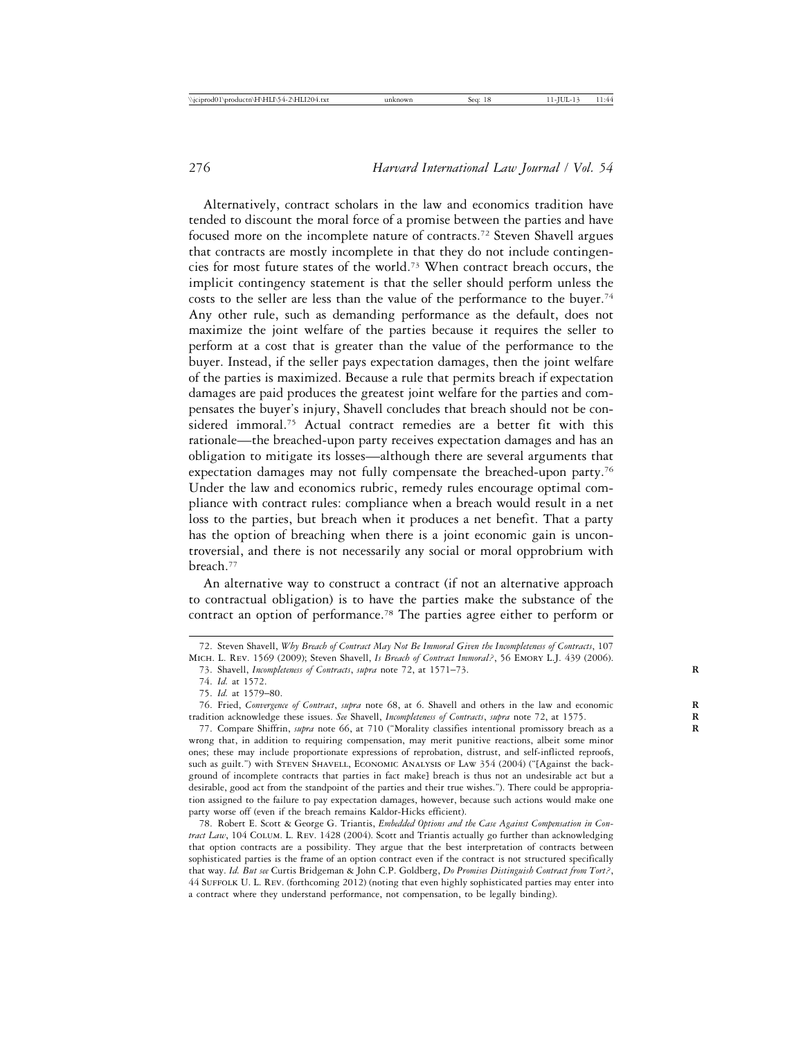Alternatively, contract scholars in the law and economics tradition have tended to discount the moral force of a promise between the parties and have focused more on the incomplete nature of contracts.<sup>72</sup> Steven Shavell argues that contracts are mostly incomplete in that they do not include contingencies for most future states of the world.73 When contract breach occurs, the implicit contingency statement is that the seller should perform unless the costs to the seller are less than the value of the performance to the buyer.<sup>74</sup> Any other rule, such as demanding performance as the default, does not maximize the joint welfare of the parties because it requires the seller to perform at a cost that is greater than the value of the performance to the buyer. Instead, if the seller pays expectation damages, then the joint welfare of the parties is maximized. Because a rule that permits breach if expectation damages are paid produces the greatest joint welfare for the parties and compensates the buyer's injury, Shavell concludes that breach should not be considered immoral.75 Actual contract remedies are a better fit with this rationale—the breached-upon party receives expectation damages and has an obligation to mitigate its losses—although there are several arguments that expectation damages may not fully compensate the breached-upon party.76 Under the law and economics rubric, remedy rules encourage optimal compliance with contract rules: compliance when a breach would result in a net loss to the parties, but breach when it produces a net benefit. That a party has the option of breaching when there is a joint economic gain is uncontroversial, and there is not necessarily any social or moral opprobrium with breach.77

An alternative way to construct a contract (if not an alternative approach to contractual obligation) is to have the parties make the substance of the contract an option of performance.78 The parties agree either to perform or

78. Robert E. Scott & George G. Triantis, *Embedded Options and the Case Against Compensation in Contract Law*, 104 Colum. L. Rev. 1428 (2004). Scott and Triantis actually go further than acknowledging that option contracts are a possibility. They argue that the best interpretation of contracts between sophisticated parties is the frame of an option contract even if the contract is not structured specifically that way. *Id. But see* Curtis Bridgeman & John C.P. Goldberg, *Do Promises Distinguish Contract from Tort?*, 44 Suffolk U. L. Rev. (forthcoming 2012) (noting that even highly sophisticated parties may enter into a contract where they understand performance, not compensation, to be legally binding).

<sup>72.</sup> Steven Shavell, *Why Breach of Contract May Not Be Immoral Given the Incompleteness of Contracts*, 107 Mich. L. Rev. 1569 (2009); Steven Shavell, *Is Breach of Contract Immoral?*, 56 Emory L.J. 439 (2006).

<sup>73.</sup> Shavell, *Incompleteness of Contracts*, *supra* note 72, at 1571–73. **R**

<sup>74.</sup> *Id.* at 1572.

<sup>75.</sup> *Id.* at 1579–80.

<sup>76.</sup> Fried, *Convergence of Contract*, *supra* note 68, at 6. Shavell and others in the law and economic **R** tradition acknowledge these issues. *See* Shavell, *Incompleteness of Contracts*, *supra* note 72, at 1575. **R**

<sup>77.</sup> Compare Shiffrin, *supra* note 66, at 710 ("Morality classifies intentional promissory breach as a wrong that, in addition to requiring compensation, may merit punitive reactions, albeit some minor ones; these may include proportionate expressions of reprobation, distrust, and self-inflicted reproofs, such as guilt.") with STEVEN SHAVELL, ECONOMIC ANALYSIS OF LAW 354 (2004) ("[Against the background of incomplete contracts that parties in fact make] breach is thus not an undesirable act but a desirable, good act from the standpoint of the parties and their true wishes."). There could be appropriation assigned to the failure to pay expectation damages, however, because such actions would make one party worse off (even if the breach remains Kaldor-Hicks efficient).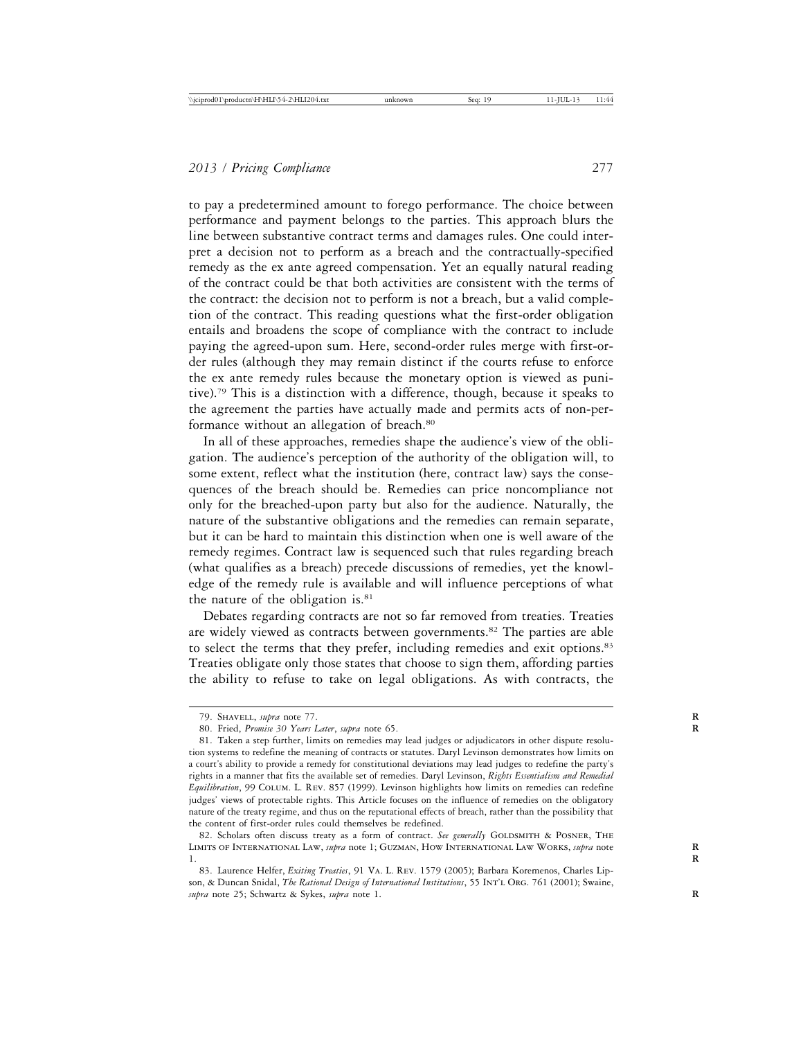to pay a predetermined amount to forego performance. The choice between performance and payment belongs to the parties. This approach blurs the line between substantive contract terms and damages rules. One could interpret a decision not to perform as a breach and the contractually-specified remedy as the ex ante agreed compensation. Yet an equally natural reading of the contract could be that both activities are consistent with the terms of the contract: the decision not to perform is not a breach, but a valid completion of the contract. This reading questions what the first-order obligation entails and broadens the scope of compliance with the contract to include paying the agreed-upon sum. Here, second-order rules merge with first-order rules (although they may remain distinct if the courts refuse to enforce the ex ante remedy rules because the monetary option is viewed as punitive).79 This is a distinction with a difference, though, because it speaks to the agreement the parties have actually made and permits acts of non-performance without an allegation of breach.<sup>80</sup>

In all of these approaches, remedies shape the audience's view of the obligation. The audience's perception of the authority of the obligation will, to some extent, reflect what the institution (here, contract law) says the consequences of the breach should be. Remedies can price noncompliance not only for the breached-upon party but also for the audience. Naturally, the nature of the substantive obligations and the remedies can remain separate, but it can be hard to maintain this distinction when one is well aware of the remedy regimes. Contract law is sequenced such that rules regarding breach (what qualifies as a breach) precede discussions of remedies, yet the knowledge of the remedy rule is available and will influence perceptions of what the nature of the obligation is.<sup>81</sup>

Debates regarding contracts are not so far removed from treaties. Treaties are widely viewed as contracts between governments.82 The parties are able to select the terms that they prefer, including remedies and exit options.<sup>83</sup> Treaties obligate only those states that choose to sign them, affording parties the ability to refuse to take on legal obligations. As with contracts, the

<sup>79.</sup> SHAVELL, *supra* note 77.

<sup>80.</sup> Fried, *Promise 30 Years Later*, *supra* note 65. **R**

<sup>81.</sup> Taken a step further, limits on remedies may lead judges or adjudicators in other dispute resolution systems to redefine the meaning of contracts or statutes. Daryl Levinson demonstrates how limits on a court's ability to provide a remedy for constitutional deviations may lead judges to redefine the party's rights in a manner that fits the available set of remedies. Daryl Levinson, *Rights Essentialism and Remedial Equilibration*, 99 Colum. L. Rev. 857 (1999). Levinson highlights how limits on remedies can redefine judges' views of protectable rights. This Article focuses on the influence of remedies on the obligatory nature of the treaty regime, and thus on the reputational effects of breach, rather than the possibility that the content of first-order rules could themselves be redefined.

<sup>82.</sup> Scholars often discuss treaty as a form of contract. See generally GOLDSMITH & POSNER, THE Limits of International Law, *supra* note 1; Guzman, How International Law Works, *supra* note **R** 1. **R**

<sup>83.</sup> Laurence Helfer, *Exiting Treaties*, 91 Va. L. Rev. 1579 (2005); Barbara Koremenos, Charles Lipson, & Duncan Snidal, *The Rational Design of International Institutions*, 55 Int'l Org. 761 (2001); Swaine, *supra* note 25; Schwartz & Sykes, *supra* note 1. **R**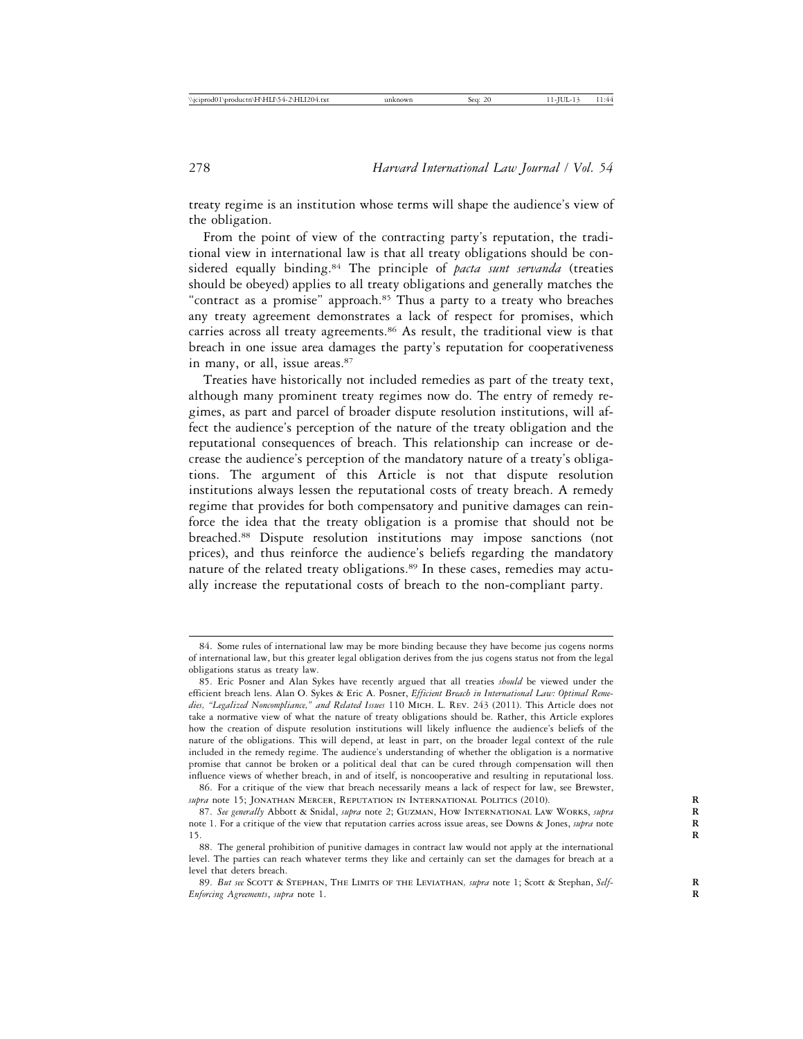treaty regime is an institution whose terms will shape the audience's view of the obligation.

From the point of view of the contracting party's reputation, the traditional view in international law is that all treaty obligations should be considered equally binding.84 The principle of *pacta sunt servanda* (treaties should be obeyed) applies to all treaty obligations and generally matches the "contract as a promise" approach.<sup>85</sup> Thus a party to a treaty who breaches any treaty agreement demonstrates a lack of respect for promises, which carries across all treaty agreements.<sup>86</sup> As result, the traditional view is that breach in one issue area damages the party's reputation for cooperativeness in many, or all, issue areas.<sup>87</sup>

Treaties have historically not included remedies as part of the treaty text, although many prominent treaty regimes now do. The entry of remedy regimes, as part and parcel of broader dispute resolution institutions, will affect the audience's perception of the nature of the treaty obligation and the reputational consequences of breach. This relationship can increase or decrease the audience's perception of the mandatory nature of a treaty's obligations. The argument of this Article is not that dispute resolution institutions always lessen the reputational costs of treaty breach. A remedy regime that provides for both compensatory and punitive damages can reinforce the idea that the treaty obligation is a promise that should not be breached.88 Dispute resolution institutions may impose sanctions (not prices), and thus reinforce the audience's beliefs regarding the mandatory nature of the related treaty obligations.<sup>89</sup> In these cases, remedies may actually increase the reputational costs of breach to the non-compliant party.

<sup>84.</sup> Some rules of international law may be more binding because they have become jus cogens norms of international law, but this greater legal obligation derives from the jus cogens status not from the legal obligations status as treaty law.

<sup>85.</sup> Eric Posner and Alan Sykes have recently argued that all treaties *should* be viewed under the efficient breach lens. Alan O. Sykes & Eric A. Posner, *Efficient Breach in International Law: Optimal Remedies, "Legalized Noncompliance," and Related Issues* 110 Mich. L. Rev. 243 (2011). This Article does not take a normative view of what the nature of treaty obligations should be. Rather, this Article explores how the creation of dispute resolution institutions will likely influence the audience's beliefs of the nature of the obligations. This will depend, at least in part, on the broader legal context of the rule included in the remedy regime. The audience's understanding of whether the obligation is a normative promise that cannot be broken or a political deal that can be cured through compensation will then influence views of whether breach, in and of itself, is noncooperative and resulting in reputational loss.

<sup>86.</sup> For a critique of the view that breach necessarily means a lack of respect for law, see Brewster, *supra* note 15; JONATHAN MERCER, REPUTATION IN INTERNATIONAL POLITICS (2010).

<sup>87.</sup> *See generally* Abbott & Snidal, *supra* note 2; Guzman, How International Law Works, *supra* **R** note 1. For a critique of the view that reputation carries across issue areas, see Downs & Jones, *supra* note **R** 15. **R**

<sup>88.</sup> The general prohibition of punitive damages in contract law would not apply at the international level. The parties can reach whatever terms they like and certainly can set the damages for breach at a level that deters breach.

<sup>89.</sup> *But see* Scott & Stephan, The Limits of the Leviathan*, supra* note 1; Scott & Stephan, *Self-* **R** *Enforcing Agreements*, *supra* note 1. **R**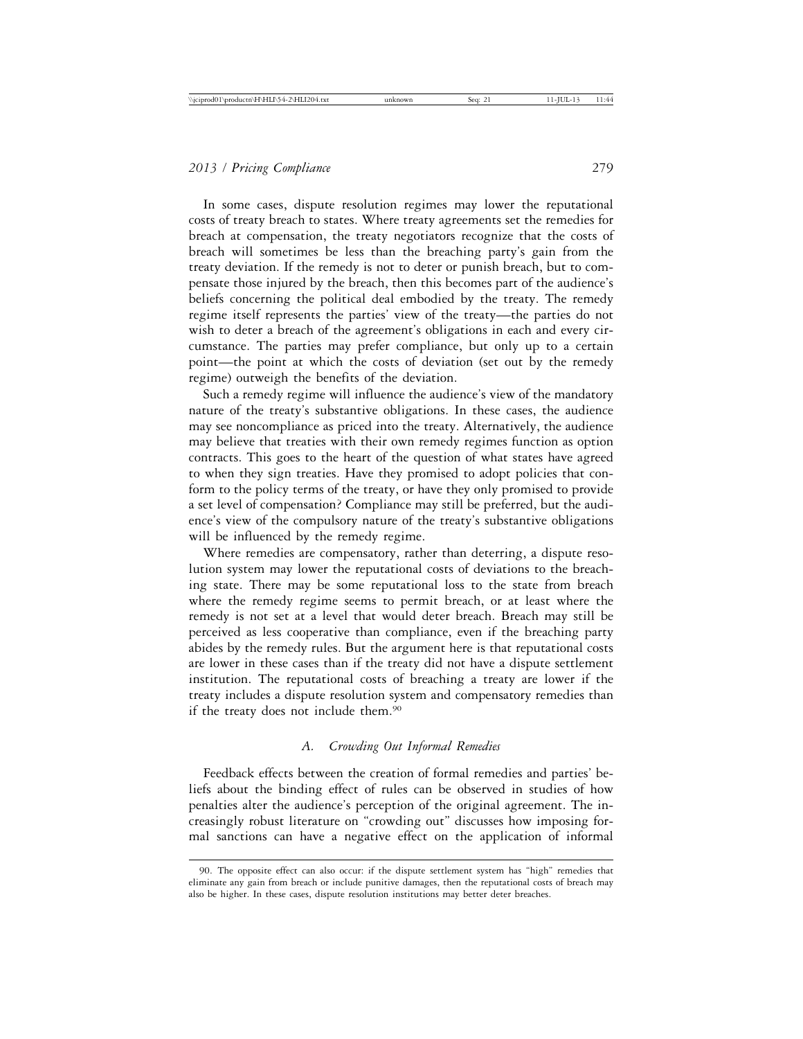In some cases, dispute resolution regimes may lower the reputational costs of treaty breach to states. Where treaty agreements set the remedies for breach at compensation, the treaty negotiators recognize that the costs of breach will sometimes be less than the breaching party's gain from the treaty deviation. If the remedy is not to deter or punish breach, but to compensate those injured by the breach, then this becomes part of the audience's beliefs concerning the political deal embodied by the treaty. The remedy regime itself represents the parties' view of the treaty—the parties do not wish to deter a breach of the agreement's obligations in each and every circumstance. The parties may prefer compliance, but only up to a certain point—the point at which the costs of deviation (set out by the remedy regime) outweigh the benefits of the deviation.

Such a remedy regime will influence the audience's view of the mandatory nature of the treaty's substantive obligations. In these cases, the audience may see noncompliance as priced into the treaty. Alternatively, the audience may believe that treaties with their own remedy regimes function as option contracts. This goes to the heart of the question of what states have agreed to when they sign treaties. Have they promised to adopt policies that conform to the policy terms of the treaty, or have they only promised to provide a set level of compensation? Compliance may still be preferred, but the audience's view of the compulsory nature of the treaty's substantive obligations will be influenced by the remedy regime.

Where remedies are compensatory, rather than deterring, a dispute resolution system may lower the reputational costs of deviations to the breaching state. There may be some reputational loss to the state from breach where the remedy regime seems to permit breach, or at least where the remedy is not set at a level that would deter breach. Breach may still be perceived as less cooperative than compliance, even if the breaching party abides by the remedy rules. But the argument here is that reputational costs are lower in these cases than if the treaty did not have a dispute settlement institution. The reputational costs of breaching a treaty are lower if the treaty includes a dispute resolution system and compensatory remedies than if the treaty does not include them.90

#### *A. Crowding Out Informal Remedies*

Feedback effects between the creation of formal remedies and parties' beliefs about the binding effect of rules can be observed in studies of how penalties alter the audience's perception of the original agreement. The increasingly robust literature on "crowding out" discusses how imposing formal sanctions can have a negative effect on the application of informal

<sup>90.</sup> The opposite effect can also occur: if the dispute settlement system has "high" remedies that eliminate any gain from breach or include punitive damages, then the reputational costs of breach may also be higher. In these cases, dispute resolution institutions may better deter breaches.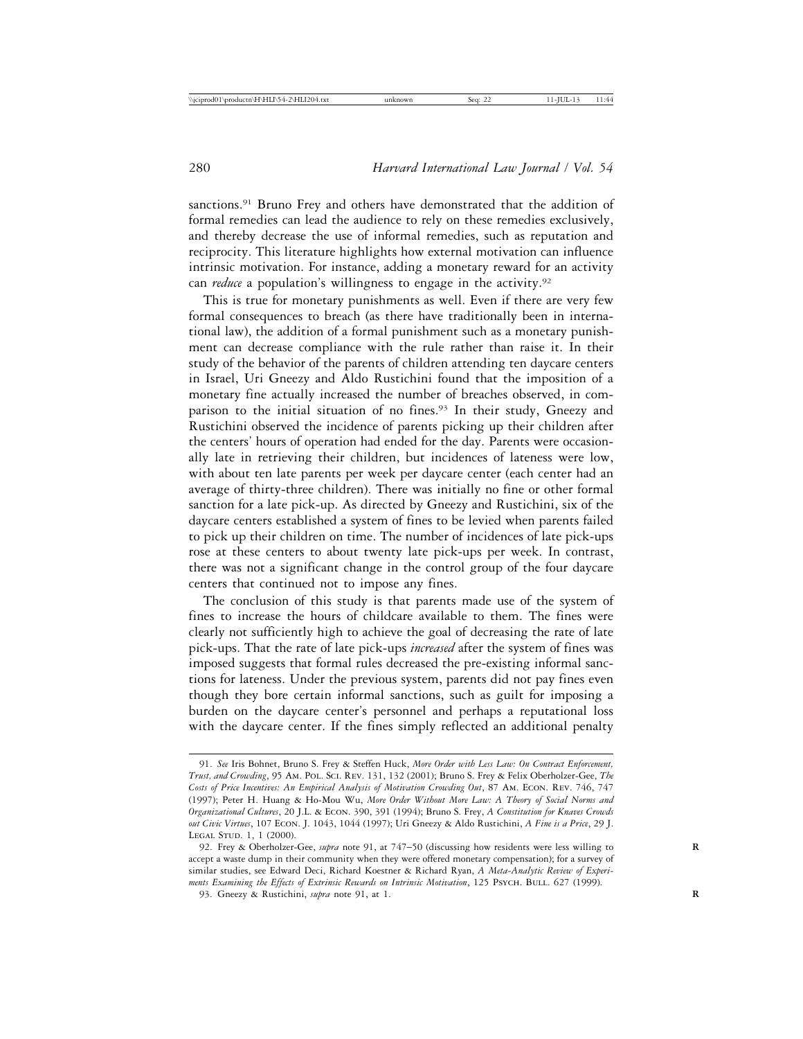sanctions.91 Bruno Frey and others have demonstrated that the addition of formal remedies can lead the audience to rely on these remedies exclusively, and thereby decrease the use of informal remedies, such as reputation and reciprocity. This literature highlights how external motivation can influence intrinsic motivation. For instance, adding a monetary reward for an activity can *reduce* a population's willingness to engage in the activity.<sup>92</sup>

This is true for monetary punishments as well. Even if there are very few formal consequences to breach (as there have traditionally been in international law), the addition of a formal punishment such as a monetary punishment can decrease compliance with the rule rather than raise it. In their study of the behavior of the parents of children attending ten daycare centers in Israel, Uri Gneezy and Aldo Rustichini found that the imposition of a monetary fine actually increased the number of breaches observed, in comparison to the initial situation of no fines.<sup>93</sup> In their study, Gneezy and Rustichini observed the incidence of parents picking up their children after the centers' hours of operation had ended for the day. Parents were occasionally late in retrieving their children, but incidences of lateness were low, with about ten late parents per week per daycare center (each center had an average of thirty-three children). There was initially no fine or other formal sanction for a late pick-up. As directed by Gneezy and Rustichini, six of the daycare centers established a system of fines to be levied when parents failed to pick up their children on time. The number of incidences of late pick-ups rose at these centers to about twenty late pick-ups per week. In contrast, there was not a significant change in the control group of the four daycare centers that continued not to impose any fines.

The conclusion of this study is that parents made use of the system of fines to increase the hours of childcare available to them. The fines were clearly not sufficiently high to achieve the goal of decreasing the rate of late pick-ups. That the rate of late pick-ups *increased* after the system of fines was imposed suggests that formal rules decreased the pre-existing informal sanctions for lateness. Under the previous system, parents did not pay fines even though they bore certain informal sanctions, such as guilt for imposing a burden on the daycare center's personnel and perhaps a reputational loss with the daycare center. If the fines simply reflected an additional penalty

<sup>91.</sup> *See* Iris Bohnet, Bruno S. Frey & Steffen Huck, *More Order with Less Law: On Contract Enforcement, Trust, and Crowding*, 95 Am. Pol. Sci. Rev. 131, 132 (2001); Bruno S. Frey & Felix Oberholzer-Gee, *The Costs of Price Incentives: An Empirical Analysis of Motivation Crowding Out*, 87 Am. Econ. Rev. 746, 747 (1997); Peter H. Huang & Ho-Mou Wu, *More Order Without More Law: A Theory of Social Norms and Organizational Cultures*, 20 J.L. & Econ. 390, 391 (1994); Bruno S. Frey, *A Constitution for Knaves Crowds out Civic Virtues*, 107 Econ. J. 1043, 1044 (1997); Uri Gneezy & Aldo Rustichini, *A Fine is a Price*, 29 J. LEGAL STUD. 1, 1 (2000).

<sup>92.</sup> Frey & Oberholzer-Gee, *supra* note 91, at 747–50 (discussing how residents were less willing to **R** accept a waste dump in their community when they were offered monetary compensation); for a survey of similar studies, see Edward Deci, Richard Koestner & Richard Ryan, *A Meta-Analytic Review of Experiments Examining the Effects of Extrinsic Rewards on Intrinsic Motivation*, 125 PSYCH. BULL. 627 (1999).

<sup>93.</sup> Gneezy & Rustichini, *supra* note 91, at 1. **R**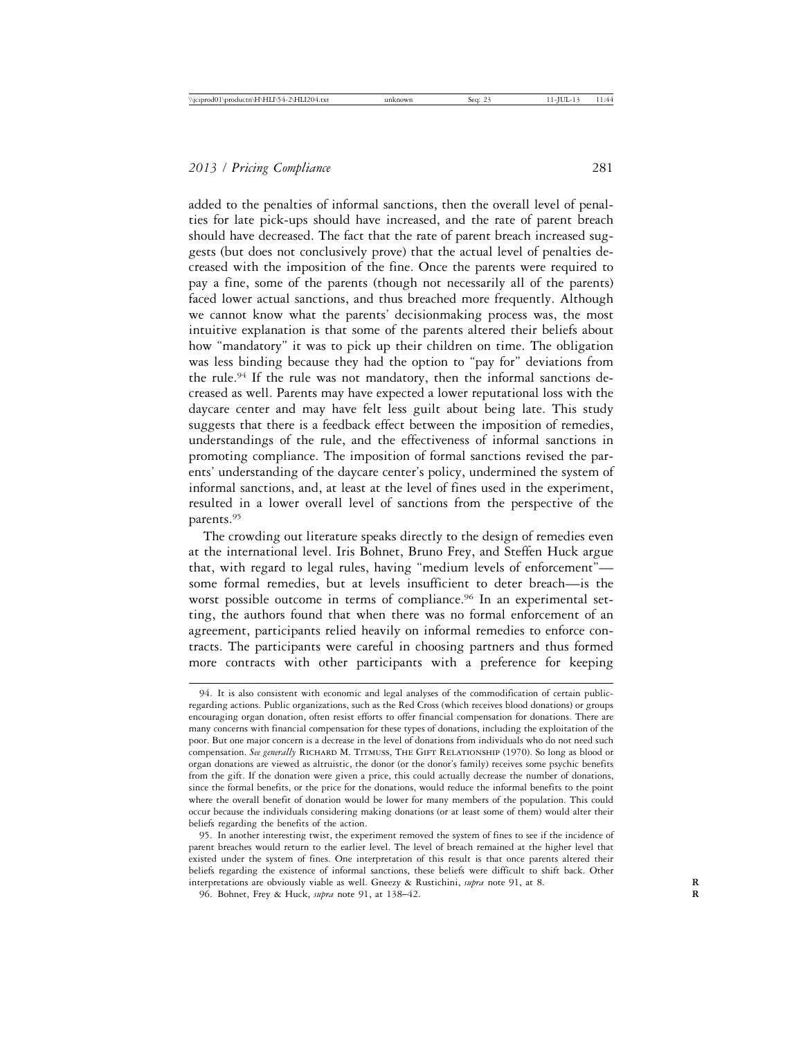added to the penalties of informal sanctions, then the overall level of penalties for late pick-ups should have increased, and the rate of parent breach should have decreased. The fact that the rate of parent breach increased suggests (but does not conclusively prove) that the actual level of penalties decreased with the imposition of the fine. Once the parents were required to pay a fine, some of the parents (though not necessarily all of the parents) faced lower actual sanctions, and thus breached more frequently. Although we cannot know what the parents' decisionmaking process was, the most intuitive explanation is that some of the parents altered their beliefs about how "mandatory" it was to pick up their children on time. The obligation was less binding because they had the option to "pay for" deviations from the rule.94 If the rule was not mandatory, then the informal sanctions decreased as well. Parents may have expected a lower reputational loss with the daycare center and may have felt less guilt about being late. This study suggests that there is a feedback effect between the imposition of remedies, understandings of the rule, and the effectiveness of informal sanctions in promoting compliance. The imposition of formal sanctions revised the parents' understanding of the daycare center's policy, undermined the system of informal sanctions, and, at least at the level of fines used in the experiment, resulted in a lower overall level of sanctions from the perspective of the parents.95

The crowding out literature speaks directly to the design of remedies even at the international level. Iris Bohnet, Bruno Frey, and Steffen Huck argue that, with regard to legal rules, having "medium levels of enforcement" some formal remedies, but at levels insufficient to deter breach—is the worst possible outcome in terms of compliance.<sup>96</sup> In an experimental setting, the authors found that when there was no formal enforcement of an agreement, participants relied heavily on informal remedies to enforce contracts. The participants were careful in choosing partners and thus formed more contracts with other participants with a preference for keeping

<sup>94.</sup> It is also consistent with economic and legal analyses of the commodification of certain publicregarding actions. Public organizations, such as the Red Cross (which receives blood donations) or groups encouraging organ donation, often resist efforts to offer financial compensation for donations. There are many concerns with financial compensation for these types of donations, including the exploitation of the poor. But one major concern is a decrease in the level of donations from individuals who do not need such compensation. See generally RICHARD M. TITMUSS, THE GIFT RELATIONSHIP (1970). So long as blood or organ donations are viewed as altruistic, the donor (or the donor's family) receives some psychic benefits from the gift. If the donation were given a price, this could actually decrease the number of donations, since the formal benefits, or the price for the donations, would reduce the informal benefits to the point where the overall benefit of donation would be lower for many members of the population. This could occur because the individuals considering making donations (or at least some of them) would alter their beliefs regarding the benefits of the action.

<sup>95.</sup> In another interesting twist, the experiment removed the system of fines to see if the incidence of parent breaches would return to the earlier level. The level of breach remained at the higher level that existed under the system of fines. One interpretation of this result is that once parents altered their beliefs regarding the existence of informal sanctions, these beliefs were difficult to shift back. Other interpretations are obviously viable as well. Gneezy & Rustichini, *supra* note 91, at 8.

<sup>96.</sup> Bohnet, Frey & Huck, *supra* note 91, at 138–42. **R**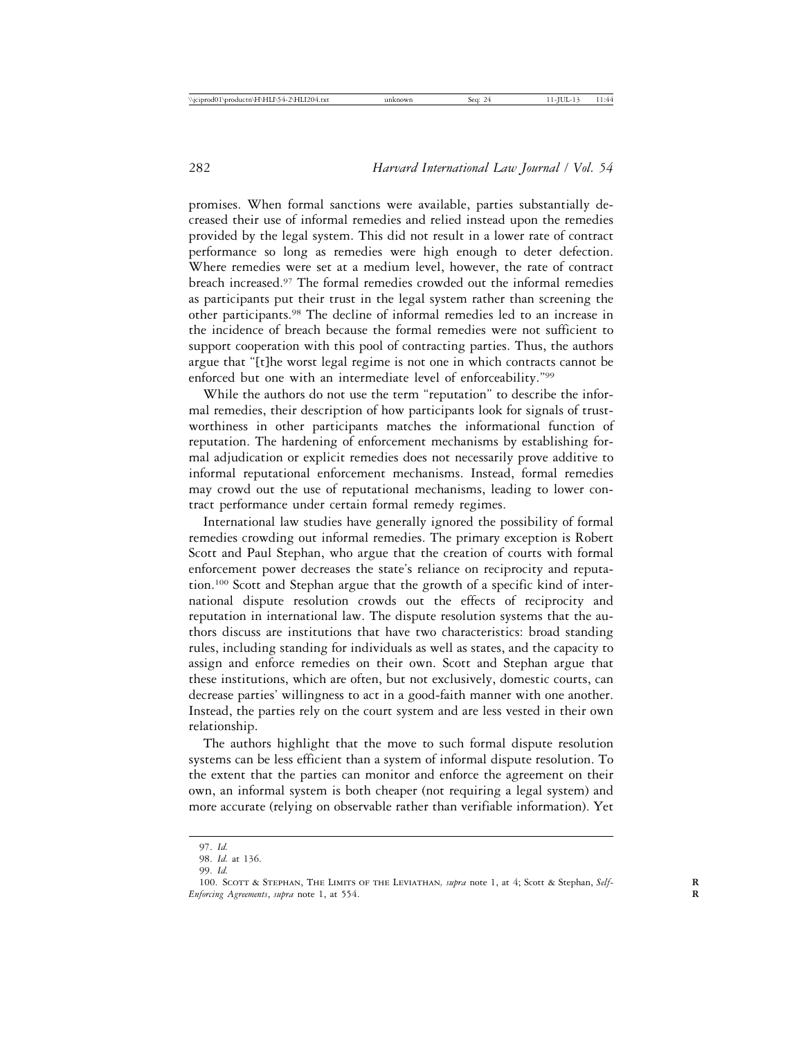promises. When formal sanctions were available, parties substantially decreased their use of informal remedies and relied instead upon the remedies provided by the legal system. This did not result in a lower rate of contract performance so long as remedies were high enough to deter defection. Where remedies were set at a medium level, however, the rate of contract breach increased.97 The formal remedies crowded out the informal remedies as participants put their trust in the legal system rather than screening the other participants.98 The decline of informal remedies led to an increase in the incidence of breach because the formal remedies were not sufficient to support cooperation with this pool of contracting parties. Thus, the authors argue that "[t]he worst legal regime is not one in which contracts cannot be enforced but one with an intermediate level of enforceability."99

While the authors do not use the term "reputation" to describe the informal remedies, their description of how participants look for signals of trustworthiness in other participants matches the informational function of reputation. The hardening of enforcement mechanisms by establishing formal adjudication or explicit remedies does not necessarily prove additive to informal reputational enforcement mechanisms. Instead, formal remedies may crowd out the use of reputational mechanisms, leading to lower contract performance under certain formal remedy regimes.

International law studies have generally ignored the possibility of formal remedies crowding out informal remedies. The primary exception is Robert Scott and Paul Stephan, who argue that the creation of courts with formal enforcement power decreases the state's reliance on reciprocity and reputation.100 Scott and Stephan argue that the growth of a specific kind of international dispute resolution crowds out the effects of reciprocity and reputation in international law. The dispute resolution systems that the authors discuss are institutions that have two characteristics: broad standing rules, including standing for individuals as well as states, and the capacity to assign and enforce remedies on their own. Scott and Stephan argue that these institutions, which are often, but not exclusively, domestic courts, can decrease parties' willingness to act in a good-faith manner with one another. Instead, the parties rely on the court system and are less vested in their own relationship.

The authors highlight that the move to such formal dispute resolution systems can be less efficient than a system of informal dispute resolution. To the extent that the parties can monitor and enforce the agreement on their own, an informal system is both cheaper (not requiring a legal system) and more accurate (relying on observable rather than verifiable information). Yet

<sup>97.</sup> *Id.*

<sup>98.</sup> *Id.* at 136.

<sup>99.</sup> *Id.*

<sup>100.</sup> Scott & Stephan, The Limits of the Leviathan*, supra* note 1, at 4; Scott & Stephan, *Self-* **R** *Enforcing Agreements*, *supra* note 1, at 554. **R**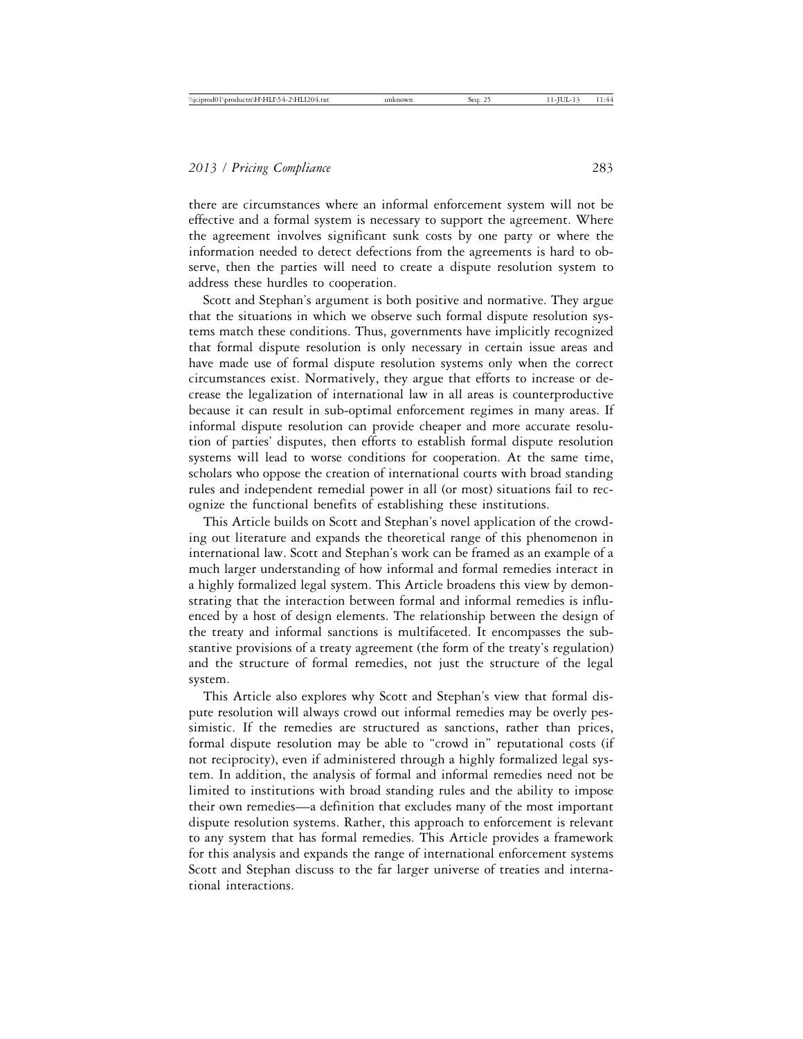there are circumstances where an informal enforcement system will not be effective and a formal system is necessary to support the agreement. Where the agreement involves significant sunk costs by one party or where the information needed to detect defections from the agreements is hard to observe, then the parties will need to create a dispute resolution system to address these hurdles to cooperation.

Scott and Stephan's argument is both positive and normative. They argue that the situations in which we observe such formal dispute resolution systems match these conditions. Thus, governments have implicitly recognized that formal dispute resolution is only necessary in certain issue areas and have made use of formal dispute resolution systems only when the correct circumstances exist. Normatively, they argue that efforts to increase or decrease the legalization of international law in all areas is counterproductive because it can result in sub-optimal enforcement regimes in many areas. If informal dispute resolution can provide cheaper and more accurate resolution of parties' disputes, then efforts to establish formal dispute resolution systems will lead to worse conditions for cooperation. At the same time, scholars who oppose the creation of international courts with broad standing rules and independent remedial power in all (or most) situations fail to recognize the functional benefits of establishing these institutions.

This Article builds on Scott and Stephan's novel application of the crowding out literature and expands the theoretical range of this phenomenon in international law. Scott and Stephan's work can be framed as an example of a much larger understanding of how informal and formal remedies interact in a highly formalized legal system. This Article broadens this view by demonstrating that the interaction between formal and informal remedies is influenced by a host of design elements. The relationship between the design of the treaty and informal sanctions is multifaceted. It encompasses the substantive provisions of a treaty agreement (the form of the treaty's regulation) and the structure of formal remedies, not just the structure of the legal system.

This Article also explores why Scott and Stephan's view that formal dispute resolution will always crowd out informal remedies may be overly pessimistic. If the remedies are structured as sanctions, rather than prices, formal dispute resolution may be able to "crowd in" reputational costs (if not reciprocity), even if administered through a highly formalized legal system. In addition, the analysis of formal and informal remedies need not be limited to institutions with broad standing rules and the ability to impose their own remedies—a definition that excludes many of the most important dispute resolution systems. Rather, this approach to enforcement is relevant to any system that has formal remedies. This Article provides a framework for this analysis and expands the range of international enforcement systems Scott and Stephan discuss to the far larger universe of treaties and international interactions.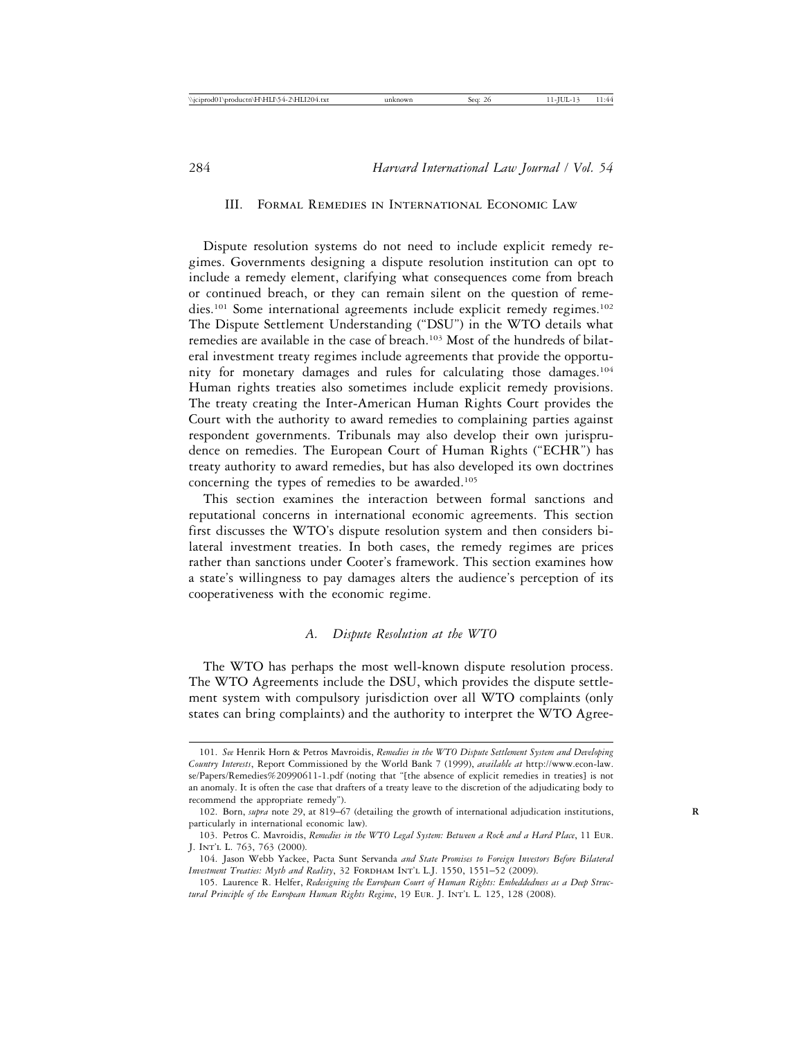#### III. Formal Remedies in International Economic Law

Dispute resolution systems do not need to include explicit remedy regimes. Governments designing a dispute resolution institution can opt to include a remedy element, clarifying what consequences come from breach or continued breach, or they can remain silent on the question of remedies.<sup>101</sup> Some international agreements include explicit remedy regimes.<sup>102</sup> The Dispute Settlement Understanding ("DSU") in the WTO details what remedies are available in the case of breach.103 Most of the hundreds of bilateral investment treaty regimes include agreements that provide the opportunity for monetary damages and rules for calculating those damages.104 Human rights treaties also sometimes include explicit remedy provisions. The treaty creating the Inter-American Human Rights Court provides the Court with the authority to award remedies to complaining parties against respondent governments. Tribunals may also develop their own jurisprudence on remedies. The European Court of Human Rights ("ECHR") has treaty authority to award remedies, but has also developed its own doctrines concerning the types of remedies to be awarded.105

This section examines the interaction between formal sanctions and reputational concerns in international economic agreements. This section first discusses the WTO's dispute resolution system and then considers bilateral investment treaties. In both cases, the remedy regimes are prices rather than sanctions under Cooter's framework. This section examines how a state's willingness to pay damages alters the audience's perception of its cooperativeness with the economic regime.

## *A. Dispute Resolution at the WTO*

The WTO has perhaps the most well-known dispute resolution process. The WTO Agreements include the DSU, which provides the dispute settlement system with compulsory jurisdiction over all WTO complaints (only states can bring complaints) and the authority to interpret the WTO Agree-

<sup>101.</sup> *See* Henrik Horn & Petros Mavroidis, *Remedies in the WTO Dispute Settlement System and Developing Country Interests*, Report Commissioned by the World Bank 7 (1999), *available at* http://www.econ-law. se/Papers/Remedies%20990611-1.pdf (noting that "[the absence of explicit remedies in treaties] is not an anomaly. It is often the case that drafters of a treaty leave to the discretion of the adjudicating body to recommend the appropriate remedy").

<sup>102.</sup> Born, *supra* note 29, at 819–67 (detailing the growth of international adjudication institutions, **R** particularly in international economic law).

<sup>103.</sup> Petros C. Mavroidis, *Remedies in the WTO Legal System: Between a Rock and a Hard Place*, 11 Eur. J. Int'l L. 763, 763 (2000).

<sup>104.</sup> Jason Webb Yackee, Pacta Sunt Servanda *and State Promises to Foreign Investors Before Bilateral Investment Treaties: Myth and Reality*, 32 FORDHAM INT'L L.J. 1550, 1551-52 (2009).

<sup>105.</sup> Laurence R. Helfer, *Redesigning the European Court of Human Rights: Embeddedness as a Deep Struc*tural Principle of the European Human Rights Regime, 19 EUR. J. INT'L L. 125, 128 (2008).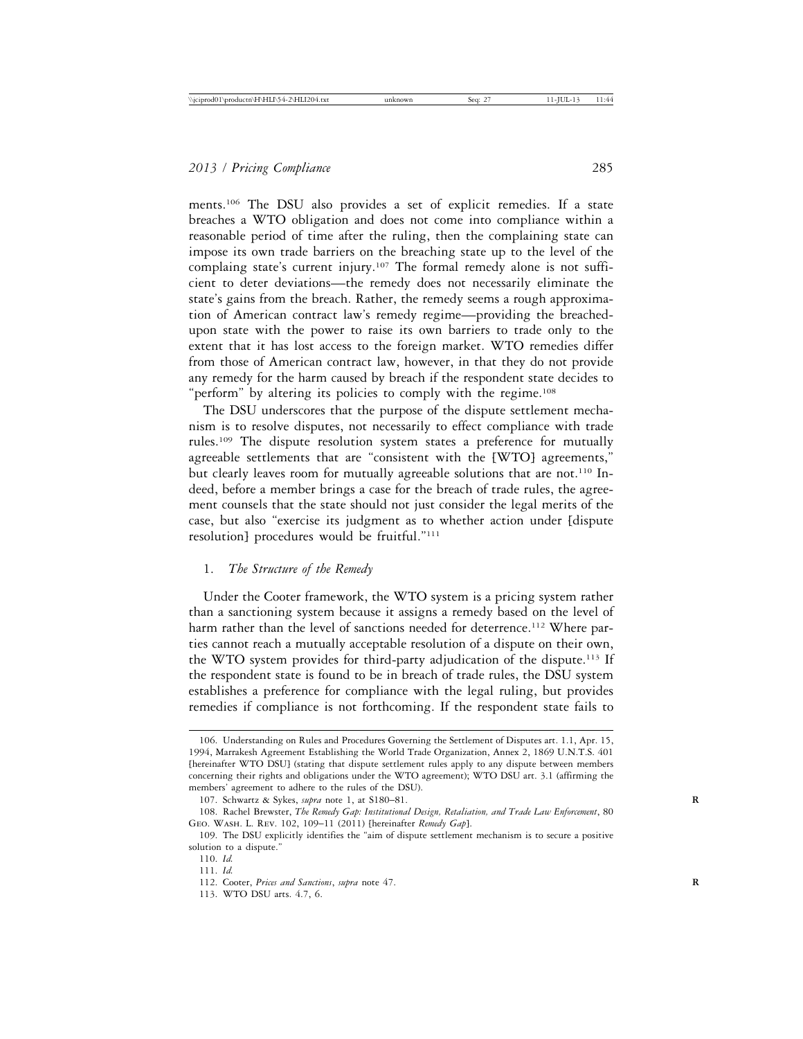ments.106 The DSU also provides a set of explicit remedies. If a state breaches a WTO obligation and does not come into compliance within a reasonable period of time after the ruling, then the complaining state can impose its own trade barriers on the breaching state up to the level of the complaing state's current injury.107 The formal remedy alone is not sufficient to deter deviations—the remedy does not necessarily eliminate the state's gains from the breach. Rather, the remedy seems a rough approximation of American contract law's remedy regime—providing the breachedupon state with the power to raise its own barriers to trade only to the extent that it has lost access to the foreign market. WTO remedies differ from those of American contract law, however, in that they do not provide any remedy for the harm caused by breach if the respondent state decides to "perform" by altering its policies to comply with the regime.<sup>108</sup>

The DSU underscores that the purpose of the dispute settlement mechanism is to resolve disputes, not necessarily to effect compliance with trade rules.109 The dispute resolution system states a preference for mutually agreeable settlements that are "consistent with the [WTO] agreements," but clearly leaves room for mutually agreeable solutions that are not.<sup>110</sup> Indeed, before a member brings a case for the breach of trade rules, the agreement counsels that the state should not just consider the legal merits of the case, but also "exercise its judgment as to whether action under [dispute resolution] procedures would be fruitful."111

#### 1. *The Structure of the Remedy*

Under the Cooter framework, the WTO system is a pricing system rather than a sanctioning system because it assigns a remedy based on the level of harm rather than the level of sanctions needed for deterrence.<sup>112</sup> Where parties cannot reach a mutually acceptable resolution of a dispute on their own, the WTO system provides for third-party adjudication of the dispute.113 If the respondent state is found to be in breach of trade rules, the DSU system establishes a preference for compliance with the legal ruling, but provides remedies if compliance is not forthcoming. If the respondent state fails to

<sup>106.</sup> Understanding on Rules and Procedures Governing the Settlement of Disputes art. 1.1, Apr. 15, 1994, Marrakesh Agreement Establishing the World Trade Organization, Annex 2, 1869 U.N.T.S. 401 [hereinafter WTO DSU] (stating that dispute settlement rules apply to any dispute between members concerning their rights and obligations under the WTO agreement); WTO DSU art. 3.1 (affirming the members' agreement to adhere to the rules of the DSU).

<sup>107.</sup> Schwartz & Sykes, *supra* note 1, at S180–81. **R**

<sup>108.</sup> Rachel Brewster, *The Remedy Gap: Institutional Design, Retaliation, and Trade Law Enforcement*, 80 Geo. Wash. L. Rev. 102, 109–11 (2011) [hereinafter *Remedy Gap*].

<sup>109.</sup> The DSU explicitly identifies the "aim of dispute settlement mechanism is to secure a positive solution to a dispute."

<sup>110.</sup> *Id.*

<sup>111.</sup> *Id.*

<sup>112.</sup> Cooter, *Prices and Sanctions*, *supra* note 47. **R**

<sup>113.</sup> WTO DSU arts. 4.7, 6.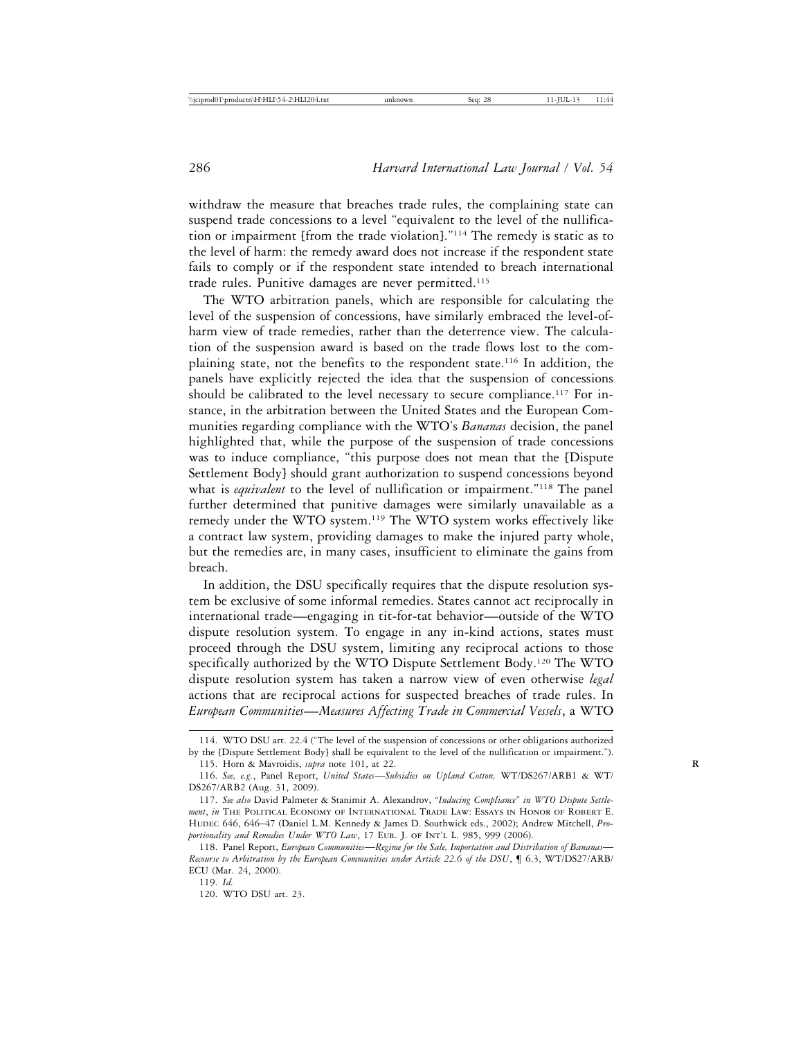withdraw the measure that breaches trade rules, the complaining state can suspend trade concessions to a level "equivalent to the level of the nullification or impairment [from the trade violation]."114 The remedy is static as to the level of harm: the remedy award does not increase if the respondent state fails to comply or if the respondent state intended to breach international trade rules. Punitive damages are never permitted.115

The WTO arbitration panels, which are responsible for calculating the level of the suspension of concessions, have similarly embraced the level-ofharm view of trade remedies, rather than the deterrence view. The calculation of the suspension award is based on the trade flows lost to the complaining state, not the benefits to the respondent state.116 In addition, the panels have explicitly rejected the idea that the suspension of concessions should be calibrated to the level necessary to secure compliance.<sup>117</sup> For instance, in the arbitration between the United States and the European Communities regarding compliance with the WTO's *Bananas* decision, the panel highlighted that, while the purpose of the suspension of trade concessions was to induce compliance, "this purpose does not mean that the [Dispute Settlement Body] should grant authorization to suspend concessions beyond what is *equivalent* to the level of nullification or impairment."<sup>118</sup> The panel further determined that punitive damages were similarly unavailable as a remedy under the WTO system.119 The WTO system works effectively like a contract law system, providing damages to make the injured party whole, but the remedies are, in many cases, insufficient to eliminate the gains from breach.

In addition, the DSU specifically requires that the dispute resolution system be exclusive of some informal remedies. States cannot act reciprocally in international trade—engaging in tit-for-tat behavior—outside of the WTO dispute resolution system. To engage in any in-kind actions, states must proceed through the DSU system, limiting any reciprocal actions to those specifically authorized by the WTO Dispute Settlement Body.<sup>120</sup> The WTO dispute resolution system has taken a narrow view of even otherwise *legal* actions that are reciprocal actions for suspected breaches of trade rules. In *European Communities*—*Measures Affecting Trade in Commercial Vessels*, a WTO

<sup>114.</sup> WTO DSU art. 22.4 ("The level of the suspension of concessions or other obligations authorized by the [Dispute Settlement Body] shall be equivalent to the level of the nullification or impairment.").

<sup>115.</sup> Horn & Mavroidis, *supra* note 101, at 22. **R**

<sup>116.</sup> *See, e.g.*, Panel Report, *United States*—*Subsidies on Upland Cotton,* WT/DS267/ARB1 & WT/ DS267/ARB2 (Aug. 31, 2009).

<sup>117.</sup> *See also* David Palmeter & Stanimir A. Alexandrov, *"Inducing Compliance" in WTO Dispute Settlement*, *in* The Political Economy of International Trade Law: Essays in Honor of Robert E. Hudec 646, 646–47 (Daniel L.M. Kennedy & James D. Southwick eds., 2002); Andrew Mitchell, *Pro*portionality and Remedies Under WTO Law, 17 EUR. J. OF INT'L L. 985, 999 (2006).

<sup>118.</sup> Panel Report, *European Communities*—*Regime for the Sale, Importation and Distribution of Bananas*— *Recourse to Arbitration by the European Communities under Article 22.6 of the DSU*, ¶ 6.3, WT/DS27/ARB/ ECU (Mar. 24, 2000).

<sup>119.</sup> *Id.*

<sup>120.</sup> WTO DSU art. 23.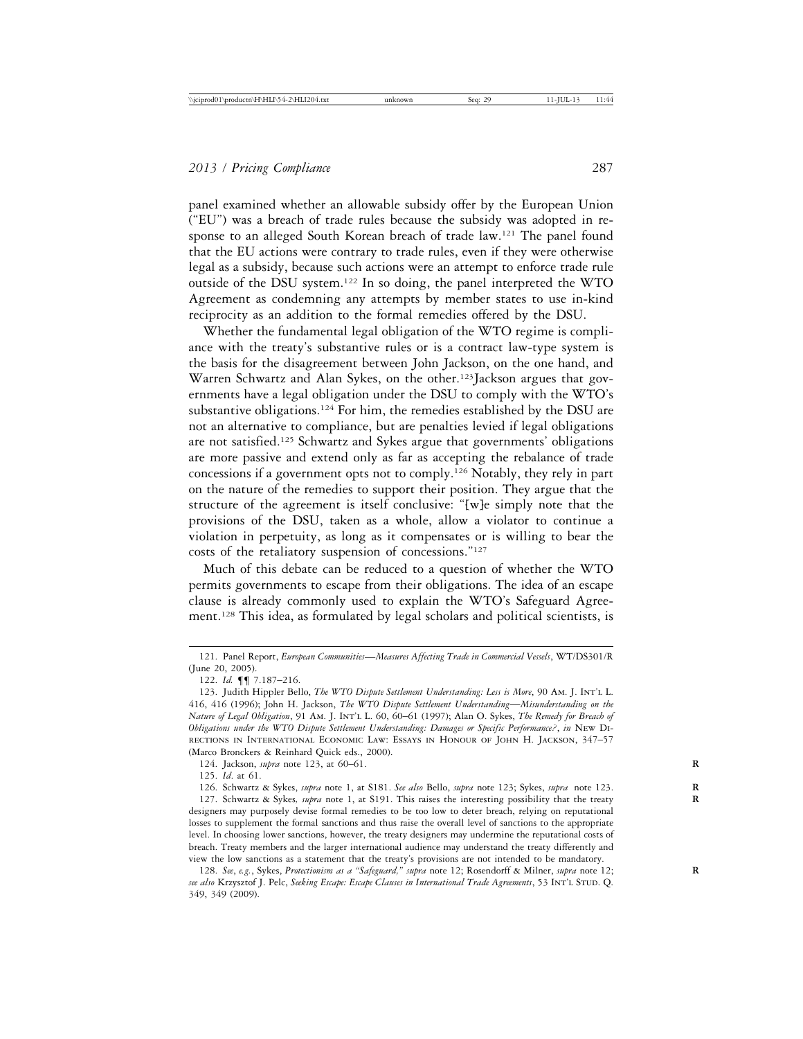panel examined whether an allowable subsidy offer by the European Union ("EU") was a breach of trade rules because the subsidy was adopted in response to an alleged South Korean breach of trade law.<sup>121</sup> The panel found that the EU actions were contrary to trade rules, even if they were otherwise legal as a subsidy, because such actions were an attempt to enforce trade rule outside of the DSU system.122 In so doing, the panel interpreted the WTO Agreement as condemning any attempts by member states to use in-kind reciprocity as an addition to the formal remedies offered by the DSU.

Whether the fundamental legal obligation of the WTO regime is compliance with the treaty's substantive rules or is a contract law-type system is the basis for the disagreement between John Jackson, on the one hand, and Warren Schwartz and Alan Sykes, on the other.<sup>123</sup>Jackson argues that governments have a legal obligation under the DSU to comply with the WTO's substantive obligations.<sup>124</sup> For him, the remedies established by the DSU are not an alternative to compliance, but are penalties levied if legal obligations are not satisfied.<sup>125</sup> Schwartz and Sykes argue that governments' obligations are more passive and extend only as far as accepting the rebalance of trade concessions if a government opts not to comply.126 Notably, they rely in part on the nature of the remedies to support their position. They argue that the structure of the agreement is itself conclusive: "[w]e simply note that the provisions of the DSU, taken as a whole, allow a violator to continue a violation in perpetuity, as long as it compensates or is willing to bear the costs of the retaliatory suspension of concessions."127

Much of this debate can be reduced to a question of whether the WTO permits governments to escape from their obligations. The idea of an escape clause is already commonly used to explain the WTO's Safeguard Agreement.128 This idea, as formulated by legal scholars and political scientists, is

<sup>121.</sup> Panel Report, *European Communities*—*Measures Affecting Trade in Commercial Vessels*, WT/DS301/R (June 20, 2005).

<sup>122.</sup> *Id.* ¶¶ 7.187–216.

<sup>123.</sup> Judith Hippler Bello, *The WTO Dispute Settlement Understanding: Less is More*, 90 Am. J. Int'l L. 416, 416 (1996); John H. Jackson, *The WTO Dispute Settlement Understanding*—*Misunderstanding on the Nature of Legal Obligation*, 91 Am. J. Int'l L. 60, 60–61 (1997); Alan O. Sykes, *The Remedy for Breach of Obligations under the WTO Dispute Settlement Understanding: Damages or Specific Performance?*, *in* New Directions in International Economic Law: Essays in Honour of John H. Jackson, 347–57 (Marco Bronckers & Reinhard Quick eds., 2000).

<sup>124.</sup> Jackson, *supra* note 123, at 60–61. **R**

<sup>125.</sup> *Id*. at 61.

<sup>126.</sup> Schwartz & Sykes, *supra* note 1, at S181. *See also* Bello, *supra* note 123; Sykes, *supra* note 123. **R**

<sup>127.</sup> Schwartz & Sykes*, supra* note 1, at S191. This raises the interesting possibility that the treaty **R** designers may purposely devise formal remedies to be too low to deter breach, relying on reputational losses to supplement the formal sanctions and thus raise the overall level of sanctions to the appropriate level. In choosing lower sanctions, however, the treaty designers may undermine the reputational costs of breach. Treaty members and the larger international audience may understand the treaty differently and view the low sanctions as a statement that the treaty's provisions are not intended to be mandatory.

<sup>128.</sup> *See*, *e.g.*, Sykes, *Protectionism as a "Safeguard," supra* note 12; Rosendorff & Milner, *supra* note 12; **R** *see also* Krzysztof J. Pelc, *Seeking Escape: Escape Clauses in International Trade Agreements*, 53 Int'l Stud. Q. 349, 349 (2009).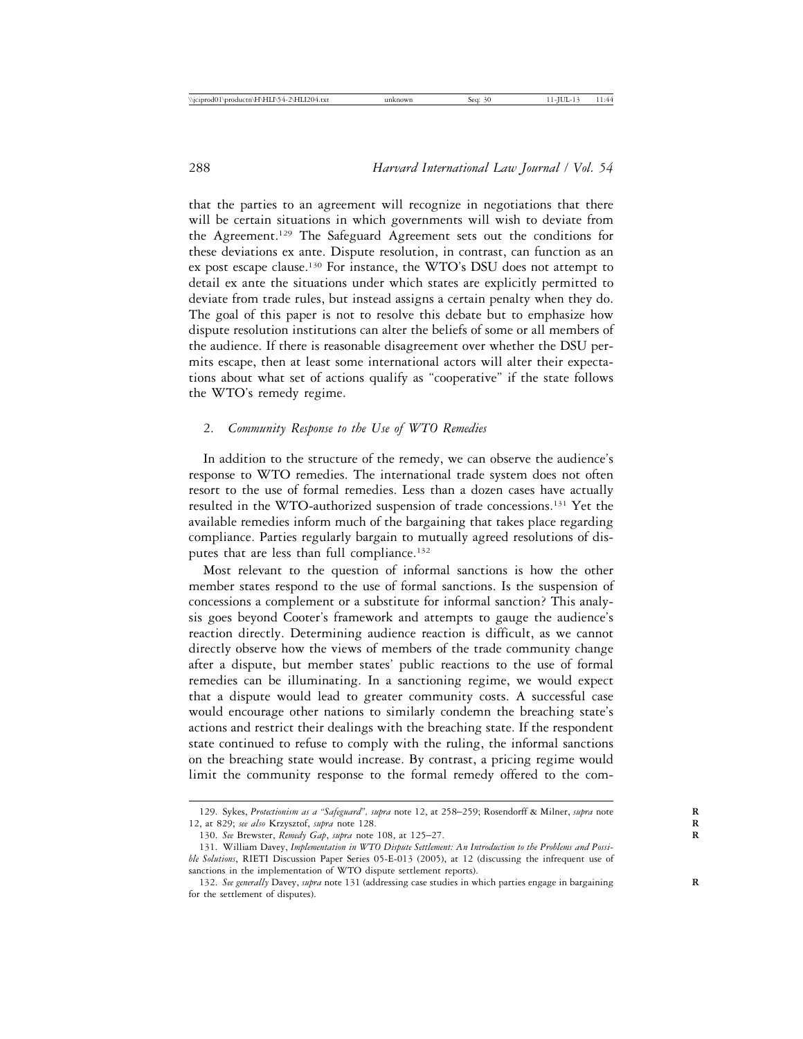that the parties to an agreement will recognize in negotiations that there will be certain situations in which governments will wish to deviate from the Agreement.129 The Safeguard Agreement sets out the conditions for these deviations ex ante. Dispute resolution, in contrast, can function as an ex post escape clause.130 For instance, the WTO's DSU does not attempt to detail ex ante the situations under which states are explicitly permitted to deviate from trade rules, but instead assigns a certain penalty when they do. The goal of this paper is not to resolve this debate but to emphasize how dispute resolution institutions can alter the beliefs of some or all members of the audience. If there is reasonable disagreement over whether the DSU permits escape, then at least some international actors will alter their expectations about what set of actions qualify as "cooperative" if the state follows the WTO's remedy regime.

#### 2. *Community Response to the Use of WTO Remedies*

In addition to the structure of the remedy, we can observe the audience's response to WTO remedies. The international trade system does not often resort to the use of formal remedies. Less than a dozen cases have actually resulted in the WTO-authorized suspension of trade concessions.131 Yet the available remedies inform much of the bargaining that takes place regarding compliance. Parties regularly bargain to mutually agreed resolutions of disputes that are less than full compliance.<sup>132</sup>

Most relevant to the question of informal sanctions is how the other member states respond to the use of formal sanctions. Is the suspension of concessions a complement or a substitute for informal sanction? This analysis goes beyond Cooter's framework and attempts to gauge the audience's reaction directly. Determining audience reaction is difficult, as we cannot directly observe how the views of members of the trade community change after a dispute, but member states' public reactions to the use of formal remedies can be illuminating. In a sanctioning regime, we would expect that a dispute would lead to greater community costs. A successful case would encourage other nations to similarly condemn the breaching state's actions and restrict their dealings with the breaching state. If the respondent state continued to refuse to comply with the ruling, the informal sanctions on the breaching state would increase. By contrast, a pricing regime would limit the community response to the formal remedy offered to the com-

<sup>129.</sup> Sykes, *Protectionism as a "Safeguard", supra* note 12, at 258–259; Rosendorff & Milner, *supra* note **R** 12, at 829; *see also* Krzysztof, *supra* note 128. **R**

<sup>130.</sup> *See* Brewster, *Remedy Gap*, *supra* note 108, at 125–27. **R**

<sup>131.</sup> William Davey, *Implementation in WTO Dispute Settlement: An Introduction to the Problems and Possible Solutions*, RIETI Discussion Paper Series 05-E-013 (2005), at 12 (discussing the infrequent use of sanctions in the implementation of WTO dispute settlement reports).

<sup>132.</sup> *See generally* Davey, *supra* note 131 (addressing case studies in which parties engage in bargaining **R** for the settlement of disputes).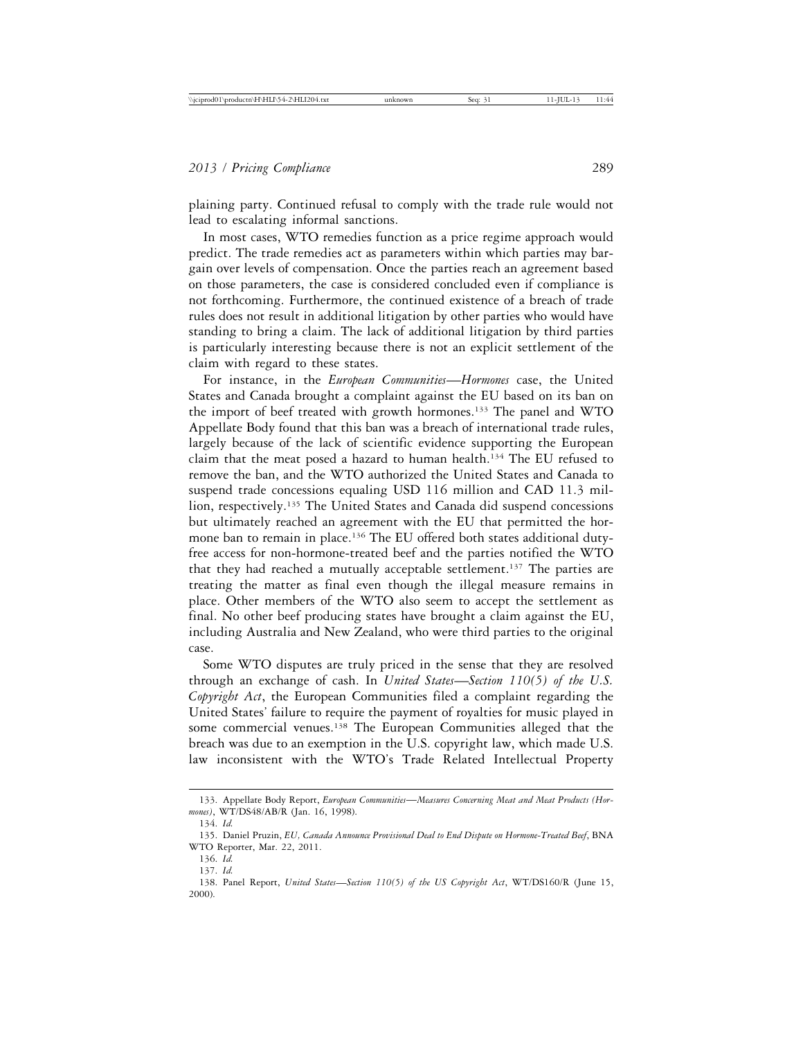plaining party. Continued refusal to comply with the trade rule would not lead to escalating informal sanctions.

In most cases, WTO remedies function as a price regime approach would predict. The trade remedies act as parameters within which parties may bargain over levels of compensation. Once the parties reach an agreement based on those parameters, the case is considered concluded even if compliance is not forthcoming. Furthermore, the continued existence of a breach of trade rules does not result in additional litigation by other parties who would have standing to bring a claim. The lack of additional litigation by third parties is particularly interesting because there is not an explicit settlement of the claim with regard to these states.

For instance, in the *European Communities*—*Hormones* case, the United States and Canada brought a complaint against the EU based on its ban on the import of beef treated with growth hormones.133 The panel and WTO Appellate Body found that this ban was a breach of international trade rules, largely because of the lack of scientific evidence supporting the European claim that the meat posed a hazard to human health.134 The EU refused to remove the ban, and the WTO authorized the United States and Canada to suspend trade concessions equaling USD 116 million and CAD 11.3 million, respectively.<sup>135</sup> The United States and Canada did suspend concessions but ultimately reached an agreement with the EU that permitted the hormone ban to remain in place.<sup>136</sup> The EU offered both states additional dutyfree access for non-hormone-treated beef and the parties notified the WTO that they had reached a mutually acceptable settlement.<sup>137</sup> The parties are treating the matter as final even though the illegal measure remains in place. Other members of the WTO also seem to accept the settlement as final. No other beef producing states have brought a claim against the EU, including Australia and New Zealand, who were third parties to the original case.

Some WTO disputes are truly priced in the sense that they are resolved through an exchange of cash. In *United States*—*Section 110(5) of the U.S. Copyright Act*, the European Communities filed a complaint regarding the United States' failure to require the payment of royalties for music played in some commercial venues.<sup>138</sup> The European Communities alleged that the breach was due to an exemption in the U.S. copyright law, which made U.S. law inconsistent with the WTO's Trade Related Intellectual Property

<sup>133.</sup> Appellate Body Report, *European Communities*—*Measures Concerning Meat and Meat Products (Hormones)*, WT/DS48/AB/R (Jan. 16, 1998).

<sup>134.</sup> *Id.*

<sup>135.</sup> Daniel Pruzin, *EU, Canada Announce Provisional Deal to End Dispute on Hormone-Treated Beef*, BNA WTO Reporter, Mar. 22, 2011.

<sup>136.</sup> *Id.*

<sup>137.</sup> *Id.*

<sup>138.</sup> Panel Report, *United States*—*Section 110(5) of the US Copyright Act*, WT/DS160/R (June 15, 2000).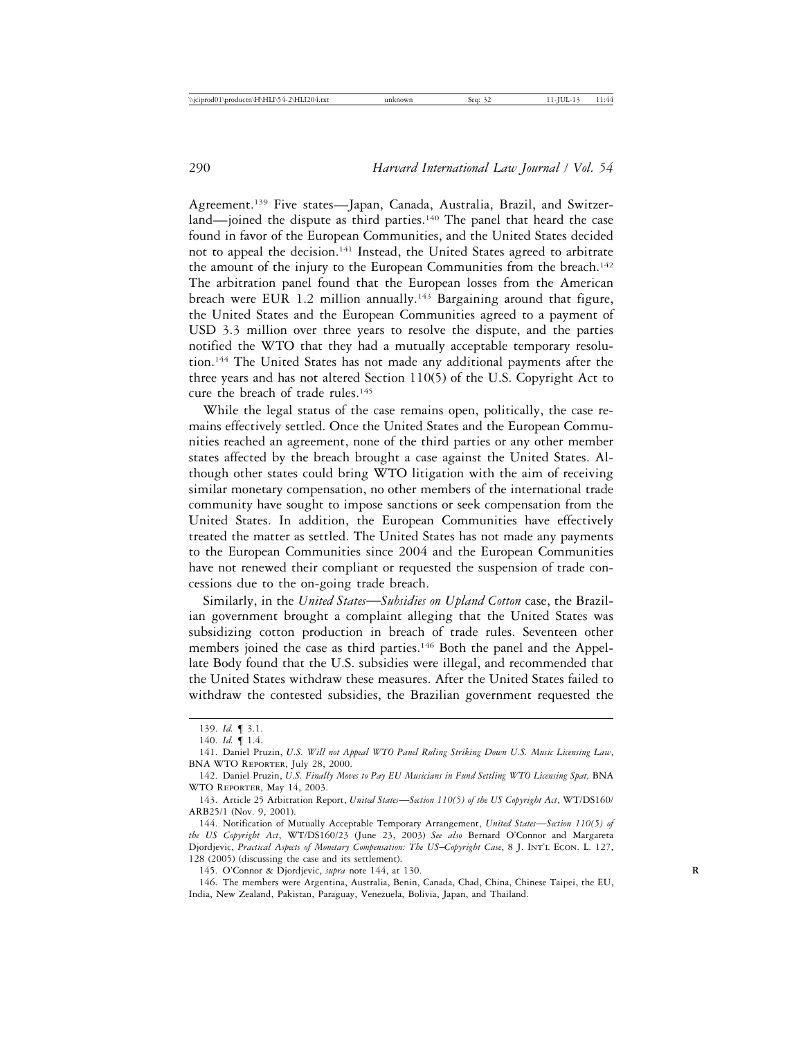Agreement.139 Five states—Japan, Canada, Australia, Brazil, and Switzerland—joined the dispute as third parties.<sup>140</sup> The panel that heard the case found in favor of the European Communities, and the United States decided not to appeal the decision.<sup>141</sup> Instead, the United States agreed to arbitrate the amount of the injury to the European Communities from the breach.<sup>142</sup> The arbitration panel found that the European losses from the American breach were EUR 1.2 million annually.<sup>143</sup> Bargaining around that figure, the United States and the European Communities agreed to a payment of USD 3.3 million over three years to resolve the dispute, and the parties notified the WTO that they had a mutually acceptable temporary resolution.144 The United States has not made any additional payments after the three years and has not altered Section 110(5) of the U.S. Copyright Act to cure the breach of trade rules.145

While the legal status of the case remains open, politically, the case remains effectively settled. Once the United States and the European Communities reached an agreement, none of the third parties or any other member states affected by the breach brought a case against the United States. Although other states could bring WTO litigation with the aim of receiving similar monetary compensation, no other members of the international trade community have sought to impose sanctions or seek compensation from the United States. In addition, the European Communities have effectively treated the matter as settled. The United States has not made any payments to the European Communities since 2004 and the European Communities have not renewed their compliant or requested the suspension of trade concessions due to the on-going trade breach.

Similarly, in the *United States*—*Subsidies on Upland Cotton* case, the Brazilian government brought a complaint alleging that the United States was subsidizing cotton production in breach of trade rules. Seventeen other members joined the case as third parties.<sup>146</sup> Both the panel and the Appellate Body found that the U.S. subsidies were illegal, and recommended that the United States withdraw these measures. After the United States failed to withdraw the contested subsidies, the Brazilian government requested the

145. O'Connor & Djordjevic, *supra* note 144, at 130. **R**

<sup>139.</sup> *Id.* ¶ 3.1.

<sup>140.</sup> *Id.* ¶ 1.4.

<sup>141.</sup> Daniel Pruzin, *U.S. Will not Appeal WTO Panel Ruling Striking Down U.S. Music Licensing Law*, BNA WTO Reporter, July 28, 2000.

<sup>142.</sup> Daniel Pruzin, *U.S. Finally Moves to Pay EU Musicians in Fund Settling WTO Licensing Spat,* BNA WTO Reporter, May 14, 2003.

<sup>143.</sup> Article 25 Arbitration Report, *United States*—*Section 110(5) of the US Copyright Act*, WT/DS160/ ARB25/1 (Nov. 9, 2001).

<sup>144.</sup> Notification of Mutually Acceptable Temporary Arrangement, *United States*—*Section 110(5) of the US Copyright Act*, WT/DS160/23 (June 23, 2003) *See also* Bernard O'Connor and Margareta Djordjevic, *Practical Aspects of Monetary Compensation: The US*–*Copyright Case*, 8 J. Int'l Econ. L. 127, 128 (2005) (discussing the case and its settlement).

<sup>146.</sup> The members were Argentina, Australia, Benin, Canada, Chad, China, Chinese Taipei, the EU, India, New Zealand, Pakistan, Paraguay, Venezuela, Bolivia, Japan, and Thailand.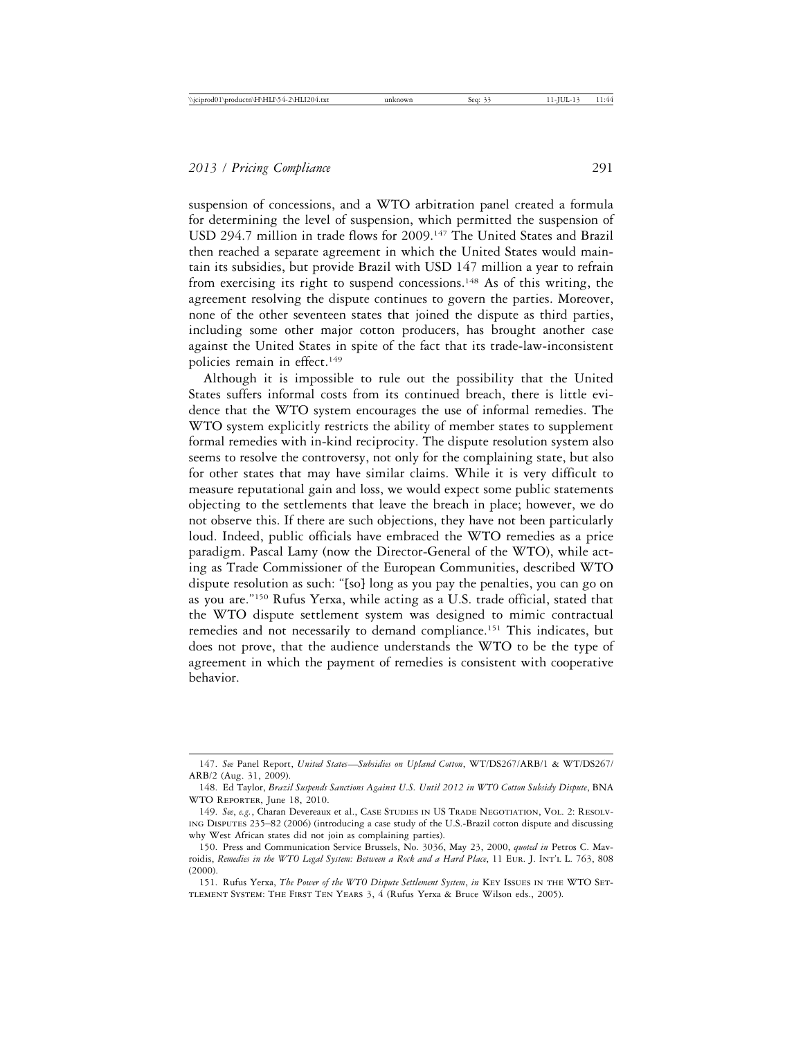suspension of concessions, and a WTO arbitration panel created a formula for determining the level of suspension, which permitted the suspension of USD 294.7 million in trade flows for 2009.147 The United States and Brazil then reached a separate agreement in which the United States would maintain its subsidies, but provide Brazil with USD 147 million a year to refrain from exercising its right to suspend concessions.<sup>148</sup> As of this writing, the agreement resolving the dispute continues to govern the parties. Moreover, none of the other seventeen states that joined the dispute as third parties, including some other major cotton producers, has brought another case against the United States in spite of the fact that its trade-law-inconsistent policies remain in effect.149

Although it is impossible to rule out the possibility that the United States suffers informal costs from its continued breach, there is little evidence that the WTO system encourages the use of informal remedies. The WTO system explicitly restricts the ability of member states to supplement formal remedies with in-kind reciprocity. The dispute resolution system also seems to resolve the controversy, not only for the complaining state, but also for other states that may have similar claims. While it is very difficult to measure reputational gain and loss, we would expect some public statements objecting to the settlements that leave the breach in place; however, we do not observe this. If there are such objections, they have not been particularly loud. Indeed, public officials have embraced the WTO remedies as a price paradigm. Pascal Lamy (now the Director-General of the WTO), while acting as Trade Commissioner of the European Communities, described WTO dispute resolution as such: "[so] long as you pay the penalties, you can go on as you are."150 Rufus Yerxa, while acting as a U.S. trade official, stated that the WTO dispute settlement system was designed to mimic contractual remedies and not necessarily to demand compliance.151 This indicates, but does not prove, that the audience understands the WTO to be the type of agreement in which the payment of remedies is consistent with cooperative behavior.

<sup>147.</sup> *See* Panel Report, *United States*—*Subsidies on Upland Cotton*, WT/DS267/ARB/1 & WT/DS267/ ARB/2 (Aug. 31, 2009).

<sup>148.</sup> Ed Taylor, *Brazil Suspends Sanctions Against U.S. Until 2012 in WTO Cotton Subsidy Dispute*, BNA WTO Reporter, June 18, 2010.

<sup>149.</sup> *See*, *e.g.*, Charan Devereaux et al., Case Studies in US Trade Negotiation, Vol. 2: Resolving Disputes 235–82 (2006) (introducing a case study of the U.S.-Brazil cotton dispute and discussing why West African states did not join as complaining parties).

<sup>150.</sup> Press and Communication Service Brussels, No. 3036, May 23, 2000, *quoted in* Petros C. Mavroidis, *Remedies in the WTO Legal System: Between a Rock and a Hard Place*, 11 Eur. J. Int'l L. 763, 808 (2000).

<sup>151.</sup> Rufus Yerxa, *The Power of the WTO Dispute Settlement System*, *in* Key Issues in the WTO Settlement System: The First Ten Years 3, 4 (Rufus Yerxa & Bruce Wilson eds., 2005).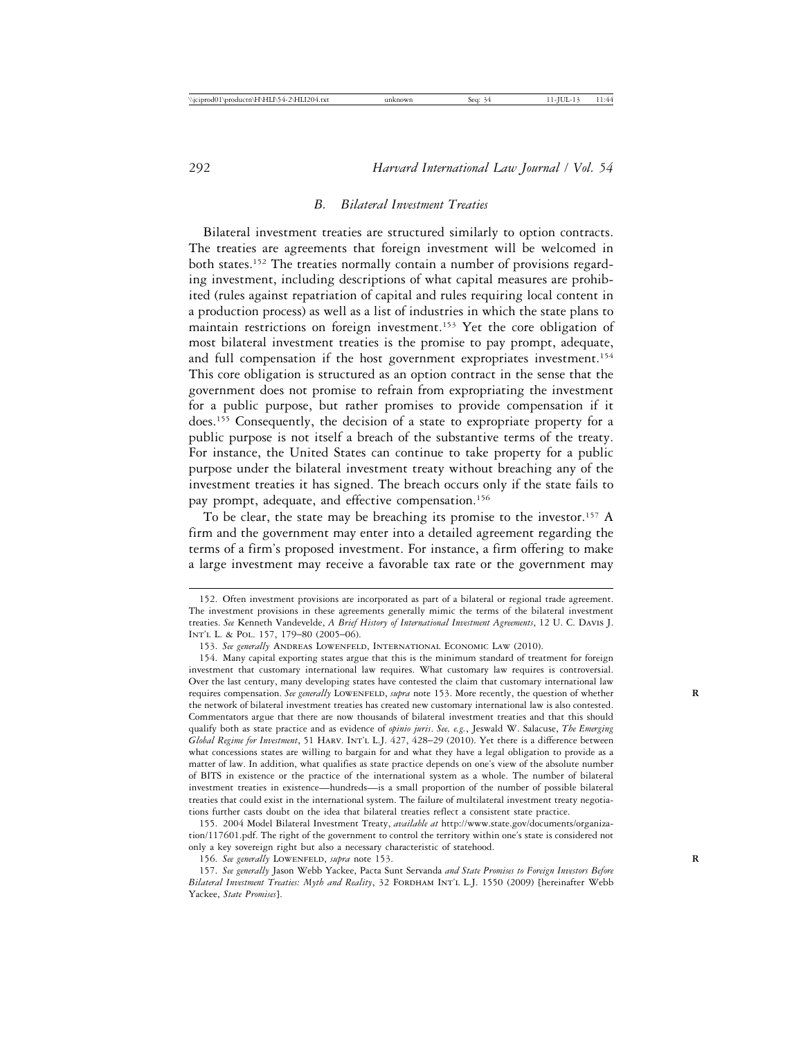#### *B. Bilateral Investment Treaties*

Bilateral investment treaties are structured similarly to option contracts. The treaties are agreements that foreign investment will be welcomed in both states.152 The treaties normally contain a number of provisions regarding investment, including descriptions of what capital measures are prohibited (rules against repatriation of capital and rules requiring local content in a production process) as well as a list of industries in which the state plans to maintain restrictions on foreign investment.153 Yet the core obligation of most bilateral investment treaties is the promise to pay prompt, adequate, and full compensation if the host government expropriates investment.<sup>154</sup> This core obligation is structured as an option contract in the sense that the government does not promise to refrain from expropriating the investment for a public purpose, but rather promises to provide compensation if it does.155 Consequently, the decision of a state to expropriate property for a public purpose is not itself a breach of the substantive terms of the treaty. For instance, the United States can continue to take property for a public purpose under the bilateral investment treaty without breaching any of the investment treaties it has signed. The breach occurs only if the state fails to pay prompt, adequate, and effective compensation.156

To be clear, the state may be breaching its promise to the investor.157 A firm and the government may enter into a detailed agreement regarding the terms of a firm's proposed investment. For instance, a firm offering to make a large investment may receive a favorable tax rate or the government may

155. 2004 Model Bilateral Investment Treaty, *available at* http://www.state.gov/documents/organization/117601.pdf. The right of the government to control the territory within one's state is considered not only a key sovereign right but also a necessary characteristic of statehood.

156. See generally LOWENFELD, *supra* note 153.

<sup>152.</sup> Often investment provisions are incorporated as part of a bilateral or regional trade agreement. The investment provisions in these agreements generally mimic the terms of the bilateral investment treaties. *See* Kenneth Vandevelde, *A Brief History of International Investment Agreements*, 12 U. C. Davis J. Int'l L. & Pol. 157, 179–80 (2005–06).

<sup>153.</sup> *See generally* Andreas Lowenfeld, International Economic Law (2010).

<sup>154.</sup> Many capital exporting states argue that this is the minimum standard of treatment for foreign investment that customary international law requires. What customary law requires is controversial. Over the last century, many developing states have contested the claim that customary international law requires compensation. See generally LOWENFELD, supra note 153. More recently, the question of whether the network of bilateral investment treaties has created new customary international law is also contested. Commentators argue that there are now thousands of bilateral investment treaties and that this should qualify both as state practice and as evidence of *opinio juris*. *See, e.g.*, Jeswald W. Salacuse, *The Emerging Global Regime for Investment*, 51 HARV. INT'L L.J. 427, 428-29 (2010). Yet there is a difference between what concessions states are willing to bargain for and what they have a legal obligation to provide as a matter of law. In addition, what qualifies as state practice depends on one's view of the absolute number of BITS in existence or the practice of the international system as a whole. The number of bilateral investment treaties in existence—hundreds—is a small proportion of the number of possible bilateral treaties that could exist in the international system. The failure of multilateral investment treaty negotiations further casts doubt on the idea that bilateral treaties reflect a consistent state practice.

<sup>157.</sup> *See generally* Jason Webb Yackee, Pacta Sunt Servanda *and State Promises to Foreign Investors Before* Bilateral Investment Treaties: Myth and Reality, 32 FORDHAM INT'L L.J. 1550 (2009) [hereinafter Webb Yackee, *State Promises*].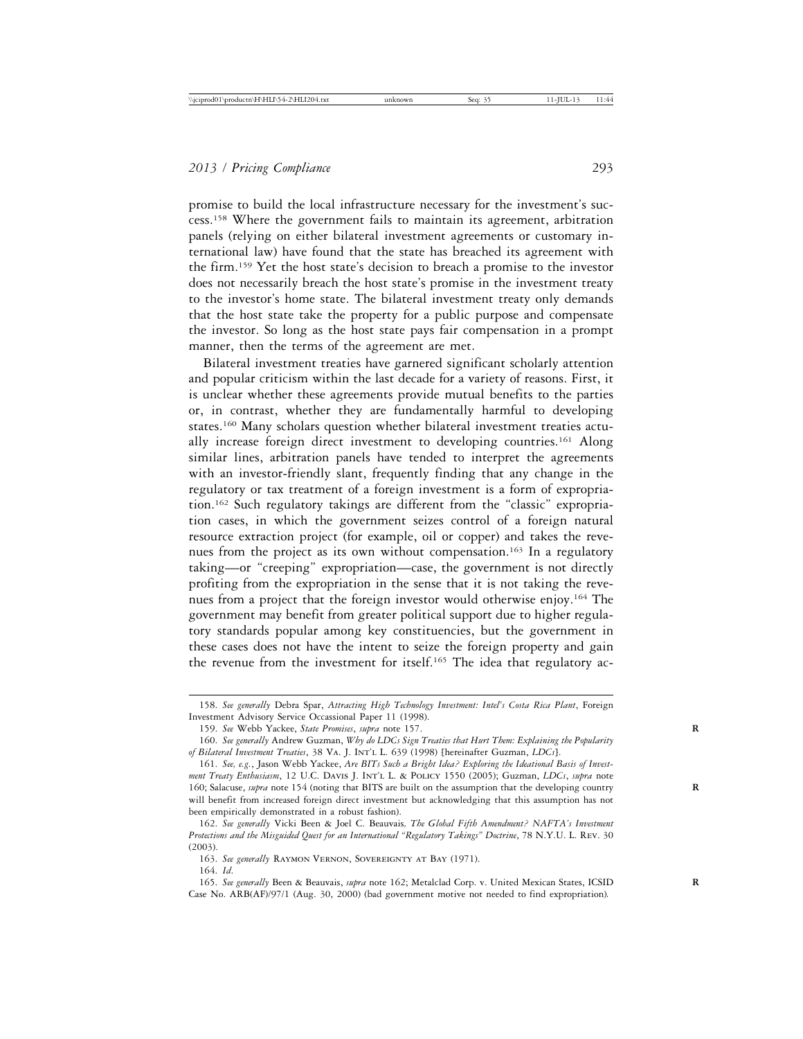promise to build the local infrastructure necessary for the investment's success.158 Where the government fails to maintain its agreement, arbitration panels (relying on either bilateral investment agreements or customary international law) have found that the state has breached its agreement with the firm.159 Yet the host state's decision to breach a promise to the investor does not necessarily breach the host state's promise in the investment treaty to the investor's home state. The bilateral investment treaty only demands that the host state take the property for a public purpose and compensate the investor. So long as the host state pays fair compensation in a prompt manner, then the terms of the agreement are met.

Bilateral investment treaties have garnered significant scholarly attention and popular criticism within the last decade for a variety of reasons. First, it is unclear whether these agreements provide mutual benefits to the parties or, in contrast, whether they are fundamentally harmful to developing states.160 Many scholars question whether bilateral investment treaties actually increase foreign direct investment to developing countries.<sup>161</sup> Along similar lines, arbitration panels have tended to interpret the agreements with an investor-friendly slant, frequently finding that any change in the regulatory or tax treatment of a foreign investment is a form of expropriation.162 Such regulatory takings are different from the "classic" expropriation cases, in which the government seizes control of a foreign natural resource extraction project (for example, oil or copper) and takes the revenues from the project as its own without compensation.163 In a regulatory taking—or "creeping" expropriation—case, the government is not directly profiting from the expropriation in the sense that it is not taking the revenues from a project that the foreign investor would otherwise enjoy.164 The government may benefit from greater political support due to higher regulatory standards popular among key constituencies, but the government in these cases does not have the intent to seize the foreign property and gain the revenue from the investment for itself.<sup>165</sup> The idea that regulatory ac-

<sup>158.</sup> *See generally* Debra Spar, *Attracting High Technology Investment: Intel's Costa Rica Plant*, Foreign Investment Advisory Service Occassional Paper 11 (1998).

<sup>159.</sup> *See* Webb Yackee, *State Promises*, *supra* note 157. **R**

<sup>160.</sup> *See generally* Andrew Guzman, *Why do LDCs Sign Treaties that Hurt Them: Explaining the Popularity of Bilateral Investment Treaties*, 38 Va. J. Int'l L. 639 (1998) [hereinafter Guzman, *LDCs*].

<sup>161.</sup> *See, e.g.*, Jason Webb Yackee, *Are BITs Such a Bright Idea? Exploring the Ideational Basis of Investment Treaty Enthusiasm*, 12 U.C. Davis J. Int'l L. & Policy 1550 (2005); Guzman, *LDCs*, *supra* note 160; Salacuse, *supra* note 154 (noting that BITS are built on the assumption that the developing country **R** will benefit from increased foreign direct investment but acknowledging that this assumption has not been empirically demonstrated in a robust fashion).

<sup>162.</sup> *See generally* Vicki Been & Joel C. Beauvais*, The Global Fifth Amendment? NAFTA's Investment Protections and the Misguided Quest for an International "Regulatory Takings" Doctrine*, 78 N.Y.U. L. Rev. 30 (2003).

<sup>163.</sup> *See generally* Raymon Vernon, Sovereignty at Bay (1971).

<sup>164.</sup> *Id*.

<sup>165.</sup> *See generally* Been & Beauvais, *supra* note 162; Metalclad Corp. v. United Mexican States, ICSID **R** Case No. ARB(AF)/97/1 (Aug. 30, 2000) (bad government motive not needed to find expropriation)*.*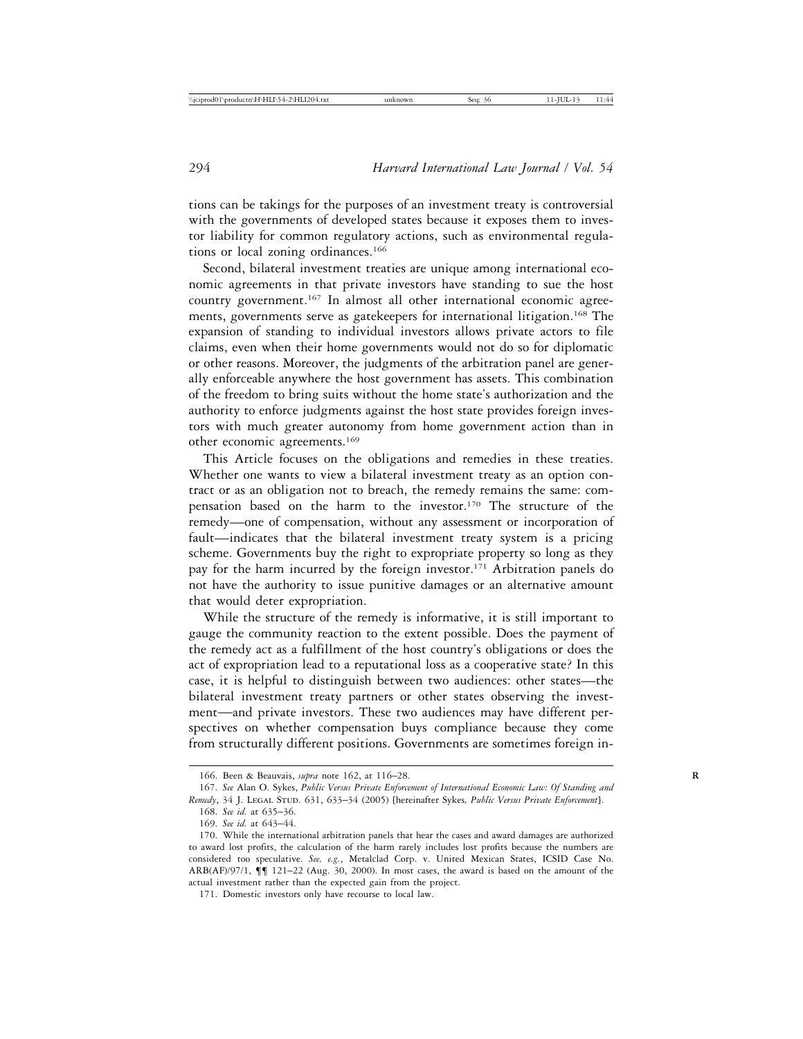tions can be takings for the purposes of an investment treaty is controversial with the governments of developed states because it exposes them to investor liability for common regulatory actions, such as environmental regulations or local zoning ordinances.<sup>166</sup>

Second, bilateral investment treaties are unique among international economic agreements in that private investors have standing to sue the host country government.167 In almost all other international economic agreements, governments serve as gatekeepers for international litigation.168 The expansion of standing to individual investors allows private actors to file claims, even when their home governments would not do so for diplomatic or other reasons. Moreover, the judgments of the arbitration panel are generally enforceable anywhere the host government has assets. This combination of the freedom to bring suits without the home state's authorization and the authority to enforce judgments against the host state provides foreign investors with much greater autonomy from home government action than in other economic agreements.169

This Article focuses on the obligations and remedies in these treaties. Whether one wants to view a bilateral investment treaty as an option contract or as an obligation not to breach, the remedy remains the same: compensation based on the harm to the investor.170 The structure of the remedy—one of compensation, without any assessment or incorporation of fault—indicates that the bilateral investment treaty system is a pricing scheme. Governments buy the right to expropriate property so long as they pay for the harm incurred by the foreign investor.<sup>171</sup> Arbitration panels do not have the authority to issue punitive damages or an alternative amount that would deter expropriation.

While the structure of the remedy is informative, it is still important to gauge the community reaction to the extent possible. Does the payment of the remedy act as a fulfillment of the host country's obligations or does the act of expropriation lead to a reputational loss as a cooperative state? In this case, it is helpful to distinguish between two audiences: other states—the bilateral investment treaty partners or other states observing the investment—and private investors. These two audiences may have different perspectives on whether compensation buys compliance because they come from structurally different positions. Governments are sometimes foreign in-

<sup>166.</sup> Been & Beauvais, *supra* note 162, at 116–28. **R**

<sup>167.</sup> *See* Alan O. Sykes, *Public Versus Private Enforcement of International Economic Law: Of Standing and Remedy*, 34 J. Legal Stud. 631, 633–34 (2005) [hereinafter Sykes*, Public Versus Private Enforcement*].

<sup>168.</sup> *See id.* at 635–36.

<sup>169.</sup> *See id.* at 643–44.

<sup>170.</sup> While the international arbitration panels that hear the cases and award damages are authorized to award lost profits, the calculation of the harm rarely includes lost profits because the numbers are considered too speculative. *See, e.g.*, Metalclad Corp. v. United Mexican States, ICSID Case No. ARB(AF)/97/1, ¶¶ 121–22 (Aug. 30, 2000). In most cases, the award is based on the amount of the actual investment rather than the expected gain from the project.

<sup>171.</sup> Domestic investors only have recourse to local law.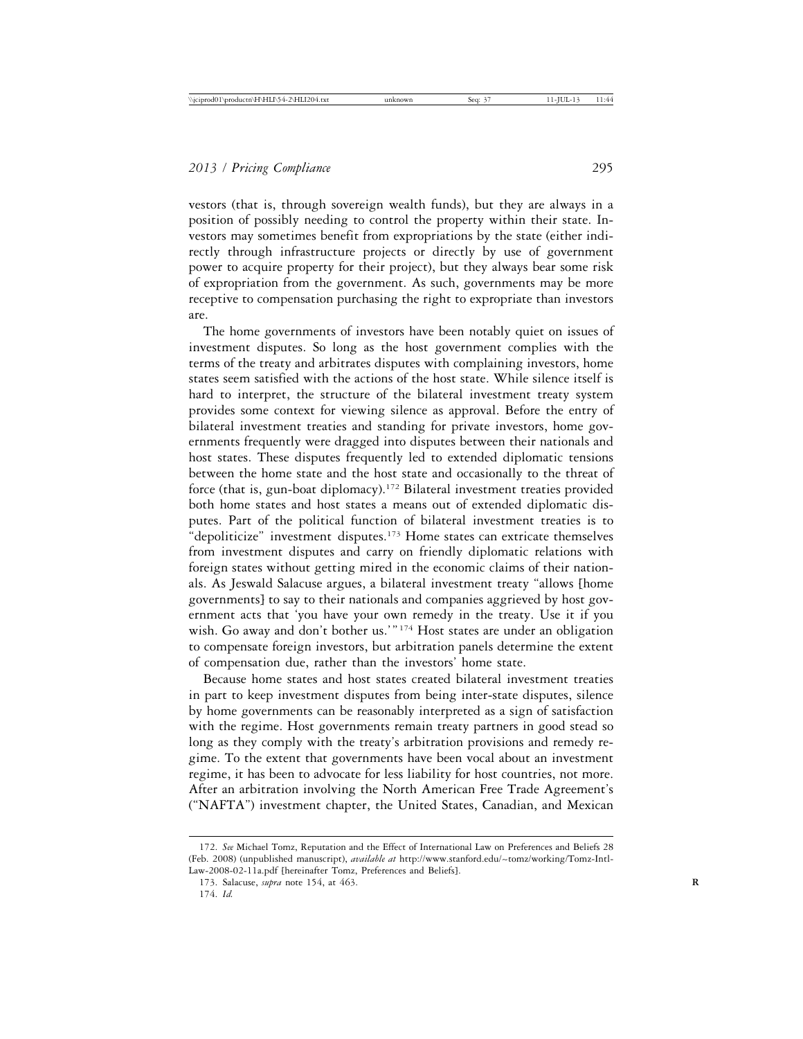vestors (that is, through sovereign wealth funds), but they are always in a position of possibly needing to control the property within their state. Investors may sometimes benefit from expropriations by the state (either indirectly through infrastructure projects or directly by use of government power to acquire property for their project), but they always bear some risk of expropriation from the government. As such, governments may be more receptive to compensation purchasing the right to expropriate than investors are.

The home governments of investors have been notably quiet on issues of investment disputes. So long as the host government complies with the terms of the treaty and arbitrates disputes with complaining investors, home states seem satisfied with the actions of the host state. While silence itself is hard to interpret, the structure of the bilateral investment treaty system provides some context for viewing silence as approval. Before the entry of bilateral investment treaties and standing for private investors, home governments frequently were dragged into disputes between their nationals and host states. These disputes frequently led to extended diplomatic tensions between the home state and the host state and occasionally to the threat of force (that is, gun-boat diplomacy).172 Bilateral investment treaties provided both home states and host states a means out of extended diplomatic disputes. Part of the political function of bilateral investment treaties is to "depoliticize" investment disputes.<sup>173</sup> Home states can extricate themselves from investment disputes and carry on friendly diplomatic relations with foreign states without getting mired in the economic claims of their nationals. As Jeswald Salacuse argues, a bilateral investment treaty "allows [home governments] to say to their nationals and companies aggrieved by host government acts that 'you have your own remedy in the treaty. Use it if you wish. Go away and don't bother us.'"<sup>174</sup> Host states are under an obligation to compensate foreign investors, but arbitration panels determine the extent of compensation due, rather than the investors' home state.

Because home states and host states created bilateral investment treaties in part to keep investment disputes from being inter-state disputes, silence by home governments can be reasonably interpreted as a sign of satisfaction with the regime. Host governments remain treaty partners in good stead so long as they comply with the treaty's arbitration provisions and remedy regime. To the extent that governments have been vocal about an investment regime, it has been to advocate for less liability for host countries, not more. After an arbitration involving the North American Free Trade Agreement's ("NAFTA") investment chapter, the United States, Canadian, and Mexican

<sup>172.</sup> *See* Michael Tomz, Reputation and the Effect of International Law on Preferences and Beliefs 28 (Feb. 2008) (unpublished manuscript), *available at* http://www.stanford.edu/~tomz/working/Tomz-Intl-Law-2008-02-11a.pdf [hereinafter Tomz, Preferences and Beliefs].

<sup>173.</sup> Salacuse, *supra* note 154, at 463. **R**

<sup>174.</sup> *Id.*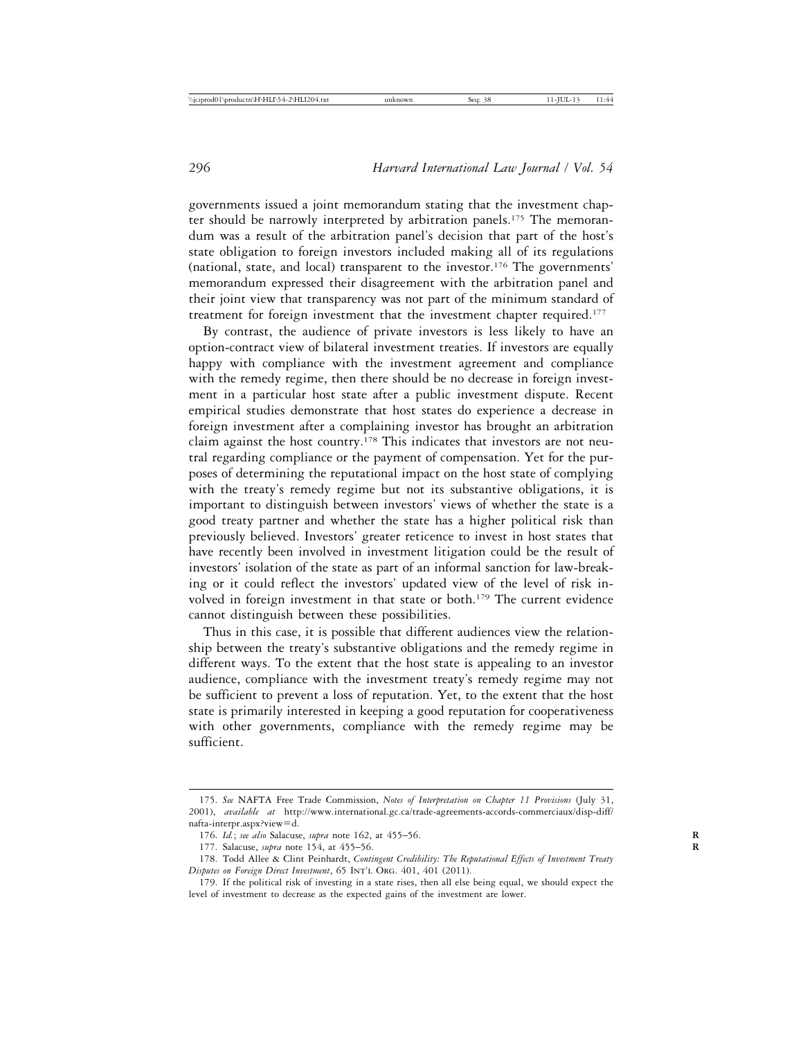governments issued a joint memorandum stating that the investment chapter should be narrowly interpreted by arbitration panels.<sup>175</sup> The memorandum was a result of the arbitration panel's decision that part of the host's state obligation to foreign investors included making all of its regulations (national, state, and local) transparent to the investor.176 The governments' memorandum expressed their disagreement with the arbitration panel and their joint view that transparency was not part of the minimum standard of treatment for foreign investment that the investment chapter required.177

By contrast, the audience of private investors is less likely to have an option-contract view of bilateral investment treaties. If investors are equally happy with compliance with the investment agreement and compliance with the remedy regime, then there should be no decrease in foreign investment in a particular host state after a public investment dispute. Recent empirical studies demonstrate that host states do experience a decrease in foreign investment after a complaining investor has brought an arbitration claim against the host country.178 This indicates that investors are not neutral regarding compliance or the payment of compensation. Yet for the purposes of determining the reputational impact on the host state of complying with the treaty's remedy regime but not its substantive obligations, it is important to distinguish between investors' views of whether the state is a good treaty partner and whether the state has a higher political risk than previously believed. Investors' greater reticence to invest in host states that have recently been involved in investment litigation could be the result of investors' isolation of the state as part of an informal sanction for law-breaking or it could reflect the investors' updated view of the level of risk involved in foreign investment in that state or both.<sup>179</sup> The current evidence cannot distinguish between these possibilities.

Thus in this case, it is possible that different audiences view the relationship between the treaty's substantive obligations and the remedy regime in different ways. To the extent that the host state is appealing to an investor audience, compliance with the investment treaty's remedy regime may not be sufficient to prevent a loss of reputation. Yet, to the extent that the host state is primarily interested in keeping a good reputation for cooperativeness with other governments, compliance with the remedy regime may be sufficient.

<sup>175.</sup> *See* NAFTA Free Trade Commission, *Notes of Interpretation on Chapter 11 Provisions* (July 31, 2001), *available at* http://www.international.gc.ca/trade-agreements-accords-commerciaux/disp-diff/ nafta-interpr.aspx?view=d.

<sup>176.</sup> *Id.*; *see also* Salacuse, *supra* note 162, at 455–56. **R**

<sup>177.</sup> Salacuse, *supra* note 154, at 455–56. **R**

<sup>178.</sup> Todd Allee & Clint Peinhardt, *Contingent Credibility: The Reputational Effects of Investment Treaty Disputes on Foreign Direct Investment*, 65 INT'L ORG. 401, 401 (2011).

<sup>179.</sup> If the political risk of investing in a state rises, then all else being equal, we should expect the level of investment to decrease as the expected gains of the investment are lower.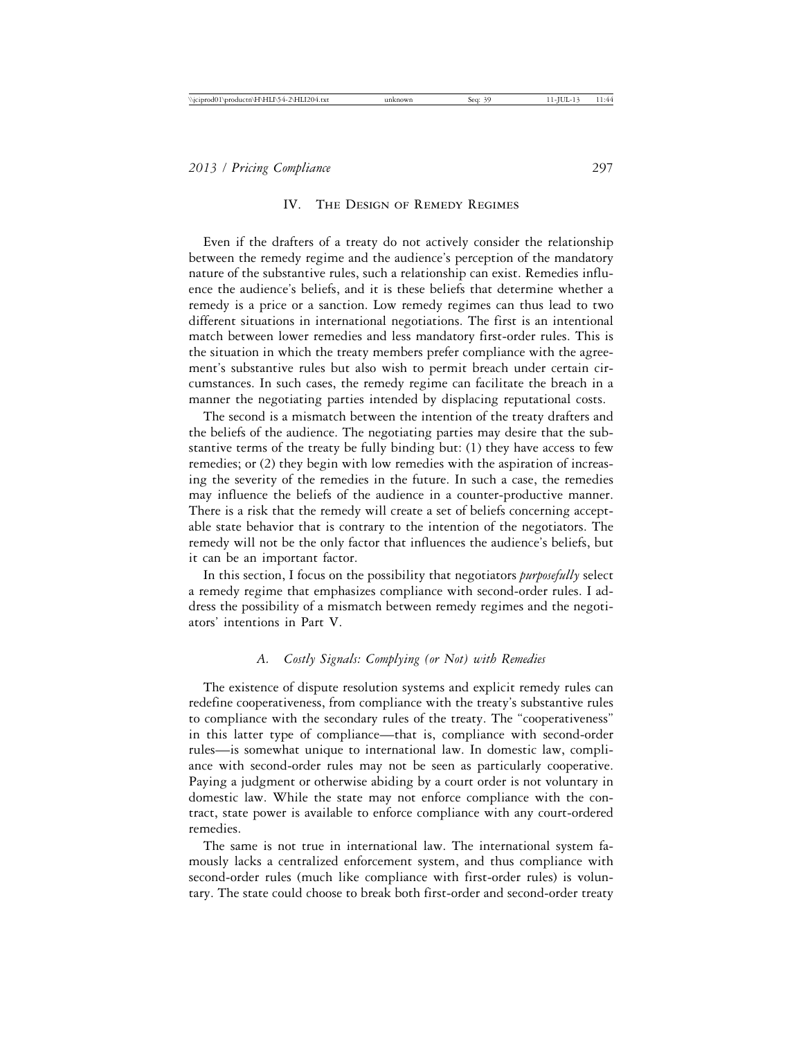#### IV. The Design of Remedy Regimes

Even if the drafters of a treaty do not actively consider the relationship between the remedy regime and the audience's perception of the mandatory nature of the substantive rules, such a relationship can exist. Remedies influence the audience's beliefs, and it is these beliefs that determine whether a remedy is a price or a sanction. Low remedy regimes can thus lead to two different situations in international negotiations. The first is an intentional match between lower remedies and less mandatory first-order rules. This is the situation in which the treaty members prefer compliance with the agreement's substantive rules but also wish to permit breach under certain circumstances. In such cases, the remedy regime can facilitate the breach in a manner the negotiating parties intended by displacing reputational costs.

The second is a mismatch between the intention of the treaty drafters and the beliefs of the audience. The negotiating parties may desire that the substantive terms of the treaty be fully binding but: (1) they have access to few remedies; or (2) they begin with low remedies with the aspiration of increasing the severity of the remedies in the future. In such a case, the remedies may influence the beliefs of the audience in a counter-productive manner. There is a risk that the remedy will create a set of beliefs concerning acceptable state behavior that is contrary to the intention of the negotiators. The remedy will not be the only factor that influences the audience's beliefs, but it can be an important factor.

In this section, I focus on the possibility that negotiators *purposefully* select a remedy regime that emphasizes compliance with second-order rules. I address the possibility of a mismatch between remedy regimes and the negotiators' intentions in Part V.

### *A. Costly Signals: Complying (or Not) with Remedies*

The existence of dispute resolution systems and explicit remedy rules can redefine cooperativeness, from compliance with the treaty's substantive rules to compliance with the secondary rules of the treaty. The "cooperativeness" in this latter type of compliance—that is, compliance with second-order rules—is somewhat unique to international law. In domestic law, compliance with second-order rules may not be seen as particularly cooperative. Paying a judgment or otherwise abiding by a court order is not voluntary in domestic law. While the state may not enforce compliance with the contract, state power is available to enforce compliance with any court-ordered remedies.

The same is not true in international law. The international system famously lacks a centralized enforcement system, and thus compliance with second-order rules (much like compliance with first-order rules) is voluntary. The state could choose to break both first-order and second-order treaty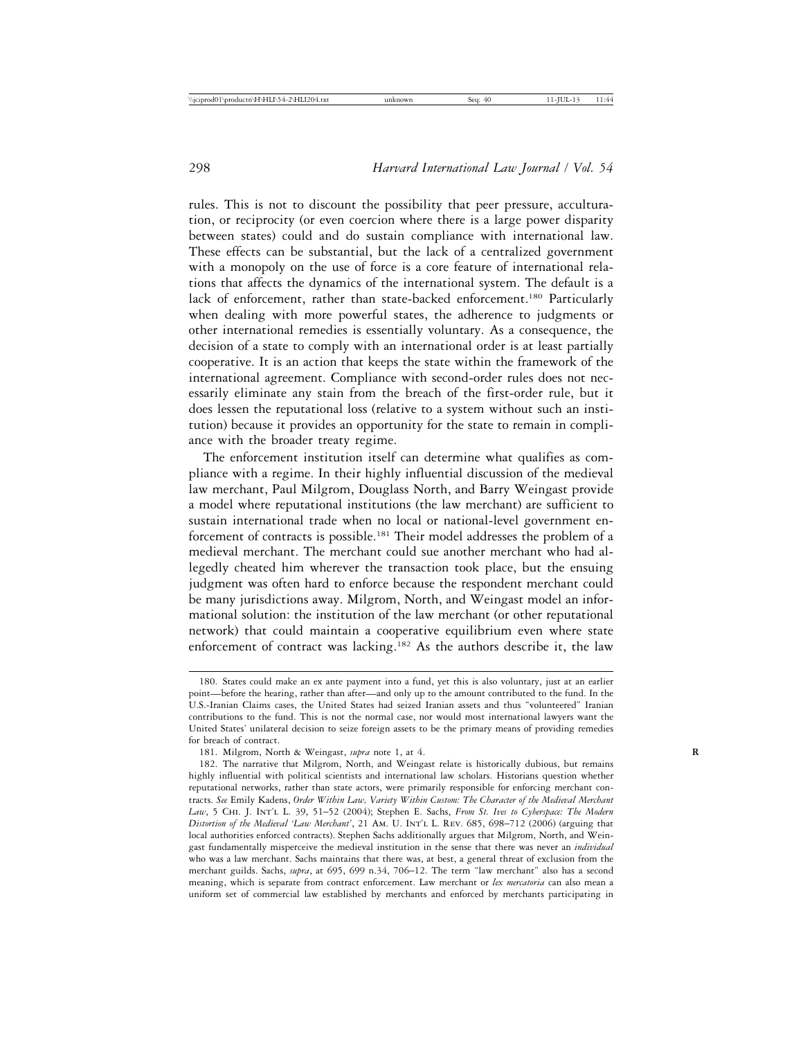rules. This is not to discount the possibility that peer pressure, acculturation, or reciprocity (or even coercion where there is a large power disparity between states) could and do sustain compliance with international law. These effects can be substantial, but the lack of a centralized government with a monopoly on the use of force is a core feature of international relations that affects the dynamics of the international system. The default is a lack of enforcement, rather than state-backed enforcement.<sup>180</sup> Particularly when dealing with more powerful states, the adherence to judgments or other international remedies is essentially voluntary. As a consequence, the decision of a state to comply with an international order is at least partially cooperative. It is an action that keeps the state within the framework of the international agreement. Compliance with second-order rules does not necessarily eliminate any stain from the breach of the first-order rule, but it does lessen the reputational loss (relative to a system without such an institution) because it provides an opportunity for the state to remain in compliance with the broader treaty regime.

The enforcement institution itself can determine what qualifies as compliance with a regime. In their highly influential discussion of the medieval law merchant, Paul Milgrom, Douglass North, and Barry Weingast provide a model where reputational institutions (the law merchant) are sufficient to sustain international trade when no local or national-level government enforcement of contracts is possible.181 Their model addresses the problem of a medieval merchant. The merchant could sue another merchant who had allegedly cheated him wherever the transaction took place, but the ensuing judgment was often hard to enforce because the respondent merchant could be many jurisdictions away. Milgrom, North, and Weingast model an informational solution: the institution of the law merchant (or other reputational network) that could maintain a cooperative equilibrium even where state enforcement of contract was lacking.182 As the authors describe it, the law

<sup>180.</sup> States could make an ex ante payment into a fund, yet this is also voluntary, just at an earlier point—before the hearing, rather than after—and only up to the amount contributed to the fund. In the U.S.-Iranian Claims cases, the United States had seized Iranian assets and thus "volunteered" Iranian contributions to the fund. This is not the normal case, nor would most international lawyers want the United States' unilateral decision to seize foreign assets to be the primary means of providing remedies for breach of contract.

<sup>181.</sup> Milgrom, North & Weingast, *supra* note 1, at 4. **R**

<sup>182.</sup> The narrative that Milgrom, North, and Weingast relate is historically dubious, but remains highly influential with political scientists and international law scholars. Historians question whether reputational networks, rather than state actors, were primarily responsible for enforcing merchant contracts. *See* Emily Kadens, *Order Within Law, Variety Within Custom: The Character of the Medieval Merchant Law*, 5 Chi. J. Int'l L. 39, 51–52 (2004); Stephen E. Sachs, *From St. Ives to Cyberspace: The Modern Distortion of the Medieval 'Law Merchant'*, 21 Am. U. Int'l L. Rev. 685, 698–712 (2006) (arguing that local authorities enforced contracts). Stephen Sachs additionally argues that Milgrom, North, and Weingast fundamentally misperceive the medieval institution in the sense that there was never an *individual* who was a law merchant. Sachs maintains that there was, at best, a general threat of exclusion from the merchant guilds. Sachs, *supra*, at 695, 699 n.34, 706–12. The term "law merchant" also has a second meaning, which is separate from contract enforcement. Law merchant or *lex mercatoria* can also mean a uniform set of commercial law established by merchants and enforced by merchants participating in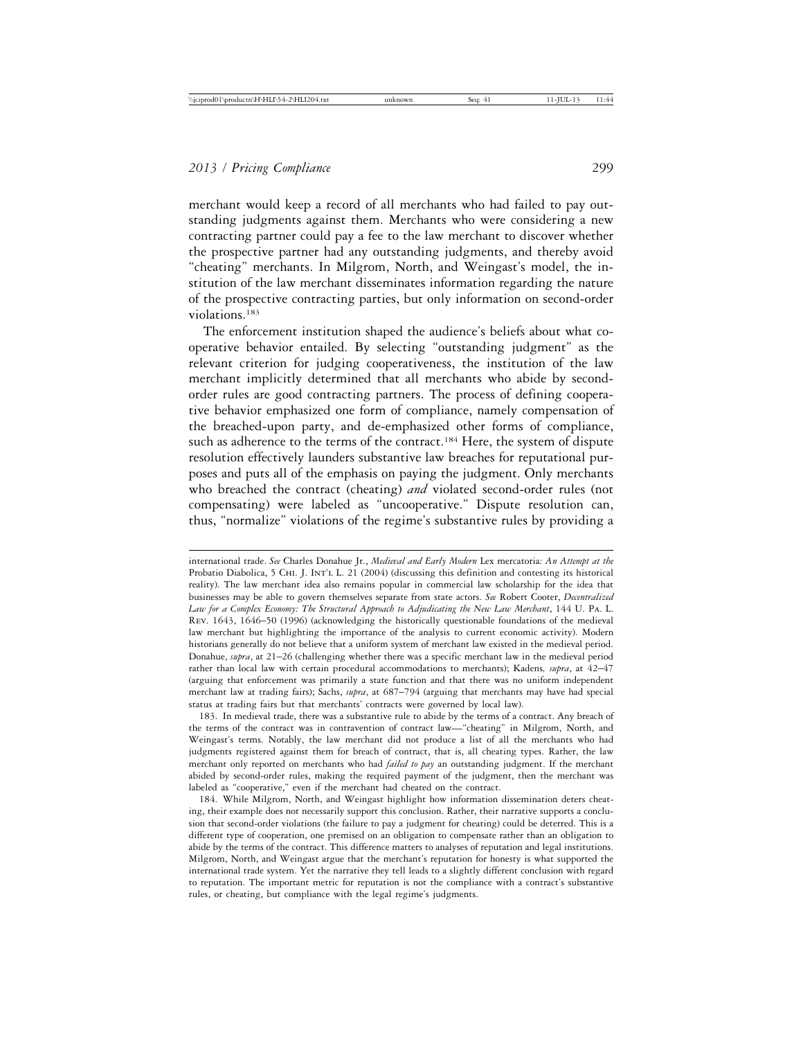merchant would keep a record of all merchants who had failed to pay outstanding judgments against them. Merchants who were considering a new contracting partner could pay a fee to the law merchant to discover whether the prospective partner had any outstanding judgments, and thereby avoid "cheating" merchants. In Milgrom, North, and Weingast's model, the institution of the law merchant disseminates information regarding the nature of the prospective contracting parties, but only information on second-order violations.183

The enforcement institution shaped the audience's beliefs about what cooperative behavior entailed. By selecting "outstanding judgment" as the relevant criterion for judging cooperativeness, the institution of the law merchant implicitly determined that all merchants who abide by secondorder rules are good contracting partners. The process of defining cooperative behavior emphasized one form of compliance, namely compensation of the breached-upon party, and de-emphasized other forms of compliance, such as adherence to the terms of the contract.<sup>184</sup> Here, the system of dispute resolution effectively launders substantive law breaches for reputational purposes and puts all of the emphasis on paying the judgment. Only merchants who breached the contract (cheating) *and* violated second-order rules (not compensating) were labeled as "uncooperative." Dispute resolution can, thus, "normalize" violations of the regime's substantive rules by providing a

183. In medieval trade, there was a substantive rule to abide by the terms of a contract. Any breach of the terms of the contract was in contravention of contract law—"cheating" in Milgrom, North, and Weingast's terms. Notably, the law merchant did not produce a list of all the merchants who had judgments registered against them for breach of contract, that is, all cheating types. Rather, the law merchant only reported on merchants who had *failed to pay* an outstanding judgment. If the merchant abided by second-order rules, making the required payment of the judgment, then the merchant was labeled as "cooperative," even if the merchant had cheated on the contract.

184. While Milgrom, North, and Weingast highlight how information dissemination deters cheating, their example does not necessarily support this conclusion. Rather, their narrative supports a conclusion that second-order violations (the failure to pay a judgment for cheating) could be deterred. This is a different type of cooperation, one premised on an obligation to compensate rather than an obligation to abide by the terms of the contract. This difference matters to analyses of reputation and legal institutions. Milgrom, North, and Weingast argue that the merchant's reputation for honesty is what supported the international trade system. Yet the narrative they tell leads to a slightly different conclusion with regard to reputation. The important metric for reputation is not the compliance with a contract's substantive rules, or cheating, but compliance with the legal regime's judgments.

international trade. *See* Charles Donahue Jr., *Medieval and Early Modern* Lex mercatoria*: An Attempt at the* Probatio Diabolica, 5 CHI. J. INT'L L. 21 (2004) (discussing this definition and contesting its historical reality). The law merchant idea also remains popular in commercial law scholarship for the idea that businesses may be able to govern themselves separate from state actors. *See* Robert Cooter, *Decentralized Law for a Complex Economy: The Structural Approach to Adjudicating the New Law Merchant*, 144 U. Pa. L. Rev. 1643, 1646–50 (1996) (acknowledging the historically questionable foundations of the medieval law merchant but highlighting the importance of the analysis to current economic activity). Modern historians generally do not believe that a uniform system of merchant law existed in the medieval period. Donahue, *supra*, at 21–26 (challenging whether there was a specific merchant law in the medieval period rather than local law with certain procedural accommodations to merchants); Kadens*, supra*, at 42–47 (arguing that enforcement was primarily a state function and that there was no uniform independent merchant law at trading fairs); Sachs, *supra*, at 687–794 (arguing that merchants may have had special status at trading fairs but that merchants' contracts were governed by local law).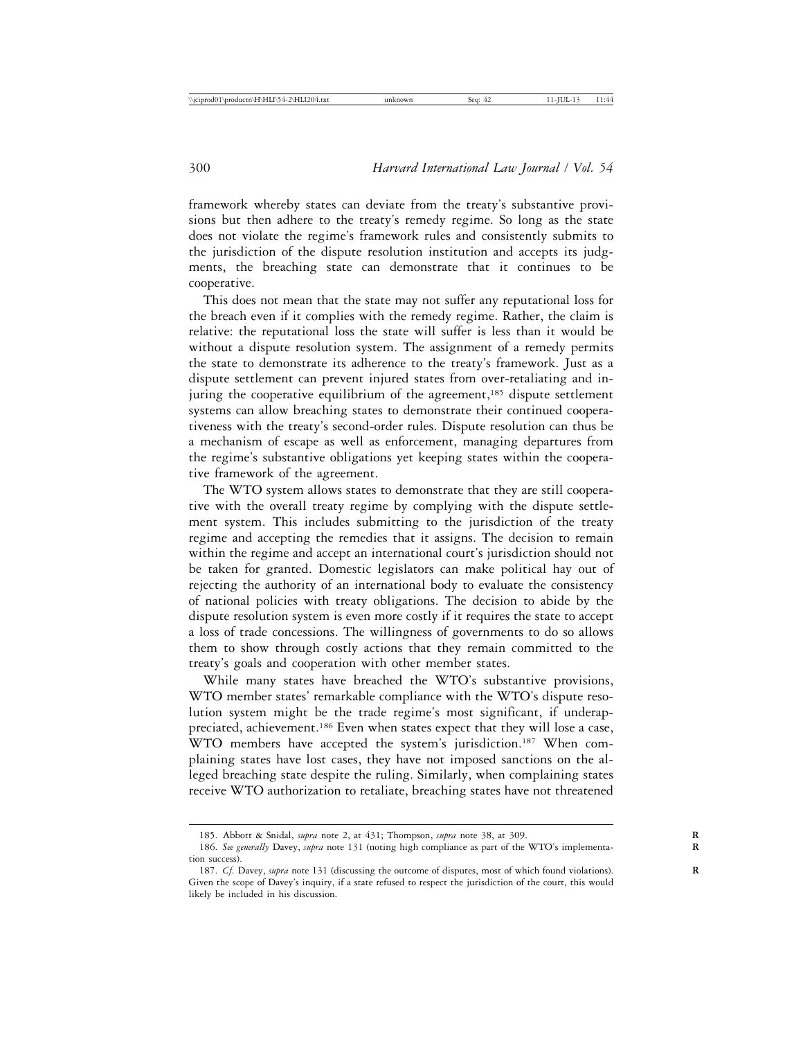framework whereby states can deviate from the treaty's substantive provisions but then adhere to the treaty's remedy regime. So long as the state does not violate the regime's framework rules and consistently submits to the jurisdiction of the dispute resolution institution and accepts its judgments, the breaching state can demonstrate that it continues to be cooperative.

This does not mean that the state may not suffer any reputational loss for the breach even if it complies with the remedy regime. Rather, the claim is relative: the reputational loss the state will suffer is less than it would be without a dispute resolution system. The assignment of a remedy permits the state to demonstrate its adherence to the treaty's framework. Just as a dispute settlement can prevent injured states from over-retaliating and injuring the cooperative equilibrium of the agreement,<sup>185</sup> dispute settlement systems can allow breaching states to demonstrate their continued cooperativeness with the treaty's second-order rules. Dispute resolution can thus be a mechanism of escape as well as enforcement, managing departures from the regime's substantive obligations yet keeping states within the cooperative framework of the agreement.

The WTO system allows states to demonstrate that they are still cooperative with the overall treaty regime by complying with the dispute settlement system. This includes submitting to the jurisdiction of the treaty regime and accepting the remedies that it assigns. The decision to remain within the regime and accept an international court's jurisdiction should not be taken for granted. Domestic legislators can make political hay out of rejecting the authority of an international body to evaluate the consistency of national policies with treaty obligations. The decision to abide by the dispute resolution system is even more costly if it requires the state to accept a loss of trade concessions. The willingness of governments to do so allows them to show through costly actions that they remain committed to the treaty's goals and cooperation with other member states.

While many states have breached the WTO's substantive provisions, WTO member states' remarkable compliance with the WTO's dispute resolution system might be the trade regime's most significant, if underappreciated, achievement.<sup>186</sup> Even when states expect that they will lose a case, WTO members have accepted the system's jurisdiction.<sup>187</sup> When complaining states have lost cases, they have not imposed sanctions on the alleged breaching state despite the ruling. Similarly, when complaining states receive WTO authorization to retaliate, breaching states have not threatened

<sup>185.</sup> Abbott & Snidal, *supra* note 2, at 431; Thompson, *supra* note 38, at 309. **R**

<sup>186.</sup> *See generally* Davey, *supra* note 131 (noting high compliance as part of the WTO's implementa- **R** tion success).

<sup>187.</sup> *Cf.* Davey, *supra* note 131 (discussing the outcome of disputes, most of which found violations). **R** Given the scope of Davey's inquiry, if a state refused to respect the jurisdiction of the court, this would likely be included in his discussion.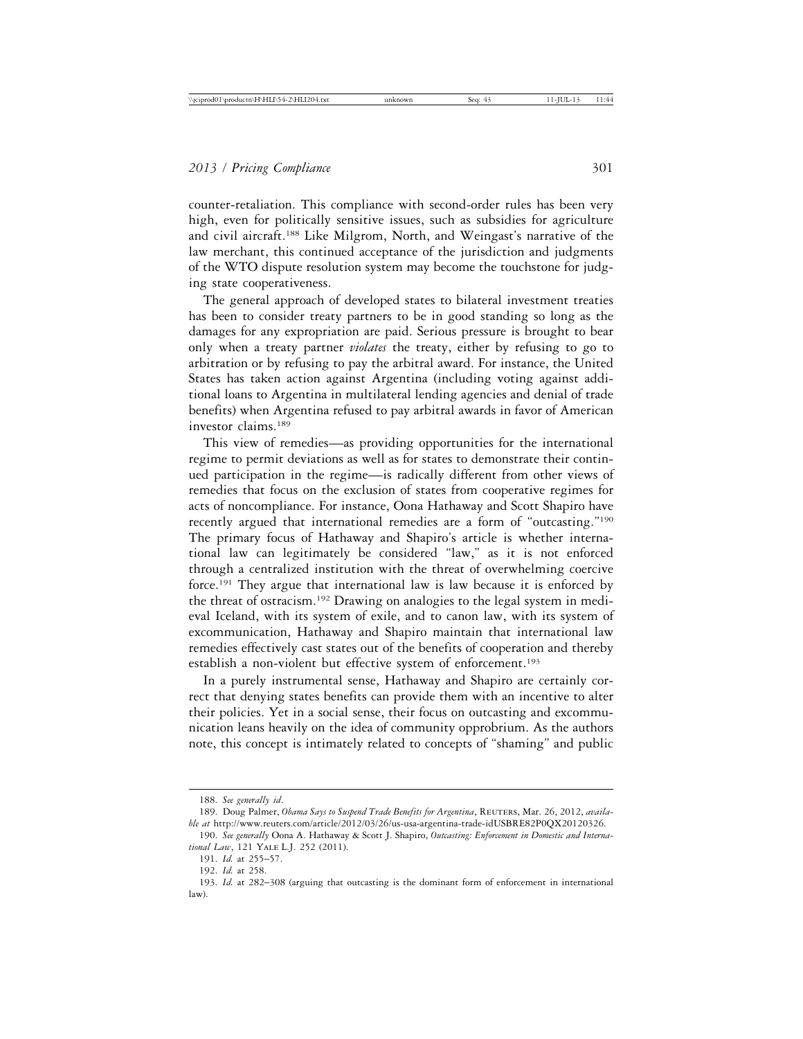counter-retaliation. This compliance with second-order rules has been very high, even for politically sensitive issues, such as subsidies for agriculture and civil aircraft.188 Like Milgrom, North, and Weingast's narrative of the law merchant, this continued acceptance of the jurisdiction and judgments of the WTO dispute resolution system may become the touchstone for judging state cooperativeness.

The general approach of developed states to bilateral investment treaties has been to consider treaty partners to be in good standing so long as the damages for any expropriation are paid. Serious pressure is brought to bear only when a treaty partner *violates* the treaty, either by refusing to go to arbitration or by refusing to pay the arbitral award. For instance, the United States has taken action against Argentina (including voting against additional loans to Argentina in multilateral lending agencies and denial of trade benefits) when Argentina refused to pay arbitral awards in favor of American investor claims.189

This view of remedies—as providing opportunities for the international regime to permit deviations as well as for states to demonstrate their continued participation in the regime—is radically different from other views of remedies that focus on the exclusion of states from cooperative regimes for acts of noncompliance. For instance, Oona Hathaway and Scott Shapiro have recently argued that international remedies are a form of "outcasting."190 The primary focus of Hathaway and Shapiro's article is whether international law can legitimately be considered "law," as it is not enforced through a centralized institution with the threat of overwhelming coercive force.191 They argue that international law is law because it is enforced by the threat of ostracism.192 Drawing on analogies to the legal system in medieval Iceland, with its system of exile, and to canon law, with its system of excommunication, Hathaway and Shapiro maintain that international law remedies effectively cast states out of the benefits of cooperation and thereby establish a non-violent but effective system of enforcement.<sup>193</sup>

In a purely instrumental sense, Hathaway and Shapiro are certainly correct that denying states benefits can provide them with an incentive to alter their policies. Yet in a social sense, their focus on outcasting and excommunication leans heavily on the idea of community opprobrium. As the authors note, this concept is intimately related to concepts of "shaming" and public

<sup>188.</sup> *See generally id*.

<sup>189.</sup> Doug Palmer, *Obama Says to Suspend Trade Benefits for Argentina*, REUTERS, Mar. 26, 2012, *available at* http://www.reuters.com/article/2012/03/26/us-usa-argentina-trade-idUSBRE82P0QX20120326.

<sup>190.</sup> *See generally* Oona A. Hathaway & Scott J. Shapiro, *Outcasting: Enforcement in Domestic and International Law*, 121 Yale L.J. 252 (2011).

<sup>191.</sup> *Id.* at 255–57.

<sup>192.</sup> *Id.* at 258.

<sup>193.</sup> *Id.* at 282–308 (arguing that outcasting is the dominant form of enforcement in international law).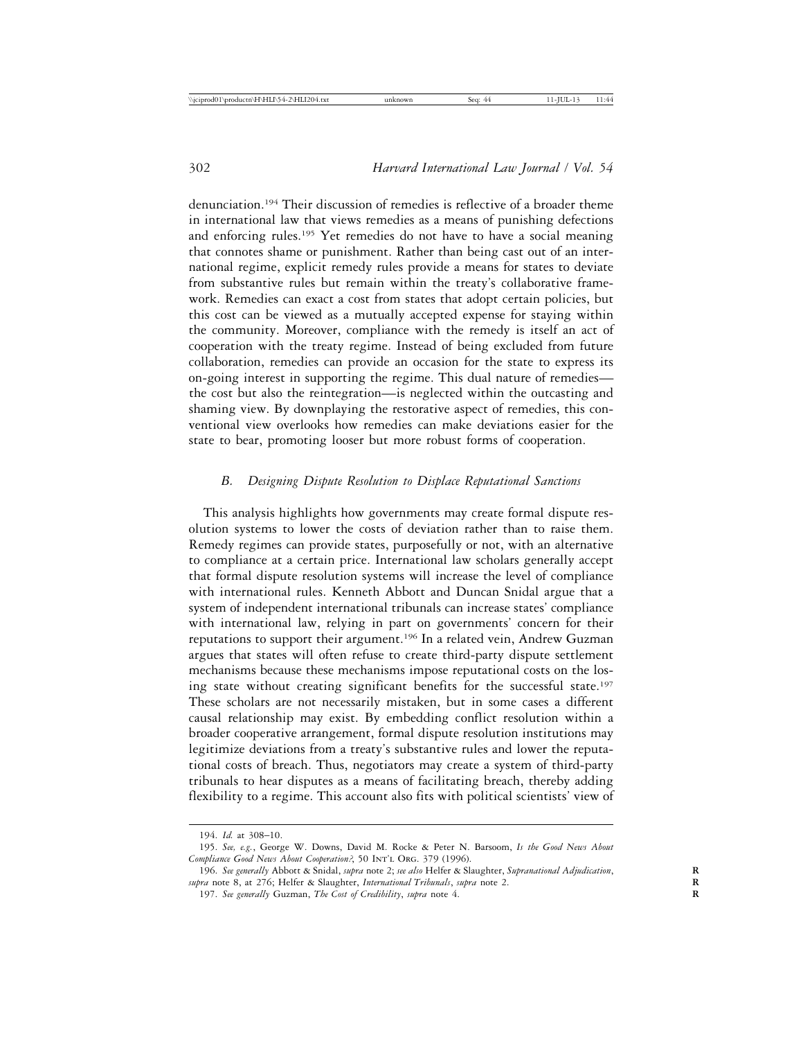denunciation.194 Their discussion of remedies is reflective of a broader theme in international law that views remedies as a means of punishing defections and enforcing rules.195 Yet remedies do not have to have a social meaning that connotes shame or punishment. Rather than being cast out of an international regime, explicit remedy rules provide a means for states to deviate from substantive rules but remain within the treaty's collaborative framework. Remedies can exact a cost from states that adopt certain policies, but this cost can be viewed as a mutually accepted expense for staying within the community. Moreover, compliance with the remedy is itself an act of cooperation with the treaty regime. Instead of being excluded from future collaboration, remedies can provide an occasion for the state to express its on-going interest in supporting the regime. This dual nature of remedies the cost but also the reintegration—is neglected within the outcasting and shaming view. By downplaying the restorative aspect of remedies, this conventional view overlooks how remedies can make deviations easier for the state to bear, promoting looser but more robust forms of cooperation.

## *B. Designing Dispute Resolution to Displace Reputational Sanctions*

This analysis highlights how governments may create formal dispute resolution systems to lower the costs of deviation rather than to raise them. Remedy regimes can provide states, purposefully or not, with an alternative to compliance at a certain price. International law scholars generally accept that formal dispute resolution systems will increase the level of compliance with international rules. Kenneth Abbott and Duncan Snidal argue that a system of independent international tribunals can increase states' compliance with international law, relying in part on governments' concern for their reputations to support their argument.<sup>196</sup> In a related vein, Andrew Guzman argues that states will often refuse to create third-party dispute settlement mechanisms because these mechanisms impose reputational costs on the losing state without creating significant benefits for the successful state.<sup>197</sup> These scholars are not necessarily mistaken, but in some cases a different causal relationship may exist. By embedding conflict resolution within a broader cooperative arrangement, formal dispute resolution institutions may legitimize deviations from a treaty's substantive rules and lower the reputational costs of breach. Thus, negotiators may create a system of third-party tribunals to hear disputes as a means of facilitating breach, thereby adding flexibility to a regime. This account also fits with political scientists' view of

<sup>194.</sup> *Id.* at 308–10.

<sup>195.</sup> *See, e.g.*, George W. Downs, David M. Rocke & Peter N. Barsoom, *Is the Good News About* Compliance Good News About Cooperation?, 50 INT'L ORG. 379 (1996).

<sup>196.</sup> *See generally* Abbott & Snidal, *supra* note 2; *see also* Helfer & Slaughter, *Supranational Adjudication*, **R** *supra* note 8, at 276; Helfer & Slaughter, *International Tribunals*, *supra* note 2. **R**

<sup>197.</sup> *See generally* Guzman, *The Cost of Credibility*, *supra* note 4. **R**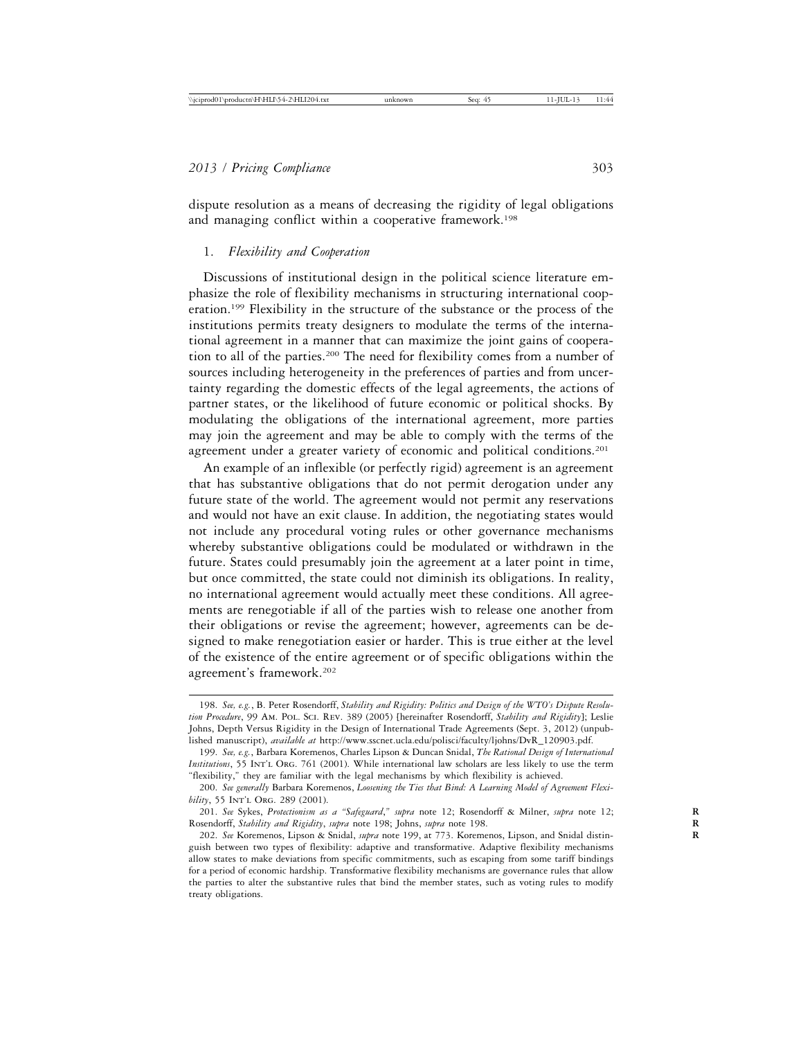dispute resolution as a means of decreasing the rigidity of legal obligations and managing conflict within a cooperative framework.<sup>198</sup>

## 1. *Flexibility and Cooperation*

Discussions of institutional design in the political science literature emphasize the role of flexibility mechanisms in structuring international cooperation.199 Flexibility in the structure of the substance or the process of the institutions permits treaty designers to modulate the terms of the international agreement in a manner that can maximize the joint gains of cooperation to all of the parties.200 The need for flexibility comes from a number of sources including heterogeneity in the preferences of parties and from uncertainty regarding the domestic effects of the legal agreements, the actions of partner states, or the likelihood of future economic or political shocks. By modulating the obligations of the international agreement, more parties may join the agreement and may be able to comply with the terms of the agreement under a greater variety of economic and political conditions.<sup>201</sup>

An example of an inflexible (or perfectly rigid) agreement is an agreement that has substantive obligations that do not permit derogation under any future state of the world. The agreement would not permit any reservations and would not have an exit clause. In addition, the negotiating states would not include any procedural voting rules or other governance mechanisms whereby substantive obligations could be modulated or withdrawn in the future. States could presumably join the agreement at a later point in time, but once committed, the state could not diminish its obligations. In reality, no international agreement would actually meet these conditions. All agreements are renegotiable if all of the parties wish to release one another from their obligations or revise the agreement; however, agreements can be designed to make renegotiation easier or harder. This is true either at the level of the existence of the entire agreement or of specific obligations within the agreement's framework.202

<sup>198.</sup> *See, e.g.*, B. Peter Rosendorff, *Stability and Rigidity: Politics and Design of the WTO's Dispute Resolution Procedure*, 99 Am. Pol. Sci. Rev. 389 (2005) [hereinafter Rosendorff, *Stability and Rigidity*]; Leslie Johns, Depth Versus Rigidity in the Design of International Trade Agreements (Sept. 3, 2012) (unpublished manuscript), *available at* http://www.sscnet.ucla.edu/polisci/faculty/ljohns/DvR\_120903.pdf.

<sup>199.</sup> *See, e.g.*, Barbara Koremenos, Charles Lipson & Duncan Snidal, *The Rational Design of International Institutions*, 55 INT'L ORG. 761 (2001). While international law scholars are less likely to use the term "flexibility," they are familiar with the legal mechanisms by which flexibility is achieved.

<sup>200.</sup> *See generally* Barbara Koremenos, *Loosening the Ties that Bind: A Learning Model of Agreement Flexibility*, 55 INT'L ORG. 289 (2001).

<sup>201.</sup> *See* Sykes, *Protectionism as a "Safeguard*,*" supra* note 12; Rosendorff & Milner, *supra* note 12; **R** Rosendorff, *Stability and Rigidity*, *supra* note 198; Johns, *supra* note 198. **R**

<sup>202.</sup> *See* Koremenos, Lipson & Snidal, *supra* note 199, at 773. Koremenos, Lipson, and Snidal distin- **R** guish between two types of flexibility: adaptive and transformative. Adaptive flexibility mechanisms allow states to make deviations from specific commitments, such as escaping from some tariff bindings for a period of economic hardship. Transformative flexibility mechanisms are governance rules that allow the parties to alter the substantive rules that bind the member states, such as voting rules to modify treaty obligations.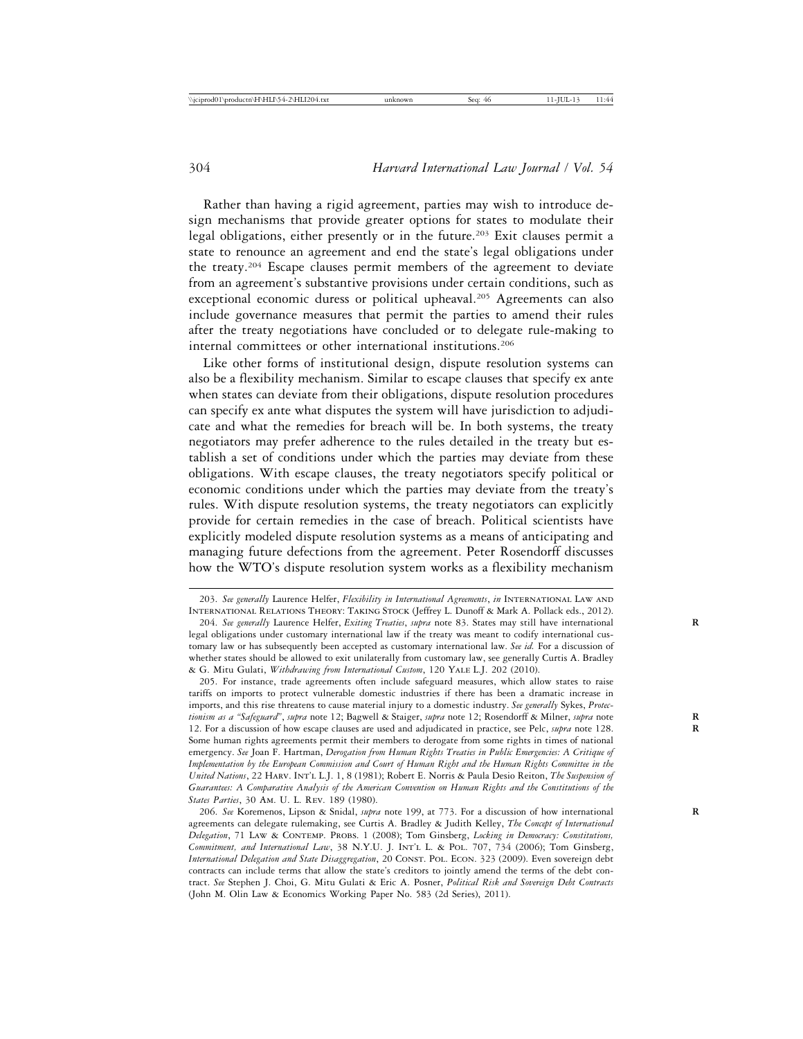Rather than having a rigid agreement, parties may wish to introduce design mechanisms that provide greater options for states to modulate their legal obligations, either presently or in the future.<sup>203</sup> Exit clauses permit a state to renounce an agreement and end the state's legal obligations under the treaty.204 Escape clauses permit members of the agreement to deviate from an agreement's substantive provisions under certain conditions, such as exceptional economic duress or political upheaval.<sup>205</sup> Agreements can also include governance measures that permit the parties to amend their rules after the treaty negotiations have concluded or to delegate rule-making to internal committees or other international institutions.206

Like other forms of institutional design, dispute resolution systems can also be a flexibility mechanism. Similar to escape clauses that specify ex ante when states can deviate from their obligations, dispute resolution procedures can specify ex ante what disputes the system will have jurisdiction to adjudicate and what the remedies for breach will be. In both systems, the treaty negotiators may prefer adherence to the rules detailed in the treaty but establish a set of conditions under which the parties may deviate from these obligations. With escape clauses, the treaty negotiators specify political or economic conditions under which the parties may deviate from the treaty's rules. With dispute resolution systems, the treaty negotiators can explicitly provide for certain remedies in the case of breach. Political scientists have explicitly modeled dispute resolution systems as a means of anticipating and managing future defections from the agreement. Peter Rosendorff discusses how the WTO's dispute resolution system works as a flexibility mechanism

205. For instance, trade agreements often include safeguard measures, which allow states to raise tariffs on imports to protect vulnerable domestic industries if there has been a dramatic increase in imports, and this rise threatens to cause material injury to a domestic industry. *See generally* Sykes, *Protectionism as a "Safeguard"*, *supra* note 12; Bagwell & Staiger, *supra* note 12; Rosendorff & Milner, *supra* note **R** 12. For a discussion of how escape clauses are used and adjudicated in practice, see Pelc, *supra* note 128. **R** Some human rights agreements permit their members to derogate from some rights in times of national emergency. *See* Joan F. Hartman, *Derogation from Human Rights Treaties in Public Emergencies: A Critique of Implementation by the European Commission and Court of Human Right and the Human Rights Committee in the United Nations*, 22 Harv. Int'l L.J. 1, 8 (1981); Robert E. Norris & Paula Desio Reiton, *The Suspension of Guarantees: A Comparative Analysis of the American Convention on Human Rights and the Constitutions of the States Parties*, 30 Am. U. L. Rev. 189 (1980).

206. *See* Koremenos, Lipson & Snidal, *supra* note 199, at 773. For a discussion of how international **R** agreements can delegate rulemaking, see Curtis A. Bradley & Judith Kelley, *The Concept of International Delegation*, 71 Law & Contemp. Probs. 1 (2008); Tom Ginsberg, *Locking in Democracy: Constitutions, Commitment, and International Law*, 38 N.Y.U. J. Int'l L. & Pol. 707, 734 (2006); Tom Ginsberg, *International Delegation and State Disaggregation*, 20 Const. Pol. Econ. 323 (2009). Even sovereign debt contracts can include terms that allow the state's creditors to jointly amend the terms of the debt contract. *See* Stephen J. Choi, G. Mitu Gulati & Eric A. Posner, *Political Risk and Sovereign Debt Contracts* (John M. Olin Law & Economics Working Paper No. 583 (2d Series), 2011).

<sup>203.</sup> *See generally* Laurence Helfer, *Flexibility in International Agreements*, *in* International Law and International Relations Theory: Taking Stock (Jeffrey L. Dunoff & Mark A. Pollack eds., 2012).

<sup>204.</sup> *See generally* Laurence Helfer, *Exiting Treaties*, *supra* note 83. States may still have international **R** legal obligations under customary international law if the treaty was meant to codify international customary law or has subsequently been accepted as customary international law. *See id.* For a discussion of whether states should be allowed to exit unilaterally from customary law, see generally Curtis A. Bradley & G. Mitu Gulati, *Withdrawing from International Custom*, 120 Yale L.J. 202 (2010).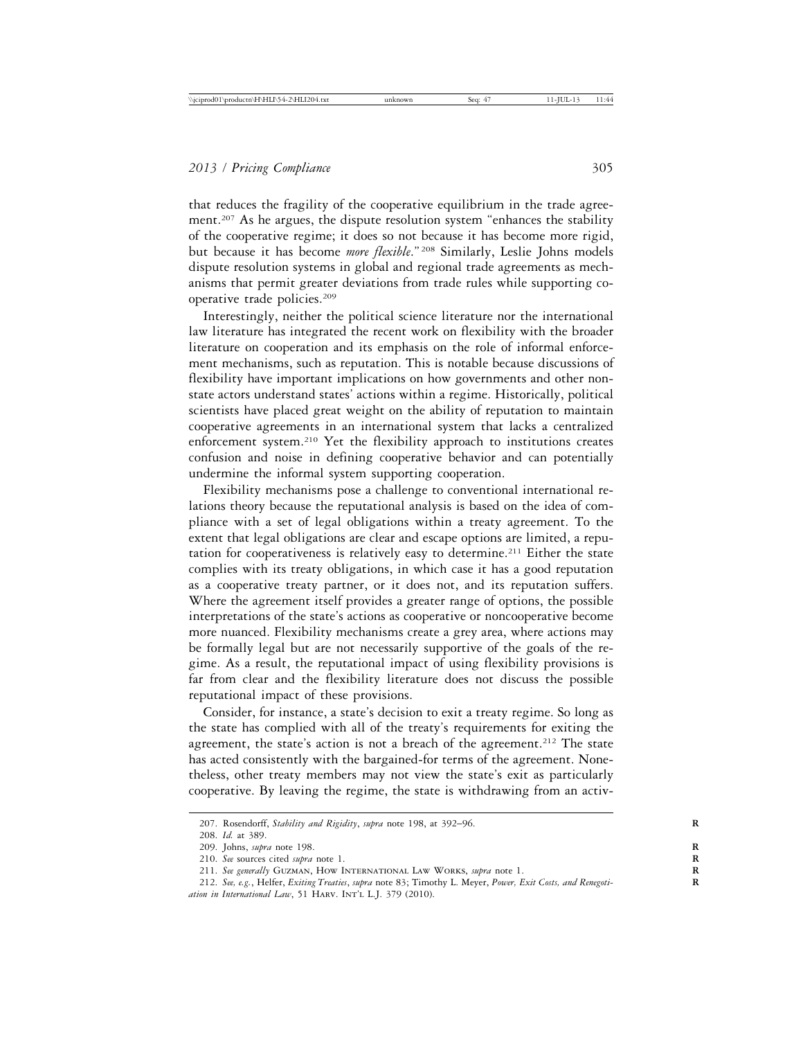that reduces the fragility of the cooperative equilibrium in the trade agreement.<sup>207</sup> As he argues, the dispute resolution system "enhances the stability of the cooperative regime; it does so not because it has become more rigid, but because it has become *more flexible*." 208 Similarly, Leslie Johns models dispute resolution systems in global and regional trade agreements as mechanisms that permit greater deviations from trade rules while supporting cooperative trade policies.209

Interestingly, neither the political science literature nor the international law literature has integrated the recent work on flexibility with the broader literature on cooperation and its emphasis on the role of informal enforcement mechanisms, such as reputation. This is notable because discussions of flexibility have important implications on how governments and other nonstate actors understand states' actions within a regime. Historically, political scientists have placed great weight on the ability of reputation to maintain cooperative agreements in an international system that lacks a centralized enforcement system.210 Yet the flexibility approach to institutions creates confusion and noise in defining cooperative behavior and can potentially undermine the informal system supporting cooperation.

Flexibility mechanisms pose a challenge to conventional international relations theory because the reputational analysis is based on the idea of compliance with a set of legal obligations within a treaty agreement. To the extent that legal obligations are clear and escape options are limited, a reputation for cooperativeness is relatively easy to determine.<sup>211</sup> Either the state complies with its treaty obligations, in which case it has a good reputation as a cooperative treaty partner, or it does not, and its reputation suffers. Where the agreement itself provides a greater range of options, the possible interpretations of the state's actions as cooperative or noncooperative become more nuanced. Flexibility mechanisms create a grey area, where actions may be formally legal but are not necessarily supportive of the goals of the regime. As a result, the reputational impact of using flexibility provisions is far from clear and the flexibility literature does not discuss the possible reputational impact of these provisions.

Consider, for instance, a state's decision to exit a treaty regime. So long as the state has complied with all of the treaty's requirements for exiting the agreement, the state's action is not a breach of the agreement.<sup>212</sup> The state has acted consistently with the bargained-for terms of the agreement. Nonetheless, other treaty members may not view the state's exit as particularly cooperative. By leaving the regime, the state is withdrawing from an activ-

<sup>207.</sup> Rosendorff, *Stability and Rigidity*, *supra* note 198, at 392-96.

<sup>208.</sup> *Id.* at 389.

<sup>209.</sup> Johns, *supra* note 198. **R**

<sup>210.</sup> *See* sources cited *supra* note 1. **R**

<sup>211.</sup> *See generally* Guzman, How International Law Works, *supra* note 1. **R**

<sup>212.</sup> *See, e.g.*, Helfer, *Exiting Treaties*, *supra* note 83; Timothy L. Meyer, *Power, Exit Costs, and Renegoti-* **R** *ation in International Law*, 51 Harv. Int'l L.J. 379 (2010).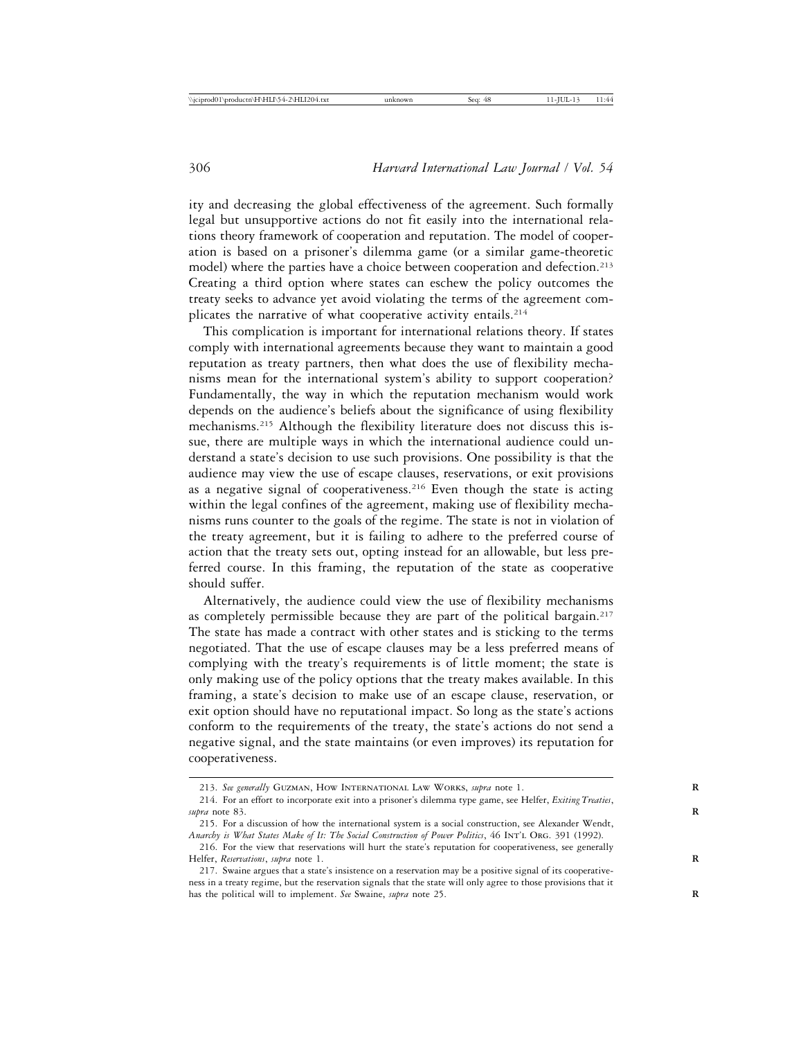ity and decreasing the global effectiveness of the agreement. Such formally legal but unsupportive actions do not fit easily into the international relations theory framework of cooperation and reputation. The model of cooperation is based on a prisoner's dilemma game (or a similar game-theoretic model) where the parties have a choice between cooperation and defection.<sup>213</sup> Creating a third option where states can eschew the policy outcomes the treaty seeks to advance yet avoid violating the terms of the agreement complicates the narrative of what cooperative activity entails.<sup>214</sup>

This complication is important for international relations theory. If states comply with international agreements because they want to maintain a good reputation as treaty partners, then what does the use of flexibility mechanisms mean for the international system's ability to support cooperation? Fundamentally, the way in which the reputation mechanism would work depends on the audience's beliefs about the significance of using flexibility mechanisms.215 Although the flexibility literature does not discuss this issue, there are multiple ways in which the international audience could understand a state's decision to use such provisions. One possibility is that the audience may view the use of escape clauses, reservations, or exit provisions as a negative signal of cooperativeness.<sup>216</sup> Even though the state is acting within the legal confines of the agreement, making use of flexibility mechanisms runs counter to the goals of the regime. The state is not in violation of the treaty agreement, but it is failing to adhere to the preferred course of action that the treaty sets out, opting instead for an allowable, but less preferred course. In this framing, the reputation of the state as cooperative should suffer.

Alternatively, the audience could view the use of flexibility mechanisms as completely permissible because they are part of the political bargain.217 The state has made a contract with other states and is sticking to the terms negotiated. That the use of escape clauses may be a less preferred means of complying with the treaty's requirements is of little moment; the state is only making use of the policy options that the treaty makes available. In this framing, a state's decision to make use of an escape clause, reservation, or exit option should have no reputational impact. So long as the state's actions conform to the requirements of the treaty, the state's actions do not send a negative signal, and the state maintains (or even improves) its reputation for cooperativeness.

<sup>213.</sup> *See generally* Guzman, How International Law Works, *supra* note 1. **R**

<sup>214.</sup> For an effort to incorporate exit into a prisoner's dilemma type game, see Helfer, *Exiting Treaties*,  $\frac{s}{4}$  note 83.

<sup>215.</sup> For a discussion of how the international system is a social construction, see Alexander Wendt, *Anarchy is What States Make of It: The Social Construction of Power Politics*, 46 Int'l Org. 391 (1992).

<sup>216.</sup> For the view that reservations will hurt the state's reputation for cooperativeness, see generally Helfer, *Reservations*, *supra* note 1.

<sup>217.</sup> Swaine argues that a state's insistence on a reservation may be a positive signal of its cooperativeness in a treaty regime, but the reservation signals that the state will only agree to those provisions that it has the political will to implement. See Swaine, *supra* note 25.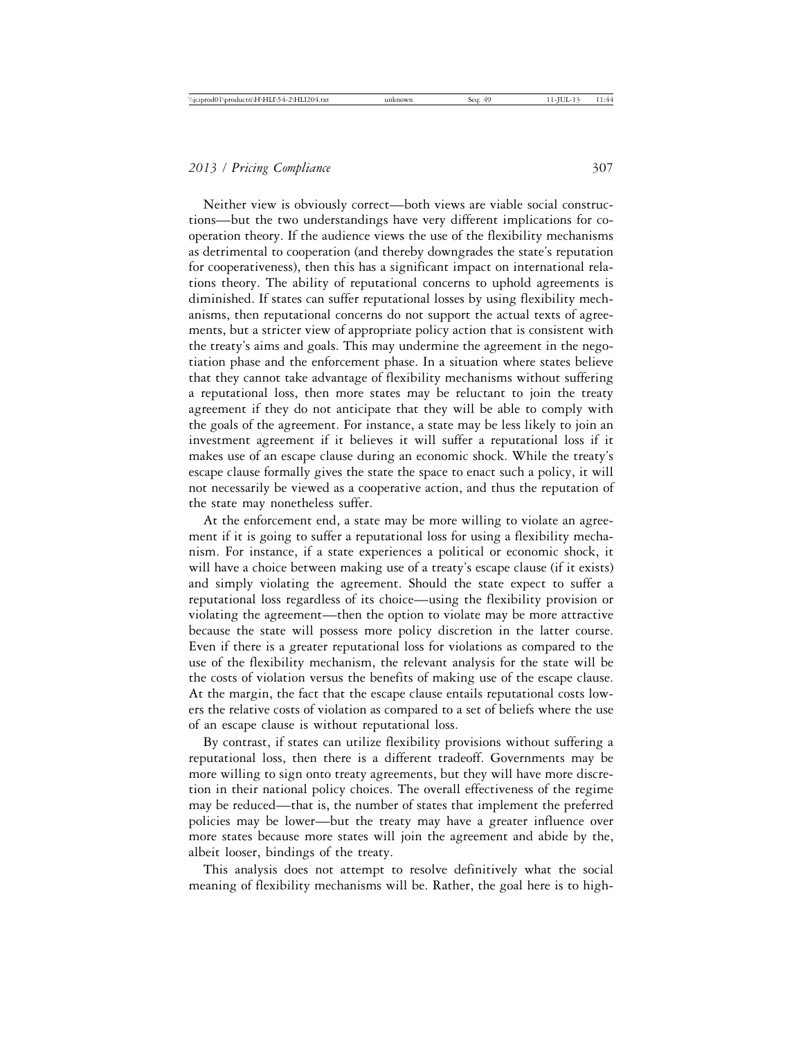Neither view is obviously correct—both views are viable social constructions—but the two understandings have very different implications for cooperation theory. If the audience views the use of the flexibility mechanisms as detrimental to cooperation (and thereby downgrades the state's reputation for cooperativeness), then this has a significant impact on international relations theory. The ability of reputational concerns to uphold agreements is diminished. If states can suffer reputational losses by using flexibility mechanisms, then reputational concerns do not support the actual texts of agreements, but a stricter view of appropriate policy action that is consistent with the treaty's aims and goals. This may undermine the agreement in the negotiation phase and the enforcement phase. In a situation where states believe that they cannot take advantage of flexibility mechanisms without suffering a reputational loss, then more states may be reluctant to join the treaty agreement if they do not anticipate that they will be able to comply with the goals of the agreement. For instance, a state may be less likely to join an investment agreement if it believes it will suffer a reputational loss if it makes use of an escape clause during an economic shock. While the treaty's escape clause formally gives the state the space to enact such a policy, it will not necessarily be viewed as a cooperative action, and thus the reputation of the state may nonetheless suffer.

At the enforcement end, a state may be more willing to violate an agreement if it is going to suffer a reputational loss for using a flexibility mechanism. For instance, if a state experiences a political or economic shock, it will have a choice between making use of a treaty's escape clause (if it exists) and simply violating the agreement. Should the state expect to suffer a reputational loss regardless of its choice—using the flexibility provision or violating the agreement—then the option to violate may be more attractive because the state will possess more policy discretion in the latter course. Even if there is a greater reputational loss for violations as compared to the use of the flexibility mechanism, the relevant analysis for the state will be the costs of violation versus the benefits of making use of the escape clause. At the margin, the fact that the escape clause entails reputational costs lowers the relative costs of violation as compared to a set of beliefs where the use of an escape clause is without reputational loss.

By contrast, if states can utilize flexibility provisions without suffering a reputational loss, then there is a different tradeoff. Governments may be more willing to sign onto treaty agreements, but they will have more discretion in their national policy choices. The overall effectiveness of the regime may be reduced—that is, the number of states that implement the preferred policies may be lower—but the treaty may have a greater influence over more states because more states will join the agreement and abide by the, albeit looser, bindings of the treaty.

This analysis does not attempt to resolve definitively what the social meaning of flexibility mechanisms will be. Rather, the goal here is to high-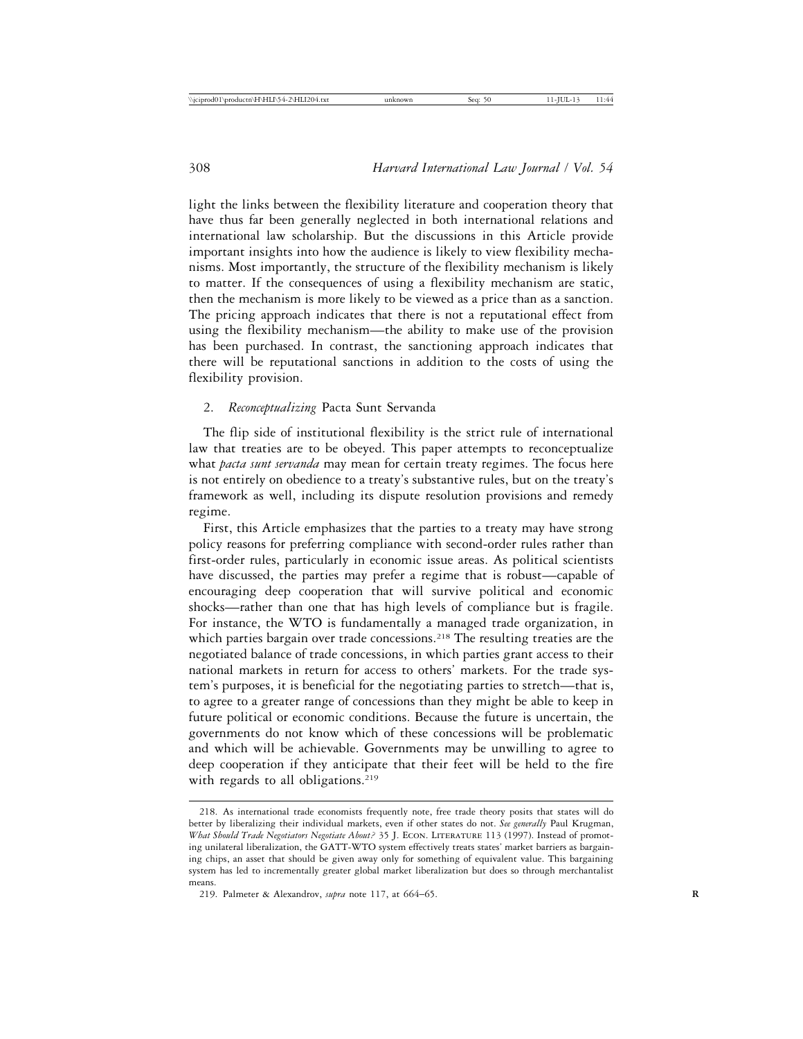light the links between the flexibility literature and cooperation theory that have thus far been generally neglected in both international relations and international law scholarship. But the discussions in this Article provide important insights into how the audience is likely to view flexibility mechanisms. Most importantly, the structure of the flexibility mechanism is likely to matter. If the consequences of using a flexibility mechanism are static, then the mechanism is more likely to be viewed as a price than as a sanction. The pricing approach indicates that there is not a reputational effect from using the flexibility mechanism—the ability to make use of the provision has been purchased. In contrast, the sanctioning approach indicates that there will be reputational sanctions in addition to the costs of using the flexibility provision.

### 2. *Reconceptualizing* Pacta Sunt Servanda

The flip side of institutional flexibility is the strict rule of international law that treaties are to be obeyed. This paper attempts to reconceptualize what *pacta sunt servanda* may mean for certain treaty regimes. The focus here is not entirely on obedience to a treaty's substantive rules, but on the treaty's framework as well, including its dispute resolution provisions and remedy regime.

First, this Article emphasizes that the parties to a treaty may have strong policy reasons for preferring compliance with second-order rules rather than first-order rules, particularly in economic issue areas. As political scientists have discussed, the parties may prefer a regime that is robust—capable of encouraging deep cooperation that will survive political and economic shocks—rather than one that has high levels of compliance but is fragile. For instance, the WTO is fundamentally a managed trade organization, in which parties bargain over trade concessions.<sup>218</sup> The resulting treaties are the negotiated balance of trade concessions, in which parties grant access to their national markets in return for access to others' markets. For the trade system's purposes, it is beneficial for the negotiating parties to stretch—that is, to agree to a greater range of concessions than they might be able to keep in future political or economic conditions. Because the future is uncertain, the governments do not know which of these concessions will be problematic and which will be achievable. Governments may be unwilling to agree to deep cooperation if they anticipate that their feet will be held to the fire with regards to all obligations.<sup>219</sup>

<sup>218.</sup> As international trade economists frequently note, free trade theory posits that states will do better by liberalizing their individual markets, even if other states do not. *See generally* Paul Krugman, *What Should Trade Negotiators Negotiate About?* 35 J. Econ. Literature 113 (1997). Instead of promoting unilateral liberalization, the GATT-WTO system effectively treats states' market barriers as bargaining chips, an asset that should be given away only for something of equivalent value. This bargaining system has led to incrementally greater global market liberalization but does so through merchantalist means.

<sup>219.</sup> Palmeter & Alexandrov, *supra* note 117, at 664–65. **R**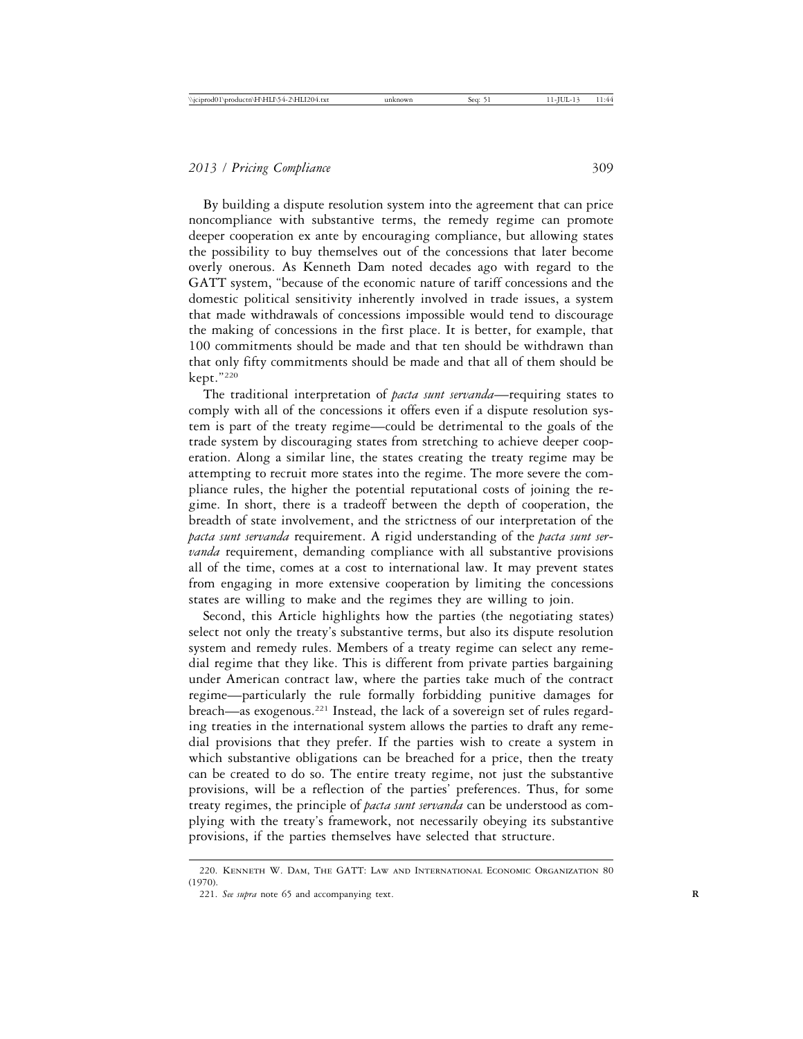By building a dispute resolution system into the agreement that can price noncompliance with substantive terms, the remedy regime can promote deeper cooperation ex ante by encouraging compliance, but allowing states the possibility to buy themselves out of the concessions that later become overly onerous. As Kenneth Dam noted decades ago with regard to the GATT system, "because of the economic nature of tariff concessions and the domestic political sensitivity inherently involved in trade issues, a system that made withdrawals of concessions impossible would tend to discourage the making of concessions in the first place. It is better, for example, that 100 commitments should be made and that ten should be withdrawn than that only fifty commitments should be made and that all of them should be kept."220

The traditional interpretation of *pacta sunt servanda*—requiring states to comply with all of the concessions it offers even if a dispute resolution system is part of the treaty regime—could be detrimental to the goals of the trade system by discouraging states from stretching to achieve deeper cooperation. Along a similar line, the states creating the treaty regime may be attempting to recruit more states into the regime. The more severe the compliance rules, the higher the potential reputational costs of joining the regime. In short, there is a tradeoff between the depth of cooperation, the breadth of state involvement, and the strictness of our interpretation of the *pacta sunt servanda* requirement. A rigid understanding of the *pacta sunt servanda* requirement, demanding compliance with all substantive provisions all of the time, comes at a cost to international law. It may prevent states from engaging in more extensive cooperation by limiting the concessions states are willing to make and the regimes they are willing to join.

Second, this Article highlights how the parties (the negotiating states) select not only the treaty's substantive terms, but also its dispute resolution system and remedy rules. Members of a treaty regime can select any remedial regime that they like. This is different from private parties bargaining under American contract law, where the parties take much of the contract regime—particularly the rule formally forbidding punitive damages for breach—as exogenous.221 Instead, the lack of a sovereign set of rules regarding treaties in the international system allows the parties to draft any remedial provisions that they prefer. If the parties wish to create a system in which substantive obligations can be breached for a price, then the treaty can be created to do so. The entire treaty regime, not just the substantive provisions, will be a reflection of the parties' preferences. Thus, for some treaty regimes, the principle of *pacta sunt servanda* can be understood as complying with the treaty's framework, not necessarily obeying its substantive provisions, if the parties themselves have selected that structure.

<sup>220.</sup> Kenneth W. Dam, The GATT: Law and International Economic Organization 80 (1970).

<sup>221.</sup> See supra note 65 and accompanying text.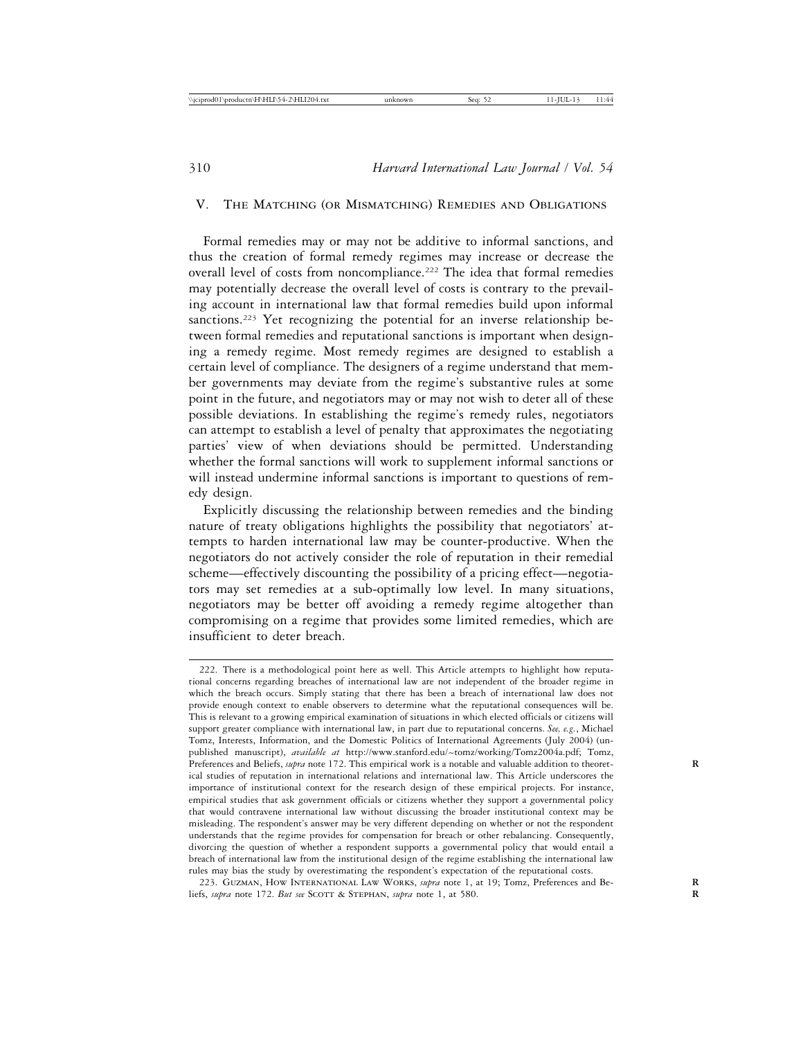#### V. The Matching (or Mismatching) Remedies and Obligations

Formal remedies may or may not be additive to informal sanctions, and thus the creation of formal remedy regimes may increase or decrease the overall level of costs from noncompliance.<sup>222</sup> The idea that formal remedies may potentially decrease the overall level of costs is contrary to the prevailing account in international law that formal remedies build upon informal sanctions.<sup>223</sup> Yet recognizing the potential for an inverse relationship between formal remedies and reputational sanctions is important when designing a remedy regime. Most remedy regimes are designed to establish a certain level of compliance. The designers of a regime understand that member governments may deviate from the regime's substantive rules at some point in the future, and negotiators may or may not wish to deter all of these possible deviations. In establishing the regime's remedy rules, negotiators can attempt to establish a level of penalty that approximates the negotiating parties' view of when deviations should be permitted. Understanding whether the formal sanctions will work to supplement informal sanctions or will instead undermine informal sanctions is important to questions of remedy design.

Explicitly discussing the relationship between remedies and the binding nature of treaty obligations highlights the possibility that negotiators' attempts to harden international law may be counter-productive. When the negotiators do not actively consider the role of reputation in their remedial scheme—effectively discounting the possibility of a pricing effect—negotiators may set remedies at a sub-optimally low level. In many situations, negotiators may be better off avoiding a remedy regime altogether than compromising on a regime that provides some limited remedies, which are insufficient to deter breach.

<sup>222.</sup> There is a methodological point here as well. This Article attempts to highlight how reputational concerns regarding breaches of international law are not independent of the broader regime in which the breach occurs. Simply stating that there has been a breach of international law does not provide enough context to enable observers to determine what the reputational consequences will be. This is relevant to a growing empirical examination of situations in which elected officials or citizens will support greater compliance with international law, in part due to reputational concerns. *See, e.g.*, Michael Tomz, Interests, Information, and the Domestic Politics of International Agreements (July 2004) (unpublished manuscript), *available at* http://www.stanford.edu/~tomz/working/Tomz2004a.pdf; Tomz, Preferences and Beliefs, *supra* note 172. This empirical work is a notable and valuable addition to theoretical studies of reputation in international relations and international law. This Article underscores the importance of institutional context for the research design of these empirical projects. For instance, empirical studies that ask government officials or citizens whether they support a governmental policy that would contravene international law without discussing the broader institutional context may be misleading. The respondent's answer may be very different depending on whether or not the respondent understands that the regime provides for compensation for breach or other rebalancing. Consequently, divorcing the question of whether a respondent supports a governmental policy that would entail a breach of international law from the institutional design of the regime establishing the international law rules may bias the study by overestimating the respondent's expectation of the reputational costs.

<sup>223.</sup> Guzman, How International Law Works, *supra* note 1, at 19; Tomz, Preferences and Be- **R** liefs, *supra* note 172. *But see* SCOTT & STEPHAN, *supra* note 1, at 580.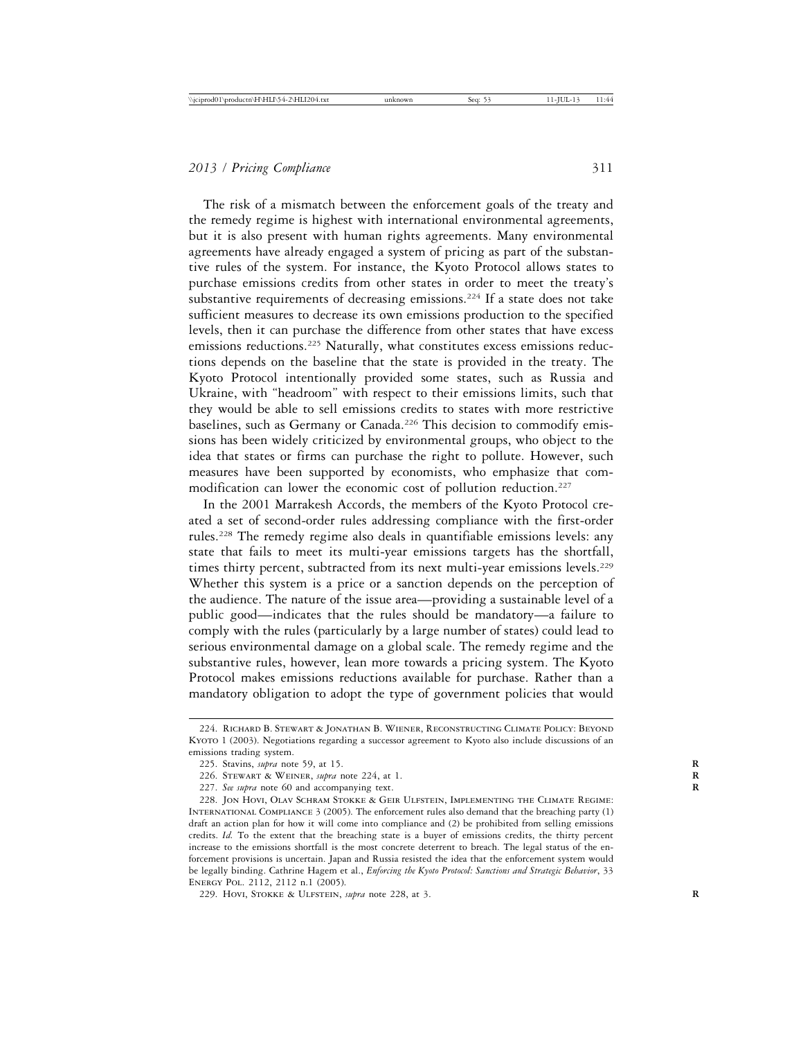The risk of a mismatch between the enforcement goals of the treaty and the remedy regime is highest with international environmental agreements, but it is also present with human rights agreements. Many environmental agreements have already engaged a system of pricing as part of the substantive rules of the system. For instance, the Kyoto Protocol allows states to purchase emissions credits from other states in order to meet the treaty's substantive requirements of decreasing emissions.<sup>224</sup> If a state does not take sufficient measures to decrease its own emissions production to the specified levels, then it can purchase the difference from other states that have excess emissions reductions.225 Naturally, what constitutes excess emissions reductions depends on the baseline that the state is provided in the treaty. The Kyoto Protocol intentionally provided some states, such as Russia and Ukraine, with "headroom" with respect to their emissions limits, such that they would be able to sell emissions credits to states with more restrictive baselines, such as Germany or Canada.<sup>226</sup> This decision to commodify emissions has been widely criticized by environmental groups, who object to the idea that states or firms can purchase the right to pollute. However, such measures have been supported by economists, who emphasize that commodification can lower the economic cost of pollution reduction.227

In the 2001 Marrakesh Accords, the members of the Kyoto Protocol created a set of second-order rules addressing compliance with the first-order rules.228 The remedy regime also deals in quantifiable emissions levels: any state that fails to meet its multi-year emissions targets has the shortfall, times thirty percent, subtracted from its next multi-year emissions levels.<sup>229</sup> Whether this system is a price or a sanction depends on the perception of the audience. The nature of the issue area—providing a sustainable level of a public good—indicates that the rules should be mandatory—a failure to comply with the rules (particularly by a large number of states) could lead to serious environmental damage on a global scale. The remedy regime and the substantive rules, however, lean more towards a pricing system. The Kyoto Protocol makes emissions reductions available for purchase. Rather than a mandatory obligation to adopt the type of government policies that would

<sup>224.</sup> Richard B. Stewart & Jonathan B. Wiener, Reconstructing Climate Policy: Beyond Kyoto 1 (2003). Negotiations regarding a successor agreement to Kyoto also include discussions of an emissions trading system.

<sup>225.</sup> Stavins, *supra* note 59, at 15. **R**

<sup>226.</sup> Stewart & Weiner, *supra* note 224, at 1. **R**

<sup>227.</sup> See supra note 60 and accompanying text.

<sup>228.</sup> Jon Hovi, Olav Schram Stokke & Geir Ulfstein, Implementing the Climate Regime: International Compliance 3 (2005). The enforcement rules also demand that the breaching party (1) draft an action plan for how it will come into compliance and (2) be prohibited from selling emissions credits. *Id.* To the extent that the breaching state is a buyer of emissions credits, the thirty percent increase to the emissions shortfall is the most concrete deterrent to breach. The legal status of the enforcement provisions is uncertain. Japan and Russia resisted the idea that the enforcement system would be legally binding. Cathrine Hagem et al., *Enforcing the Kyoto Protocol: Sanctions and Strategic Behavior*, 33 Energy Pol. 2112, 2112 n.1 (2005).

<sup>229.</sup> Hovi, STOKKE & ULFSTEIN, *supra* note 228, at 3.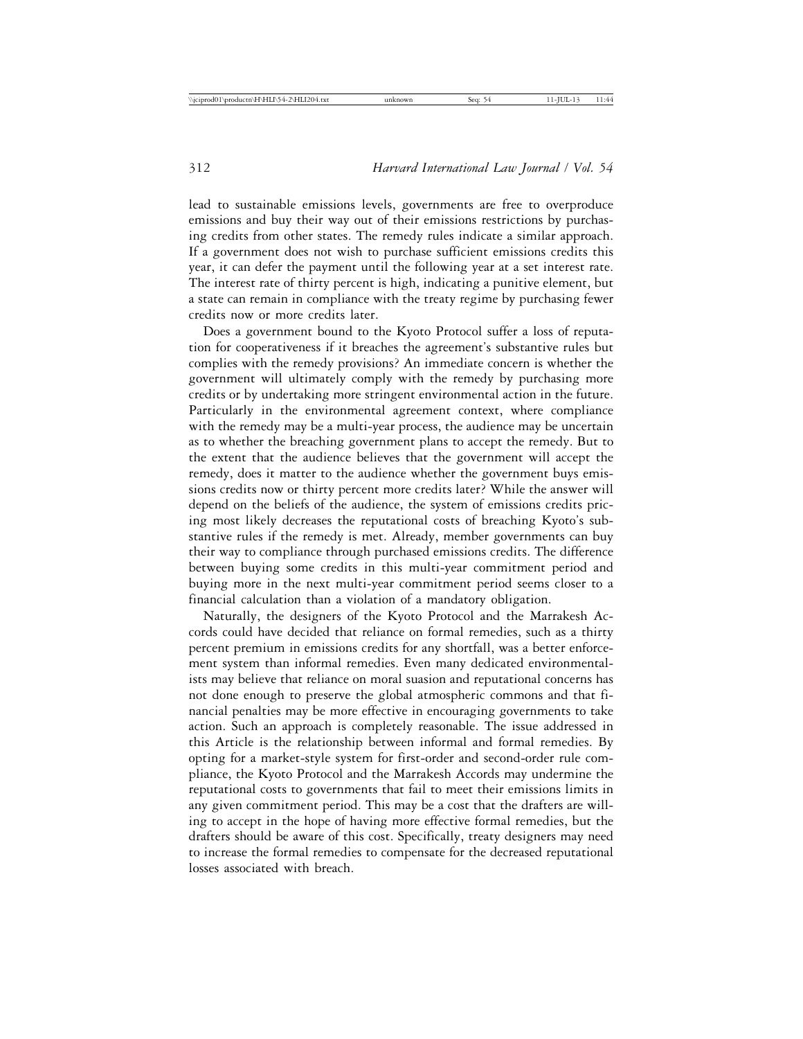lead to sustainable emissions levels, governments are free to overproduce emissions and buy their way out of their emissions restrictions by purchasing credits from other states. The remedy rules indicate a similar approach. If a government does not wish to purchase sufficient emissions credits this year, it can defer the payment until the following year at a set interest rate. The interest rate of thirty percent is high, indicating a punitive element, but a state can remain in compliance with the treaty regime by purchasing fewer credits now or more credits later.

Does a government bound to the Kyoto Protocol suffer a loss of reputation for cooperativeness if it breaches the agreement's substantive rules but complies with the remedy provisions? An immediate concern is whether the government will ultimately comply with the remedy by purchasing more credits or by undertaking more stringent environmental action in the future. Particularly in the environmental agreement context, where compliance with the remedy may be a multi-year process, the audience may be uncertain as to whether the breaching government plans to accept the remedy. But to the extent that the audience believes that the government will accept the remedy, does it matter to the audience whether the government buys emissions credits now or thirty percent more credits later? While the answer will depend on the beliefs of the audience, the system of emissions credits pricing most likely decreases the reputational costs of breaching Kyoto's substantive rules if the remedy is met. Already, member governments can buy their way to compliance through purchased emissions credits. The difference between buying some credits in this multi-year commitment period and buying more in the next multi-year commitment period seems closer to a financial calculation than a violation of a mandatory obligation.

Naturally, the designers of the Kyoto Protocol and the Marrakesh Accords could have decided that reliance on formal remedies, such as a thirty percent premium in emissions credits for any shortfall, was a better enforcement system than informal remedies. Even many dedicated environmentalists may believe that reliance on moral suasion and reputational concerns has not done enough to preserve the global atmospheric commons and that financial penalties may be more effective in encouraging governments to take action. Such an approach is completely reasonable. The issue addressed in this Article is the relationship between informal and formal remedies. By opting for a market-style system for first-order and second-order rule compliance, the Kyoto Protocol and the Marrakesh Accords may undermine the reputational costs to governments that fail to meet their emissions limits in any given commitment period. This may be a cost that the drafters are willing to accept in the hope of having more effective formal remedies, but the drafters should be aware of this cost. Specifically, treaty designers may need to increase the formal remedies to compensate for the decreased reputational losses associated with breach.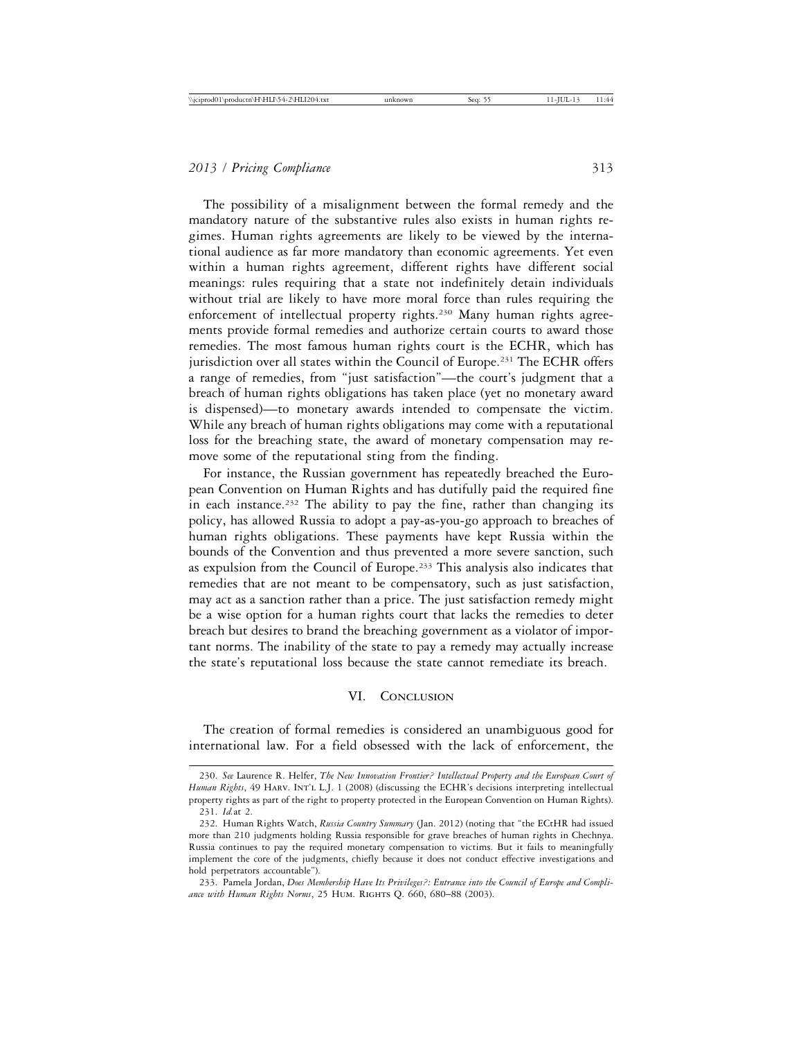The possibility of a misalignment between the formal remedy and the mandatory nature of the substantive rules also exists in human rights regimes. Human rights agreements are likely to be viewed by the international audience as far more mandatory than economic agreements. Yet even within a human rights agreement, different rights have different social meanings: rules requiring that a state not indefinitely detain individuals without trial are likely to have more moral force than rules requiring the enforcement of intellectual property rights.230 Many human rights agreements provide formal remedies and authorize certain courts to award those remedies. The most famous human rights court is the ECHR, which has jurisdiction over all states within the Council of Europe.<sup>231</sup> The ECHR offers a range of remedies, from "just satisfaction"—the court's judgment that a breach of human rights obligations has taken place (yet no monetary award is dispensed)—to monetary awards intended to compensate the victim. While any breach of human rights obligations may come with a reputational loss for the breaching state, the award of monetary compensation may remove some of the reputational sting from the finding.

For instance, the Russian government has repeatedly breached the European Convention on Human Rights and has dutifully paid the required fine in each instance.<sup>232</sup> The ability to pay the fine, rather than changing its policy, has allowed Russia to adopt a pay-as-you-go approach to breaches of human rights obligations. These payments have kept Russia within the bounds of the Convention and thus prevented a more severe sanction, such as expulsion from the Council of Europe.<sup>233</sup> This analysis also indicates that remedies that are not meant to be compensatory, such as just satisfaction, may act as a sanction rather than a price. The just satisfaction remedy might be a wise option for a human rights court that lacks the remedies to deter breach but desires to brand the breaching government as a violator of important norms. The inability of the state to pay a remedy may actually increase the state's reputational loss because the state cannot remediate its breach.

#### VI. Conclusion

The creation of formal remedies is considered an unambiguous good for international law. For a field obsessed with the lack of enforcement, the

<sup>230.</sup> *See* Laurence R. Helfer, *The New Innovation Frontier? Intellectual Property and the European Court of Human Rights*, 49 Harv. Int'l L.J. 1 (2008) (discussing the ECHR's decisions interpreting intellectual property rights as part of the right to property protected in the European Convention on Human Rights). 231. *Id.*at 2.

<sup>232.</sup> Human Rights Watch, *Russia Country Summary* (Jan. 2012) (noting that "the ECtHR had issued more than 210 judgments holding Russia responsible for grave breaches of human rights in Chechnya. Russia continues to pay the required monetary compensation to victims. But it fails to meaningfully implement the core of the judgments, chiefly because it does not conduct effective investigations and hold perpetrators accountable").

<sup>233.</sup> Pamela Jordan, *Does Membership Have Its Privileges?: Entrance into the Council of Europe and Compliance with Human Rights Norms*, 25 Hum. Rights Q. 660, 680–88 (2003).